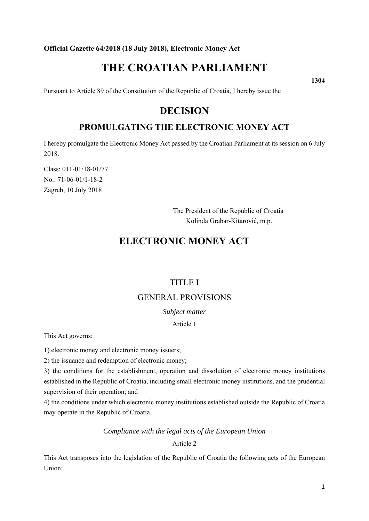**Official Gazette 64/2018 (18 July 2018), Electronic Money Act** 

# **THE CROATIAN PARLIAMENT**

**1304** 

Pursuant to Article 89 of the Constitution of the Republic of Croatia, I hereby issue the

# **DECISION**

# **PROMULGATING THE ELECTRONIC MONEY ACT**

I hereby promulgate the Electronic Money Act passed by the Croatian Parliament at its session on 6 July 2018.

Class: 011-01/18-01/77 No.: 71-06-01/1-18-2 Zagreb, 10 July 2018

> The President of the Republic of Croatia Kolinda Grabar-Kitarović, m.p.

# **ELECTRONIC MONEY ACT**

# TITLE I

# GENERAL PROVISIONS

*Subject matter* 

Article 1

This Act governs:

1) electronic money and electronic money issuers;

2) the issuance and redemption of electronic money;

3) the conditions for the establishment, operation and dissolution of electronic money institutions established in the Republic of Croatia, including small electronic money institutions, and the prudential supervision of their operation; and

4) the conditions under which electronic money institutions established outside the Republic of Croatia may operate in the Republic of Croatia.

# *Compliance with the legal acts of the European Union*

Article 2

This Act transposes into the legislation of the Republic of Croatia the following acts of the European Union: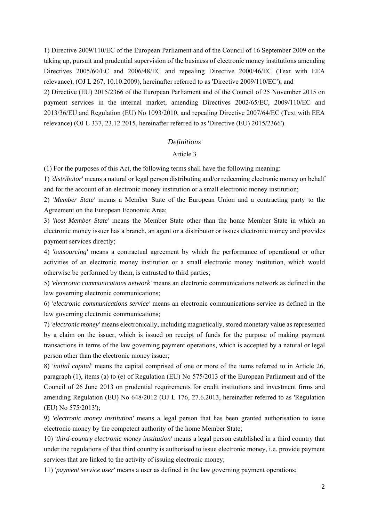1) Directive 2009/110/EC of the European Parliament and of the Council of 16 September 2009 on the taking up, pursuit and prudential supervision of the business of electronic money institutions amending Directives 2005/60/EC and 2006/48/EC and repealing Directive 2000/46/EC (Text with EEA relevance), (OJ L 267, 10.10.2009), hereinafter referred to as 'Directive 2009/110/EC'); and 2) Directive (EU) 2015/2366 of the European Parliament and of the Council of 25 November 2015 on payment services in the internal market, amending Directives 2002/65/EC, 2009/110/EC and 2013/36/EU and Regulation (EU) No 1093/2010, and repealing Directive 2007/64/EC (Text with EEA relevance) (OJ L 337, 23.12.2015, hereinafter referred to as 'Directive (EU) 2015/2366').

# *Definitions*

# Article 3

(1) For the purposes of this Act, the following terms shall have the following meaning:

1) *'distributor'* means a natural or legal person distributing and/or redeeming electronic money on behalf and for the account of an electronic money institution or a small electronic money institution;

2) *'Member State'* means a Member State of the European Union and a contracting party to the Agreement on the European Economic Area;

3) *'host Member State'* means the Member State other than the home Member State in which an electronic money issuer has a branch, an agent or a distributor or issues electronic money and provides payment services directly;

4) *'outsourcing'* means a contractual agreement by which the performance of operational or other activities of an electronic money institution or a small electronic money institution, which would otherwise be performed by them, is entrusted to third parties;

5) *'electronic communications network'* means an electronic communications network as defined in the law governing electronic communications;

6) *'electronic communications service'* means an electronic communications service as defined in the law governing electronic communications;

7) *'electronic money'* means electronically, including magnetically, stored monetary value as represented by a claim on the issuer, which is issued on receipt of funds for the purpose of making payment transactions in terms of the law governing payment operations, which is accepted by a natural or legal person other than the electronic money issuer;

8) *'initial capital'* means the capital comprised of one or more of the items referred to in Article 26, paragraph (1), items (a) to (e) of Regulation (EU) No 575/2013 of the European Parliament and of the Council of 26 June 2013 on prudential requirements for credit institutions and investment firms and amending Regulation (EU) No 648/2012 (OJ L 176, 27.6.2013, hereinafter referred to as 'Regulation (EU) No 575/2013');

9) *'electronic money institution'* means a legal person that has been granted authorisation to issue electronic money by the competent authority of the home Member State;

10) *'third-country electronic money institution'* means a legal person established in a third country that under the regulations of that third country is authorised to issue electronic money, i.e. provide payment services that are linked to the activity of issuing electronic money;

11) *'payment service user'* means a user as defined in the law governing payment operations;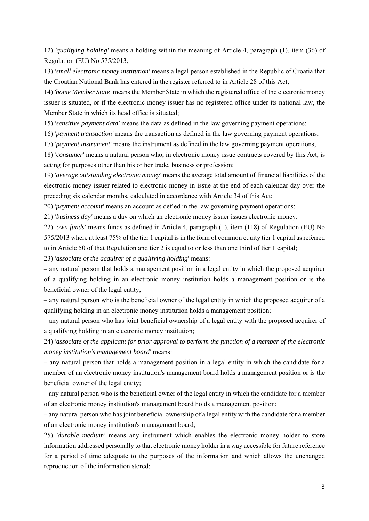12) *'qualifying holding'* means a holding within the meaning of Article 4, paragraph (1), item (36) of Regulation (EU) No 575/2013;

13) *'small electronic money institution'* means a legal person established in the Republic of Croatia that the Croatian National Bank has entered in the register referred to in Article 28 of this Act;

14) *'home Member State'* means the Member State in which the registered office of the electronic money issuer is situated, or if the electronic money issuer has no registered office under its national law, the Member State in which its head office is situated;

15) *'sensitive payment data'* means the data as defined in the law governing payment operations;

16) *'payment transaction'* means the transaction as defined in the law governing payment operations;

17) *'payment instrument'* means the instrument as defined in the law governing payment operations;

18) *'consumer'* means a natural person who, in electronic money issue contracts covered by this Act, is acting for purposes other than his or her trade, business or profession;

19) *'average outstanding electronic money'* means the average total amount of financial liabilities of the electronic money issuer related to electronic money in issue at the end of each calendar day over the preceding six calendar months, calculated in accordance with Article 34 of this Act;

20) *'payment account'* means an account as defied in the law governing payment operations;

21) *'business day'* means a day on which an electronic money issuer issues electronic money;

22) *'own funds'* means funds as defined in Article 4, paragraph (1), item (118) of Regulation (EU) No 575/2013 where at least 75% of the tier 1 capital is in the form of common equity tier 1 capital as referred to in Article 50 of that Regulation and tier 2 is equal to or less than one third of tier 1 capital;

23) *'associate of the acquirer of a qualifying holding'* means:

– any natural person that holds a management position in a legal entity in which the proposed acquirer of a qualifying holding in an electronic money institution holds a management position or is the beneficial owner of the legal entity;

– any natural person who is the beneficial owner of the legal entity in which the proposed acquirer of a qualifying holding in an electronic money institution holds a management position;

– any natural person who has joint beneficial ownership of a legal entity with the proposed acquirer of a qualifying holding in an electronic money institution;

24) *'associate of the applicant for prior approval to perform the function of a member of the electronic money institution's management board'* means:

– any natural person that holds a management position in a legal entity in which the candidate for a member of an electronic money institution's management board holds a management position or is the beneficial owner of the legal entity;

– any natural person who is the beneficial owner of the legal entity in which the candidate for a member of an electronic money institution's management board holds a management position;

– any natural person who has joint beneficial ownership of a legal entity with the candidate for a member of an electronic money institution's management board;

25) *'durable medium'* means any instrument which enables the electronic money holder to store information addressed personally to that electronic money holder in a way accessible for future reference for a period of time adequate to the purposes of the information and which allows the unchanged reproduction of the information stored;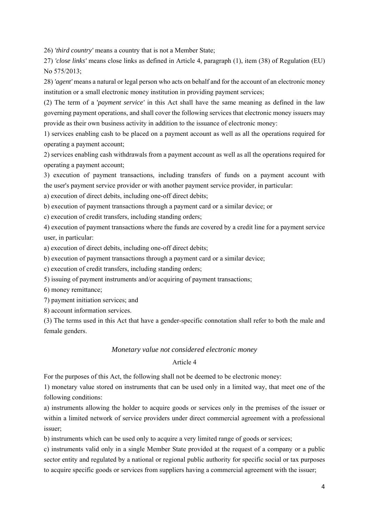26) *'third country'* means a country that is not a Member State;

27) *'close links'* means close links as defined in Article 4, paragraph (1), item (38) of Regulation (EU) No 575/2013;

28) *'agent'* means a natural or legal person who acts on behalf and for the account of an electronic money institution or a small electronic money institution in providing payment services;

(2) The term of a '*payment service'* in this Act shall have the same meaning as defined in the law governing payment operations, and shall cover the following services that electronic money issuers may provide as their own business activity in addition to the issuance of electronic money:

1) services enabling cash to be placed on a payment account as well as all the operations required for operating a payment account;

2) services enabling cash withdrawals from a payment account as well as all the operations required for operating a payment account;

3) execution of payment transactions, including transfers of funds on a payment account with the user's payment service provider or with another payment service provider, in particular:

a) execution of direct debits, including one-off direct debits;

b) execution of payment transactions through a payment card or a similar device; or

c) execution of credit transfers, including standing orders;

4) execution of payment transactions where the funds are covered by a credit line for a payment service user, in particular:

a) execution of direct debits, including one-off direct debits;

b) execution of payment transactions through a payment card or a similar device;

c) execution of credit transfers, including standing orders;

5) issuing of payment instruments and/or acquiring of payment transactions;

6) money remittance;

7) payment initiation services; and

8) account information services.

(3) The terms used in this Act that have a gender-specific connotation shall refer to both the male and female genders.

### *Monetary value not considered electronic money*

# Article 4

For the purposes of this Act, the following shall not be deemed to be electronic money:

1) monetary value stored on instruments that can be used only in a limited way, that meet one of the following conditions:

a) instruments allowing the holder to acquire goods or services only in the premises of the issuer or within a limited network of service providers under direct commercial agreement with a professional issuer;

b) instruments which can be used only to acquire a very limited range of goods or services;

c) instruments valid only in a single Member State provided at the request of a company or a public sector entity and regulated by a national or regional public authority for specific social or tax purposes to acquire specific goods or services from suppliers having a commercial agreement with the issuer;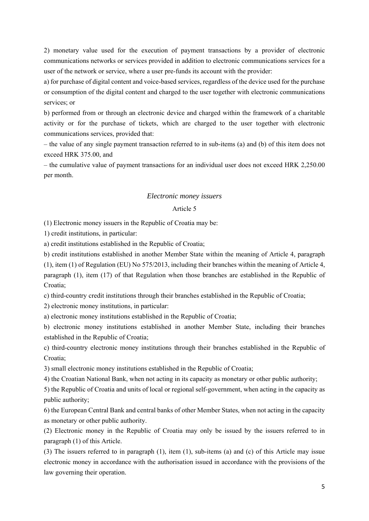2) monetary value used for the execution of payment transactions by a provider of electronic communications networks or services provided in addition to electronic communications services for a user of the network or service, where a user pre-funds its account with the provider:

a) for purchase of digital content and voice-based services, regardless of the device used for the purchase or consumption of the digital content and charged to the user together with electronic communications services; or

b) performed from or through an electronic device and charged within the framework of a charitable activity or for the purchase of tickets, which are charged to the user together with electronic communications services, provided that:

– the value of any single payment transaction referred to in sub-items (a) and (b) of this item does not exceed HRK 375.00, and

– the cumulative value of payment transactions for an individual user does not exceed HRK 2,250.00 per month.

### *Electronic money issuers*

# Article 5

(1) Electronic money issuers in the Republic of Croatia may be:

1) credit institutions, in particular:

a) credit institutions established in the Republic of Croatia;

b) credit institutions established in another Member State within the meaning of Article 4, paragraph (1), item (1) of Regulation (EU) No 575/2013, including their branches within the meaning of Article 4, paragraph (1), item (17) of that Regulation when those branches are established in the Republic of Croatia;

c) third-country credit institutions through their branches established in the Republic of Croatia;

2) electronic money institutions, in particular:

a) electronic money institutions established in the Republic of Croatia;

b) electronic money institutions established in another Member State, including their branches established in the Republic of Croatia;

c) third-country electronic money institutions through their branches established in the Republic of Croatia;

3) small electronic money institutions established in the Republic of Croatia;

4) the Croatian National Bank, when not acting in its capacity as monetary or other public authority;

5) the Republic of Croatia and units of local or regional self-government, when acting in the capacity as public authority;

6) the European Central Bank and central banks of other Member States, when not acting in the capacity as monetary or other public authority.

(2) Electronic money in the Republic of Croatia may only be issued by the issuers referred to in paragraph (1) of this Article.

(3) The issuers referred to in paragraph (1), item (1), sub-items (a) and (c) of this Article may issue electronic money in accordance with the authorisation issued in accordance with the provisions of the law governing their operation.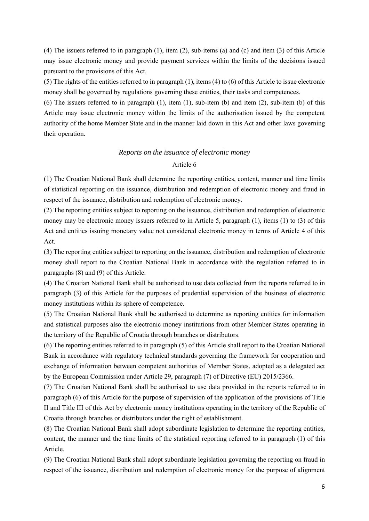(4) The issuers referred to in paragraph (1), item (2), sub-items (a) and (c) and item (3) of this Article may issue electronic money and provide payment services within the limits of the decisions issued pursuant to the provisions of this Act.

(5) The rights of the entities referred to in paragraph (1), items (4) to (6) of this Article to issue electronic money shall be governed by regulations governing these entities, their tasks and competences.

(6) The issuers referred to in paragraph (1), item (1), sub-item (b) and item (2), sub-item (b) of this Article may issue electronic money within the limits of the authorisation issued by the competent authority of the home Member State and in the manner laid down in this Act and other laws governing their operation.

#### *Reports on the issuance of electronic money*

#### Article 6

(1) The Croatian National Bank shall determine the reporting entities, content, manner and time limits of statistical reporting on the issuance, distribution and redemption of electronic money and fraud in respect of the issuance, distribution and redemption of electronic money.

(2) The reporting entities subject to reporting on the issuance, distribution and redemption of electronic money may be electronic money issuers referred to in Article 5, paragraph (1), items (1) to (3) of this Act and entities issuing monetary value not considered electronic money in terms of Article 4 of this Act.

(3) The reporting entities subject to reporting on the issuance, distribution and redemption of electronic money shall report to the Croatian National Bank in accordance with the regulation referred to in paragraphs (8) and (9) of this Article.

(4) The Croatian National Bank shall be authorised to use data collected from the reports referred to in paragraph (3) of this Article for the purposes of prudential supervision of the business of electronic money institutions within its sphere of competence.

(5) The Croatian National Bank shall be authorised to determine as reporting entities for information and statistical purposes also the electronic money institutions from other Member States operating in the territory of the Republic of Croatia through branches or distributors.

(6) The reporting entities referred to in paragraph (5) of this Article shall report to the Croatian National Bank in accordance with regulatory technical standards governing the framework for cooperation and exchange of information between competent authorities of Member States, adopted as a delegated act by the European Commission under Article 29, paragraph (7) of Directive (EU) 2015/2366.

(7) The Croatian National Bank shall be authorised to use data provided in the reports referred to in paragraph (6) of this Article for the purpose of supervision of the application of the provisions of Title II and Title III of this Act by electronic money institutions operating in the territory of the Republic of Croatia through branches or distributors under the right of establishment.

(8) The Croatian National Bank shall adopt subordinate legislation to determine the reporting entities, content, the manner and the time limits of the statistical reporting referred to in paragraph (1) of this Article.

(9) The Croatian National Bank shall adopt subordinate legislation governing the reporting on fraud in respect of the issuance, distribution and redemption of electronic money for the purpose of alignment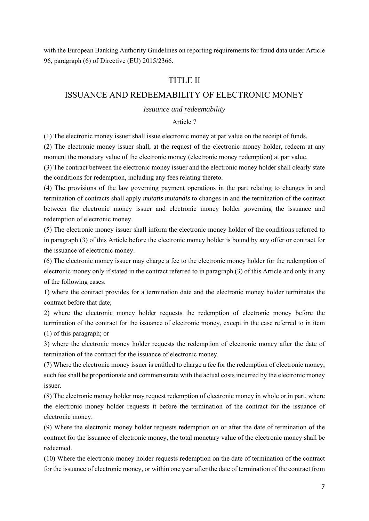with the European Banking Authority Guidelines on reporting requirements for fraud data under Article 96, paragraph (6) of Directive (EU) 2015/2366.

# TITLE II

# ISSUANCE AND REDEEMABILITY OF ELECTRONIC MONEY

#### *Issuance and redeemability*

# Article 7

(1) The electronic money issuer shall issue electronic money at par value on the receipt of funds.

(2) The electronic money issuer shall, at the request of the electronic money holder, redeem at any moment the monetary value of the electronic money (electronic money redemption) at par value.

(3) The contract between the electronic money issuer and the electronic money holder shall clearly state the conditions for redemption, including any fees relating thereto.

(4) The provisions of the law governing payment operations in the part relating to changes in and termination of contracts shall apply *mutatis mutandis* to changes in and the termination of the contract between the electronic money issuer and electronic money holder governing the issuance and redemption of electronic money.

(5) The electronic money issuer shall inform the electronic money holder of the conditions referred to in paragraph (3) of this Article before the electronic money holder is bound by any offer or contract for the issuance of electronic money.

(6) The electronic money issuer may charge a fee to the electronic money holder for the redemption of electronic money only if stated in the contract referred to in paragraph (3) of this Article and only in any of the following cases:

1) where the contract provides for a termination date and the electronic money holder terminates the contract before that date;

2) where the electronic money holder requests the redemption of electronic money before the termination of the contract for the issuance of electronic money, except in the case referred to in item (1) of this paragraph; or

3) where the electronic money holder requests the redemption of electronic money after the date of termination of the contract for the issuance of electronic money.

(7) Where the electronic money issuer is entitled to charge a fee for the redemption of electronic money, such fee shall be proportionate and commensurate with the actual costs incurred by the electronic money issuer.

(8) The electronic money holder may request redemption of electronic money in whole or in part, where the electronic money holder requests it before the termination of the contract for the issuance of electronic money.

(9) Where the electronic money holder requests redemption on or after the date of termination of the contract for the issuance of electronic money, the total monetary value of the electronic money shall be redeemed.

(10) Where the electronic money holder requests redemption on the date of termination of the contract for the issuance of electronic money, or within one year after the date of termination of the contract from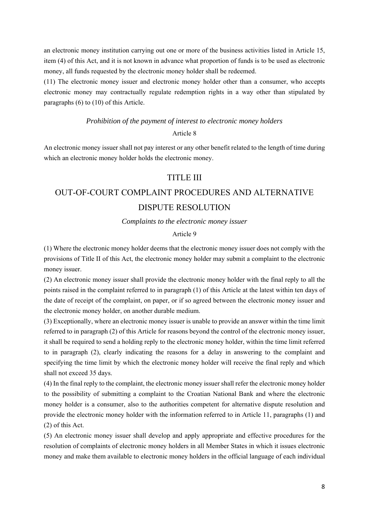an electronic money institution carrying out one or more of the business activities listed in Article 15, item (4) of this Act, and it is not known in advance what proportion of funds is to be used as electronic money, all funds requested by the electronic money holder shall be redeemed.

(11) The electronic money issuer and electronic money holder other than a consumer, who accepts electronic money may contractually regulate redemption rights in a way other than stipulated by paragraphs (6) to (10) of this Article.

# *Prohibition of the payment of interest to electronic money holders*

## Article 8

An electronic money issuer shall not pay interest or any other benefit related to the length of time during which an electronic money holder holds the electronic money.

# TITLE III

# OUT-OF-COURT COMPLAINT PROCEDURES AND ALTERNATIVE DISPUTE RESOLUTION

*Complaints to the electronic money issuer* 

# Article 9

(1) Where the electronic money holder deems that the electronic money issuer does not comply with the provisions of Title II of this Act, the electronic money holder may submit a complaint to the electronic money issuer.

(2) An electronic money issuer shall provide the electronic money holder with the final reply to all the points raised in the complaint referred to in paragraph (1) of this Article at the latest within ten days of the date of receipt of the complaint, on paper, or if so agreed between the electronic money issuer and the electronic money holder, on another durable medium.

(3) Exceptionally, where an electronic money issuer is unable to provide an answer within the time limit referred to in paragraph (2) of this Article for reasons beyond the control of the electronic money issuer, it shall be required to send a holding reply to the electronic money holder, within the time limit referred to in paragraph (2), clearly indicating the reasons for a delay in answering to the complaint and specifying the time limit by which the electronic money holder will receive the final reply and which shall not exceed 35 days.

(4) In the final reply to the complaint, the electronic money issuer shall refer the electronic money holder to the possibility of submitting a complaint to the Croatian National Bank and where the electronic money holder is a consumer, also to the authorities competent for alternative dispute resolution and provide the electronic money holder with the information referred to in Article 11, paragraphs (1) and (2) of this Act.

(5) An electronic money issuer shall develop and apply appropriate and effective procedures for the resolution of complaints of electronic money holders in all Member States in which it issues electronic money and make them available to electronic money holders in the official language of each individual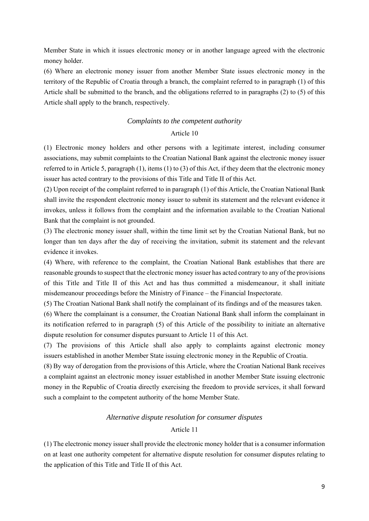Member State in which it issues electronic money or in another language agreed with the electronic money holder.

(6) Where an electronic money issuer from another Member State issues electronic money in the territory of the Republic of Croatia through a branch, the complaint referred to in paragraph (1) of this Article shall be submitted to the branch, and the obligations referred to in paragraphs (2) to (5) of this Article shall apply to the branch, respectively.

#### *Complaints to the competent authority*

# Article 10

(1) Electronic money holders and other persons with a legitimate interest, including consumer associations, may submit complaints to the Croatian National Bank against the electronic money issuer referred to in Article 5, paragraph (1), items (1) to (3) of this Act, if they deem that the electronic money issuer has acted contrary to the provisions of this Title and Title II of this Act.

(2) Upon receipt of the complaint referred to in paragraph (1) of this Article, the Croatian National Bank shall invite the respondent electronic money issuer to submit its statement and the relevant evidence it invokes, unless it follows from the complaint and the information available to the Croatian National Bank that the complaint is not grounded.

(3) The electronic money issuer shall, within the time limit set by the Croatian National Bank, but no longer than ten days after the day of receiving the invitation, submit its statement and the relevant evidence it invokes.

(4) Where, with reference to the complaint, the Croatian National Bank establishes that there are reasonable grounds to suspect that the electronic money issuer has acted contrary to any of the provisions of this Title and Title II of this Act and has thus committed a misdemeanour, it shall initiate misdemeanour proceedings before the Ministry of Finance – the Financial Inspectorate.

(5) The Croatian National Bank shall notify the complainant of its findings and of the measures taken.

(6) Where the complainant is a consumer, the Croatian National Bank shall inform the complainant in its notification referred to in paragraph (5) of this Article of the possibility to initiate an alternative dispute resolution for consumer disputes pursuant to Article 11 of this Act.

(7) The provisions of this Article shall also apply to complaints against electronic money issuers established in another Member State issuing electronic money in the Republic of Croatia.

(8) By way of derogation from the provisions of this Article, where the Croatian National Bank receives a complaint against an electronic money issuer established in another Member State issuing electronic money in the Republic of Croatia directly exercising the freedom to provide services, it shall forward such a complaint to the competent authority of the home Member State.

#### *Alternative dispute resolution for consumer disputes*

# Article 11

(1) The electronic money issuer shall provide the electronic money holder that is a consumer information on at least one authority competent for alternative dispute resolution for consumer disputes relating to the application of this Title and Title II of this Act.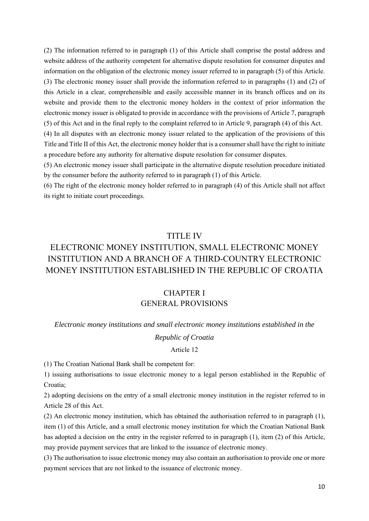(2) The information referred to in paragraph (1) of this Article shall comprise the postal address and website address of the authority competent for alternative dispute resolution for consumer disputes and information on the obligation of the electronic money issuer referred to in paragraph (5) of this Article. (3) The electronic money issuer shall provide the information referred to in paragraphs (1) and (2) of this Article in a clear, comprehensible and easily accessible manner in its branch offices and on its website and provide them to the electronic money holders in the context of prior information the electronic money issuer is obligated to provide in accordance with the provisions of Article 7, paragraph (5) of this Act and in the final reply to the complaint referred to in Article 9, paragraph (4) of this Act.

(4) In all disputes with an electronic money issuer related to the application of the provisions of this Title and Title II of this Act, the electronic money holder that is a consumer shall have the right to initiate a procedure before any authority for alternative dispute resolution for consumer disputes.

(5) An electronic money issuer shall participate in the alternative dispute resolution procedure initiated by the consumer before the authority referred to in paragraph (1) of this Article.

(6) The right of the electronic money holder referred to in paragraph (4) of this Article shall not affect its right to initiate court proceedings.

# TITLE IV

# ELECTRONIC MONEY INSTITUTION, SMALL ELECTRONIC MONEY INSTITUTION AND A BRANCH OF A THIRD-COUNTRY ELECTRONIC MONEY INSTITUTION ESTABLISHED IN THE REPUBLIC OF CROATIA

# CHAPTER I GENERAL PROVISIONS

#### *Electronic money institutions and small electronic money institutions established in the*

# *Republic of Croatia*

#### Article 12

(1) The Croatian National Bank shall be competent for:

1) issuing authorisations to issue electronic money to a legal person established in the Republic of Croatia;

2) adopting decisions on the entry of a small electronic money institution in the register referred to in Article 28 of this Act.

(2) An electronic money institution, which has obtained the authorisation referred to in paragraph (1), item (1) of this Article, and a small electronic money institution for which the Croatian National Bank has adopted a decision on the entry in the register referred to in paragraph (1), item (2) of this Article, may provide payment services that are linked to the issuance of electronic money.

(3) The authorisation to issue electronic money may also contain an authorisation to provide one or more payment services that are not linked to the issuance of electronic money.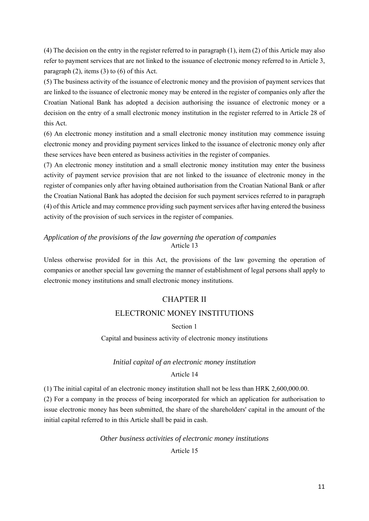(4) The decision on the entry in the register referred to in paragraph (1), item (2) of this Article may also refer to payment services that are not linked to the issuance of electronic money referred to in Article 3, paragraph (2), items (3) to (6) of this Act.

(5) The business activity of the issuance of electronic money and the provision of payment services that are linked to the issuance of electronic money may be entered in the register of companies only after the Croatian National Bank has adopted a decision authorising the issuance of electronic money or a decision on the entry of a small electronic money institution in the register referred to in Article 28 of this Act.

(6) An electronic money institution and a small electronic money institution may commence issuing electronic money and providing payment services linked to the issuance of electronic money only after these services have been entered as business activities in the register of companies.

(7) An electronic money institution and a small electronic money institution may enter the business activity of payment service provision that are not linked to the issuance of electronic money in the register of companies only after having obtained authorisation from the Croatian National Bank or after the Croatian National Bank has adopted the decision for such payment services referred to in paragraph (4) of this Article and may commence providing such payment services after having entered the business activity of the provision of such services in the register of companies.

# *Application of the provisions of the law governing the operation of companies*  Article 13

Unless otherwise provided for in this Act, the provisions of the law governing the operation of companies or another special law governing the manner of establishment of legal persons shall apply to electronic money institutions and small electronic money institutions.

# CHAPTER II

# ELECTRONIC MONEY INSTITUTIONS

# Section 1

# Capital and business activity of electronic money institutions

# *Initial capital of an electronic money institution*

# Article 14

(1) The initial capital of an electronic money institution shall not be less than HRK 2,600,000.00.

(2) For a company in the process of being incorporated for which an application for authorisation to issue electronic money has been submitted, the share of the shareholders' capital in the amount of the initial capital referred to in this Article shall be paid in cash.

# *Other business activities of electronic money institutions*

# Article 15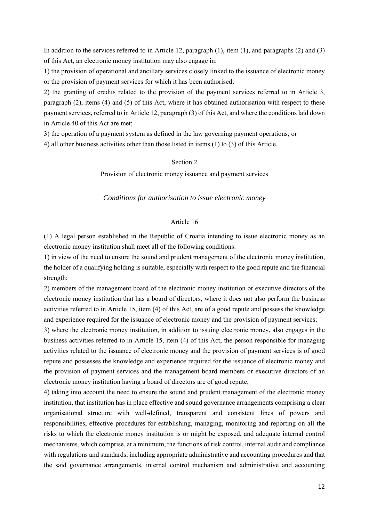In addition to the services referred to in Article 12, paragraph (1), item (1), and paragraphs (2) and (3) of this Act, an electronic money institution may also engage in:

1) the provision of operational and ancillary services closely linked to the issuance of electronic money or the provision of payment services for which it has been authorised;

2) the granting of credits related to the provision of the payment services referred to in Article 3, paragraph (2), items (4) and (5) of this Act, where it has obtained authorisation with respect to these payment services, referred to in Article 12, paragraph (3) of this Act, and where the conditions laid down in Article 40 of this Act are met;

3) the operation of a payment system as defined in the law governing payment operations; or

4) all other business activities other than those listed in items (1) to (3) of this Article.

# Section 2

Provision of electronic money issuance and payment services

#### *Conditions for authorisation to issue electronic money*

#### Article 16

(1) A legal person established in the Republic of Croatia intending to issue electronic money as an electronic money institution shall meet all of the following conditions:

1) in view of the need to ensure the sound and prudent management of the electronic money institution, the holder of a qualifying holding is suitable, especially with respect to the good repute and the financial strength;

2) members of the management board of the electronic money institution or executive directors of the electronic money institution that has a board of directors, where it does not also perform the business activities referred to in Article 15, item (4) of this Act, are of a good repute and possess the knowledge and experience required for the issuance of electronic money and the provision of payment services;

3) where the electronic money institution, in addition to issuing electronic money, also engages in the business activities referred to in Article 15, item (4) of this Act, the person responsible for managing activities related to the issuance of electronic money and the provision of payment services is of good repute and possesses the knowledge and experience required for the issuance of electronic money and the provision of payment services and the management board members or executive directors of an electronic money institution having a board of directors are of good repute;

4) taking into account the need to ensure the sound and prudent management of the electronic money institution, that institution has in place effective and sound governance arrangements comprising a clear organisational structure with well-defined, transparent and consistent lines of powers and responsibilities, effective procedures for establishing, managing, monitoring and reporting on all the risks to which the electronic money institution is or might be exposed, and adequate internal control mechanisms, which comprise, at a minimum, the functions of risk control, internal audit and compliance with regulations and standards, including appropriate administrative and accounting procedures and that the said governance arrangements, internal control mechanism and administrative and accounting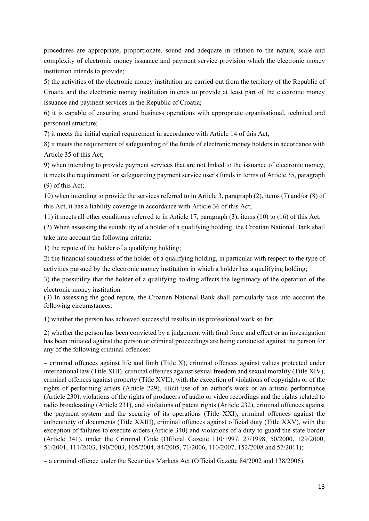procedures are appropriate, proportionate, sound and adequate in relation to the nature, scale and complexity of electronic money issuance and payment service provision which the electronic money institution intends to provide;

5) the activities of the electronic money institution are carried out from the territory of the Republic of Croatia and the electronic money institution intends to provide at least part of the electronic money issuance and payment services in the Republic of Croatia;

6) it is capable of ensuring sound business operations with appropriate organisational, technical and personnel structure;

7) it meets the initial capital requirement in accordance with Article 14 of this Act;

8) it meets the requirement of safeguarding of the funds of electronic money holders in accordance with Article 35 of this Act;

9) when intending to provide payment services that are not linked to the issuance of electronic money, it meets the requirement for safeguarding payment service user's funds in terms of Article 35, paragraph (9) of this Act;

10) when intending to provide the services referred to in Article 3, paragraph (2), items (7) and/or (8) of this Act, it has a liability coverage in accordance with Article 36 of this Act;

11) it meets all other conditions referred to in Article 17, paragraph (3), items (10) to (16) of this Act.

(2) When assessing the suitability of a holder of a qualifying holding, the Croatian National Bank shall take into account the following criteria:

1) the repute of the holder of a qualifying holding;

2) the financial soundness of the holder of a qualifying holding, in particular with respect to the type of activities pursued by the electronic money institution in which a holder has a qualifying holding;

3) the possibility that the holder of a qualifying holding affects the legitimacy of the operation of the electronic money institution.

(3) In assessing the good repute, the Croatian National Bank shall particularly take into account the following circumstances:

1) whether the person has achieved successful results in its professional work so far;

2) whether the person has been convicted by a judgement with final force and effect or an investigation has been initiated against the person or criminal proceedings are being conducted against the person for any of the following criminal offences:

– criminal offences against life and limb (Title X), criminal offences against values protected under international law (Title XIII), criminal offences against sexual freedom and sexual morality (Title XIV), criminal offences against property (Title XVII), with the exception of violations of copyrights or of the rights of performing artists (Article 229), illicit use of an author's work or an artistic performance (Article 230), violations of the rights of producers of audio or video recordings and the rights related to radio broadcasting (Article 231), and violations of patent rights (Article 232), criminal offences against the payment system and the security of its operations (Title XXI), criminal offences against the authenticity of documents (Title XXIII), criminal offences against official duty (Title XXV), with the exception of failures to execute orders (Article 340) and violations of a duty to guard the state border (Article 341), under the Criminal Code (Official Gazette 110/1997, 27/1998, 50/2000, 129/2000, 51/2001, 111/2003, 190/2003, 105/2004, 84/2005, 71/2006, 110/2007, 152/2008 and 57/2011);

– a criminal offence under the Securities Markets Act (Official Gazette 84/2002 and 138/2006);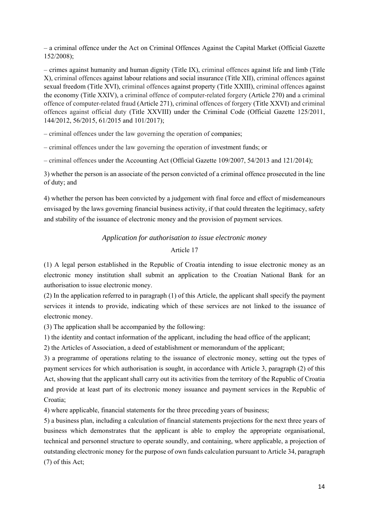– a criminal offence under the Act on Criminal Offences Against the Capital Market (Official Gazette 152/2008);

– crimes against humanity and human dignity (Title IX), criminal offences against life and limb (Title X), criminal offences against labour relations and social insurance (Title XII), criminal offences against sexual freedom (Title XVI), criminal offences against property (Title XXIII), criminal offences against the economy (Title XXIV), a criminal offence of computer-related forgery (Article 270) and a criminal offence of computer-related fraud (Article 271), criminal offences of forgery (Title XXVI) and criminal offences against official duty (Title XXVIII) under the Criminal Code (Official Gazette 125/2011, 144/2012, 56/2015, 61/2015 and 101/2017);

– criminal offences under the law governing the operation of companies;

– criminal offences under the law governing the operation of investment funds; or

– criminal offences under the Accounting Act (Official Gazette 109/2007, 54/2013 and 121/2014);

3) whether the person is an associate of the person convicted of a criminal offence prosecuted in the line of duty; and

4) whether the person has been convicted by a judgement with final force and effect of misdemeanours envisaged by the laws governing financial business activity, if that could threaten the legitimacy, safety and stability of the issuance of electronic money and the provision of payment services.

#### *Application for authorisation to issue electronic money*

# Article 17

(1) A legal person established in the Republic of Croatia intending to issue electronic money as an electronic money institution shall submit an application to the Croatian National Bank for an authorisation to issue electronic money.

(2) In the application referred to in paragraph (1) of this Article, the applicant shall specify the payment services it intends to provide, indicating which of these services are not linked to the issuance of electronic money.

(3) The application shall be accompanied by the following:

1) the identity and contact information of the applicant, including the head office of the applicant;

2) the Articles of Association, a deed of establishment or memorandum of the applicant;

3) a programme of operations relating to the issuance of electronic money, setting out the types of payment services for which authorisation is sought, in accordance with Article 3, paragraph (2) of this Act, showing that the applicant shall carry out its activities from the territory of the Republic of Croatia and provide at least part of its electronic money issuance and payment services in the Republic of Croatia<sup>-</sup>

4) where applicable, financial statements for the three preceding years of business;

5) a business plan, including a calculation of financial statements projections for the next three years of business which demonstrates that the applicant is able to employ the appropriate organisational, technical and personnel structure to operate soundly, and containing, where applicable, a projection of outstanding electronic money for the purpose of own funds calculation pursuant to Article 34, paragraph (7) of this Act;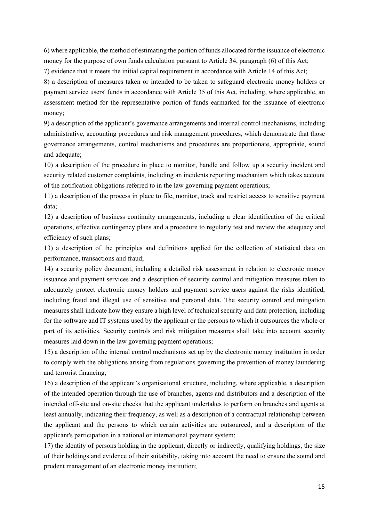6) where applicable, the method of estimating the portion of funds allocated for the issuance of electronic money for the purpose of own funds calculation pursuant to Article 34, paragraph (6) of this Act;

7) evidence that it meets the initial capital requirement in accordance with Article 14 of this Act;

8) a description of measures taken or intended to be taken to safeguard electronic money holders or payment service users' funds in accordance with Article 35 of this Act, including, where applicable, an assessment method for the representative portion of funds earmarked for the issuance of electronic money;

9) a description of the applicant's governance arrangements and internal control mechanisms, including administrative, accounting procedures and risk management procedures, which demonstrate that those governance arrangements, control mechanisms and procedures are proportionate, appropriate, sound and adequate;

10) a description of the procedure in place to monitor, handle and follow up a security incident and security related customer complaints, including an incidents reporting mechanism which takes account of the notification obligations referred to in the law governing payment operations;

11) a description of the process in place to file, monitor, track and restrict access to sensitive payment data;

12) a description of business continuity arrangements, including a clear identification of the critical operations, effective contingency plans and a procedure to regularly test and review the adequacy and efficiency of such plans;

13) a description of the principles and definitions applied for the collection of statistical data on performance, transactions and fraud;

14) a security policy document, including a detailed risk assessment in relation to electronic money issuance and payment services and a description of security control and mitigation measures taken to adequately protect electronic money holders and payment service users against the risks identified, including fraud and illegal use of sensitive and personal data. The security control and mitigation measures shall indicate how they ensure a high level of technical security and data protection, including for the software and IT systems used by the applicant or the persons to which it outsources the whole or part of its activities. Security controls and risk mitigation measures shall take into account security measures laid down in the law governing payment operations;

15) a description of the internal control mechanisms set up by the electronic money institution in order to comply with the obligations arising from regulations governing the prevention of money laundering and terrorist financing;

16) a description of the applicant's organisational structure, including, where applicable, a description of the intended operation through the use of branches, agents and distributors and a description of the intended off-site and on-site checks that the applicant undertakes to perform on branches and agents at least annually, indicating their frequency, as well as a description of a contractual relationship between the applicant and the persons to which certain activities are outsourced, and a description of the applicant's participation in a national or international payment system;

17) the identity of persons holding in the applicant, directly or indirectly, qualifying holdings, the size of their holdings and evidence of their suitability, taking into account the need to ensure the sound and prudent management of an electronic money institution;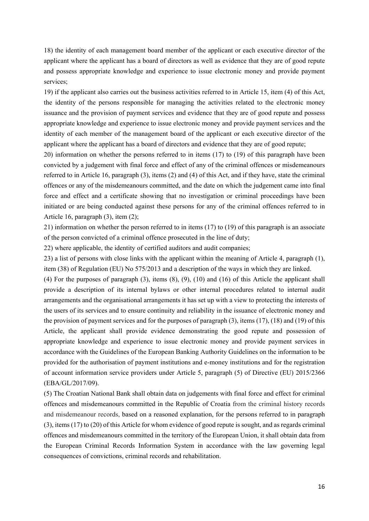18) the identity of each management board member of the applicant or each executive director of the applicant where the applicant has a board of directors as well as evidence that they are of good repute and possess appropriate knowledge and experience to issue electronic money and provide payment services;

19) if the applicant also carries out the business activities referred to in Article 15, item (4) of this Act, the identity of the persons responsible for managing the activities related to the electronic money issuance and the provision of payment services and evidence that they are of good repute and possess appropriate knowledge and experience to issue electronic money and provide payment services and the identity of each member of the management board of the applicant or each executive director of the applicant where the applicant has a board of directors and evidence that they are of good repute;

20) information on whether the persons referred to in items (17) to (19) of this paragraph have been convicted by a judgement with final force and effect of any of the criminal offences or misdemeanours referred to in Article 16, paragraph (3), items (2) and (4) of this Act, and if they have, state the criminal offences or any of the misdemeanours committed, and the date on which the judgement came into final force and effect and a certificate showing that no investigation or criminal proceedings have been initiated or are being conducted against these persons for any of the criminal offences referred to in Article 16, paragraph (3), item (2);

21) information on whether the person referred to in items (17) to (19) of this paragraph is an associate of the person convicted of a criminal offence prosecuted in the line of duty;

22) where applicable, the identity of certified auditors and audit companies;

23) a list of persons with close links with the applicant within the meaning of Article 4, paragraph (1), item (38) of Regulation (EU) No 575/2013 and a description of the ways in which they are linked.

(4) For the purposes of paragraph (3), items (8), (9), (10) and (16) of this Article the applicant shall provide a description of its internal bylaws or other internal procedures related to internal audit arrangements and the organisational arrangements it has set up with a view to protecting the interests of the users of its services and to ensure continuity and reliability in the issuance of electronic money and the provision of payment services and for the purposes of paragraph (3), items (17), (18) and (19) of this Article, the applicant shall provide evidence demonstrating the good repute and possession of appropriate knowledge and experience to issue electronic money and provide payment services in accordance with the Guidelines of the European Banking Authority Guidelines on the information to be provided for the authorisation of payment institutions and e-money institutions and for the registration of account information service providers under Article 5, paragraph (5) of Directive (EU) 2015/2366 (EBA/GL/2017/09).

(5) The Croatian National Bank shall obtain data on judgements with final force and effect for criminal offences and misdemeanours committed in the Republic of Croatia from the criminal history records and misdemeanour records, based on a reasoned explanation, for the persons referred to in paragraph (3), items (17) to (20) of this Article for whom evidence of good repute is sought, and as regards criminal offences and misdemeanours committed in the territory of the European Union, it shall obtain data from the European Criminal Records Information System in accordance with the law governing legal consequences of convictions, criminal records and rehabilitation.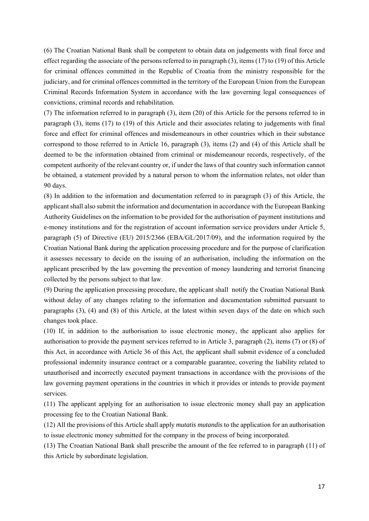(6) The Croatian National Bank shall be competent to obtain data on judgements with final force and effect regarding the associate of the persons referred to in paragraph (3), items (17) to (19) of this Article for criminal offences committed in the Republic of Croatia from the ministry responsible for the judiciary, and for criminal offences committed in the territory of the European Union from the European Criminal Records Information System in accordance with the law governing legal consequences of convictions, criminal records and rehabilitation.

(7) The information referred to in paragraph (3), item (20) of this Article for the persons referred to in paragraph (3), items (17) to (19) of this Article and their associates relating to judgements with final force and effect for criminal offences and misdemeanours in other countries which in their substance correspond to those referred to in Article 16, paragraph (3), items (2) and (4) of this Article shall be deemed to be the information obtained from criminal or misdemeanour records, respectively, of the competent authority of the relevant country or, if under the laws of that country such information cannot be obtained, a statement provided by a natural person to whom the information relates, not older than 90 days.

(8) In addition to the information and documentation referred to in paragraph (3) of this Article, the applicant shall also submit the information and documentation in accordance with the European Banking Authority Guidelines on the information to be provided for the authorisation of payment institutions and e-money institutions and for the registration of account information service providers under Article 5, paragraph (5) of Directive (EU) 2015/2366 (EBA/GL/2017/09), and the information required by the Croatian National Bank during the application processing procedure and for the purpose of clarification it assesses necessary to decide on the issuing of an authorisation, including the information on the applicant prescribed by the law governing the prevention of money laundering and terrorist financing collected by the persons subject to that law.

(9) During the application processing procedure, the applicant shall notify the Croatian National Bank without delay of any changes relating to the information and documentation submitted pursuant to paragraphs (3), (4) and (8) of this Article, at the latest within seven days of the date on which such changes took place.

(10) If, in addition to the authorisation to issue electronic money, the applicant also applies for authorisation to provide the payment services referred to in Article 3, paragraph (2), items (7) or (8) of this Act, in accordance with Article 36 of this Act, the applicant shall submit evidence of a concluded professional indemnity insurance contract or a comparable guarantee, covering the liability related to unauthorised and incorrectly executed payment transactions in accordance with the provisions of the law governing payment operations in the countries in which it provides or intends to provide payment services.

(11) The applicant applying for an authorisation to issue electronic money shall pay an application processing fee to the Croatian National Bank.

(12) All the provisions of this Article shall apply *mutatis mutandis* to the application for an authorisation to issue electronic money submitted for the company in the process of being incorporated.

(13) The Croatian National Bank shall prescribe the amount of the fee referred to in paragraph (11) of this Article by subordinate legislation.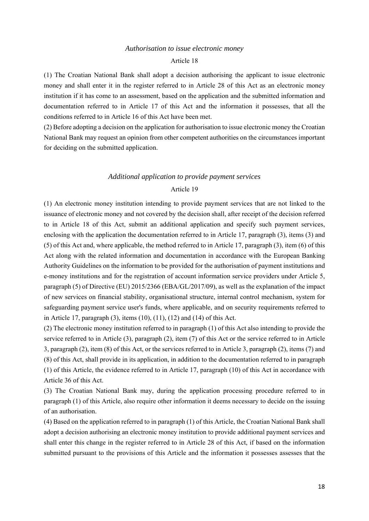#### *Authorisation to issue electronic money*

#### Article 18

(1) The Croatian National Bank shall adopt a decision authorising the applicant to issue electronic money and shall enter it in the register referred to in Article 28 of this Act as an electronic money institution if it has come to an assessment, based on the application and the submitted information and documentation referred to in Article 17 of this Act and the information it possesses, that all the conditions referred to in Article 16 of this Act have been met.

(2) Before adopting a decision on the application for authorisation to issue electronic money the Croatian National Bank may request an opinion from other competent authorities on the circumstances important for deciding on the submitted application.

# *Additional application to provide payment services*  Article 19

(1) An electronic money institution intending to provide payment services that are not linked to the issuance of electronic money and not covered by the decision shall, after receipt of the decision referred to in Article 18 of this Act, submit an additional application and specify such payment services, enclosing with the application the documentation referred to in Article 17, paragraph (3), items (3) and (5) of this Act and, where applicable, the method referred to in Article 17, paragraph (3), item (6) of this Act along with the related information and documentation in accordance with the European Banking Authority Guidelines on the information to be provided for the authorisation of payment institutions and e-money institutions and for the registration of account information service providers under Article 5, paragraph (5) of Directive (EU) 2015/2366 (EBA/GL/2017/09), as well as the explanation of the impact of new services on financial stability, organisational structure, internal control mechanism, system for safeguarding payment service user's funds, where applicable, and on security requirements referred to in Article 17, paragraph (3), items (10), (11), (12) and (14) of this Act.

(2) The electronic money institution referred to in paragraph (1) of this Act also intending to provide the service referred to in Article (3), paragraph (2), item (7) of this Act or the service referred to in Article 3, paragraph (2), item (8) of this Act, or the services referred to in Article 3, paragraph (2), items (7) and (8) of this Act, shall provide in its application, in addition to the documentation referred to in paragraph (1) of this Article, the evidence referred to in Article 17, paragraph (10) of this Act in accordance with Article 36 of this Act.

(3) The Croatian National Bank may, during the application processing procedure referred to in paragraph (1) of this Article, also require other information it deems necessary to decide on the issuing of an authorisation.

(4) Based on the application referred to in paragraph (1) of this Article, the Croatian National Bank shall adopt a decision authorising an electronic money institution to provide additional payment services and shall enter this change in the register referred to in Article 28 of this Act, if based on the information submitted pursuant to the provisions of this Article and the information it possesses assesses that the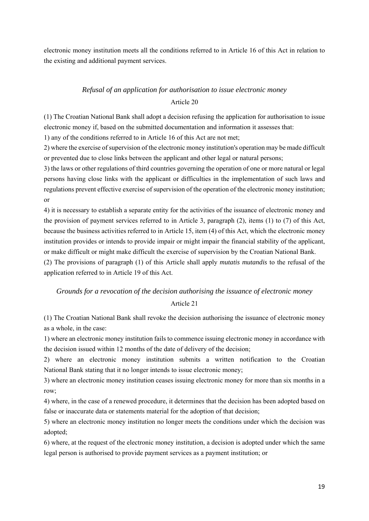electronic money institution meets all the conditions referred to in Article 16 of this Act in relation to the existing and additional payment services.

# *Refusal of an application for authorisation to issue electronic money*  Article 20

(1) The Croatian National Bank shall adopt a decision refusing the application for authorisation to issue electronic money if, based on the submitted documentation and information it assesses that:

1) any of the conditions referred to in Article 16 of this Act are not met;

2) where the exercise of supervision of the electronic money institution's operation may be made difficult or prevented due to close links between the applicant and other legal or natural persons;

3) the laws or other regulations of third countries governing the operation of one or more natural or legal persons having close links with the applicant or difficulties in the implementation of such laws and regulations prevent effective exercise of supervision of the operation of the electronic money institution; or

4) it is necessary to establish a separate entity for the activities of the issuance of electronic money and the provision of payment services referred to in Article 3, paragraph (2), items (1) to (7) of this Act, because the business activities referred to in Article 15, item (4) of this Act, which the electronic money institution provides or intends to provide impair or might impair the financial stability of the applicant, or make difficult or might make difficult the exercise of supervision by the Croatian National Bank.

(2) The provisions of paragraph (1) of this Article shall apply *mutatis mutandis* to the refusal of the application referred to in Article 19 of this Act.

# *Grounds for a revocation of the decision authorising the issuance of electronic money*

# Article 21

(1) The Croatian National Bank shall revoke the decision authorising the issuance of electronic money as a whole, in the case:

1) where an electronic money institution fails to commence issuing electronic money in accordance with the decision issued within 12 months of the date of delivery of the decision;

2) where an electronic money institution submits a written notification to the Croatian National Bank stating that it no longer intends to issue electronic money;

3) where an electronic money institution ceases issuing electronic money for more than six months in a row;

4) where, in the case of a renewed procedure, it determines that the decision has been adopted based on false or inaccurate data or statements material for the adoption of that decision;

5) where an electronic money institution no longer meets the conditions under which the decision was adopted;

6) where, at the request of the electronic money institution, a decision is adopted under which the same legal person is authorised to provide payment services as a payment institution; or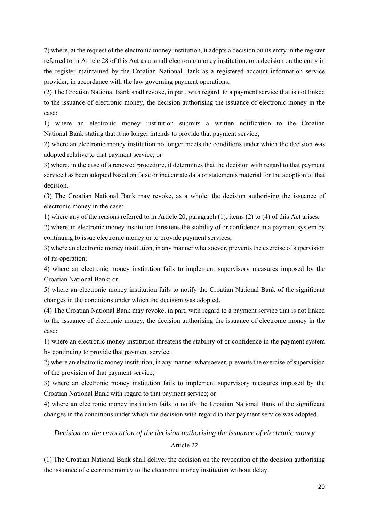7) where, at the request of the electronic money institution, it adopts a decision on its entry in the register referred to in Article 28 of this Act as a small electronic money institution, or a decision on the entry in the register maintained by the Croatian National Bank as a registered account information service provider, in accordance with the law governing payment operations.

(2) The Croatian National Bank shall revoke, in part, with regard to a payment service that is not linked to the issuance of electronic money, the decision authorising the issuance of electronic money in the case:

1) where an electronic money institution submits a written notification to the Croatian National Bank stating that it no longer intends to provide that payment service;

2) where an electronic money institution no longer meets the conditions under which the decision was adopted relative to that payment service; or

3) where, in the case of a renewed procedure, it determines that the decision with regard to that payment service has been adopted based on false or inaccurate data or statements material for the adoption of that decision.

(3) The Croatian National Bank may revoke, as a whole, the decision authorising the issuance of electronic money in the case:

1) where any of the reasons referred to in Article 20, paragraph (1), items (2) to (4) of this Act arises;

2) where an electronic money institution threatens the stability of or confidence in a payment system by continuing to issue electronic money or to provide payment services;

3) where an electronic money institution, in any manner whatsoever, prevents the exercise of supervision of its operation;

4) where an electronic money institution fails to implement supervisory measures imposed by the Croatian National Bank; or

5) where an electronic money institution fails to notify the Croatian National Bank of the significant changes in the conditions under which the decision was adopted.

(4) The Croatian National Bank may revoke, in part, with regard to a payment service that is not linked to the issuance of electronic money, the decision authorising the issuance of electronic money in the case:

1) where an electronic money institution threatens the stability of or confidence in the payment system by continuing to provide that payment service;

2) where an electronic money institution, in any manner whatsoever, prevents the exercise of supervision of the provision of that payment service;

3) where an electronic money institution fails to implement supervisory measures imposed by the Croatian National Bank with regard to that payment service; or

4) where an electronic money institution fails to notify the Croatian National Bank of the significant changes in the conditions under which the decision with regard to that payment service was adopted.

# *Decision on the revocation of the decision authorising the issuance of electronic money*

### Article 22

(1) The Croatian National Bank shall deliver the decision on the revocation of the decision authorising the issuance of electronic money to the electronic money institution without delay.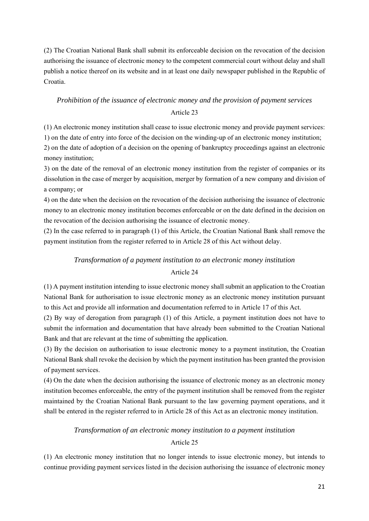(2) The Croatian National Bank shall submit its enforceable decision on the revocation of the decision authorising the issuance of electronic money to the competent commercial court without delay and shall publish a notice thereof on its website and in at least one daily newspaper published in the Republic of Croatia.

# *Prohibition of the issuance of electronic money and the provision of payment services*

# Article 23

(1) An electronic money institution shall cease to issue electronic money and provide payment services: 1) on the date of entry into force of the decision on the winding-up of an electronic money institution;

2) on the date of adoption of a decision on the opening of bankruptcy proceedings against an electronic money institution;

3) on the date of the removal of an electronic money institution from the register of companies or its dissolution in the case of merger by acquisition, merger by formation of a new company and division of a company; or

4) on the date when the decision on the revocation of the decision authorising the issuance of electronic money to an electronic money institution becomes enforceable or on the date defined in the decision on the revocation of the decision authorising the issuance of electronic money.

(2) In the case referred to in paragraph (1) of this Article, the Croatian National Bank shall remove the payment institution from the register referred to in Article 28 of this Act without delay.

# *Transformation of a payment institution to an electronic money institution*  Article 24

(1) A payment institution intending to issue electronic money shall submit an application to the Croatian National Bank for authorisation to issue electronic money as an electronic money institution pursuant to this Act and provide all information and documentation referred to in Article 17 of this Act.

(2) By way of derogation from paragraph (1) of this Article, a payment institution does not have to submit the information and documentation that have already been submitted to the Croatian National Bank and that are relevant at the time of submitting the application.

(3) By the decision on authorisation to issue electronic money to a payment institution, the Croatian National Bank shall revoke the decision by which the payment institution has been granted the provision of payment services.

(4) On the date when the decision authorising the issuance of electronic money as an electronic money institution becomes enforceable, the entry of the payment institution shall be removed from the register maintained by the Croatian National Bank pursuant to the law governing payment operations, and it shall be entered in the register referred to in Article 28 of this Act as an electronic money institution.

# *Transformation of an electronic money institution to a payment institution*

# Article 25

(1) An electronic money institution that no longer intends to issue electronic money, but intends to continue providing payment services listed in the decision authorising the issuance of electronic money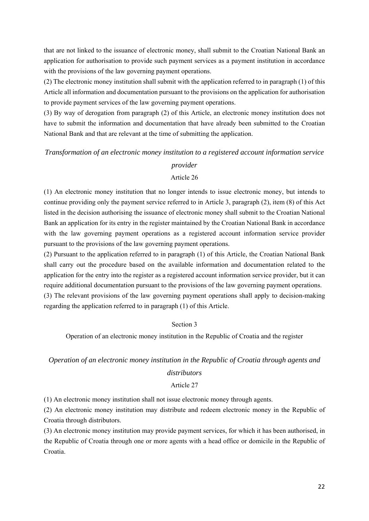that are not linked to the issuance of electronic money, shall submit to the Croatian National Bank an application for authorisation to provide such payment services as a payment institution in accordance with the provisions of the law governing payment operations.

(2) The electronic money institution shall submit with the application referred to in paragraph (1) of this Article all information and documentation pursuant to the provisions on the application for authorisation to provide payment services of the law governing payment operations.

(3) By way of derogation from paragraph (2) of this Article, an electronic money institution does not have to submit the information and documentation that have already been submitted to the Croatian National Bank and that are relevant at the time of submitting the application.

# *Transformation of an electronic money institution to a registered account information service*

### *provider*

### Article 26

(1) An electronic money institution that no longer intends to issue electronic money, but intends to continue providing only the payment service referred to in Article 3, paragraph (2), item (8) of this Act listed in the decision authorising the issuance of electronic money shall submit to the Croatian National Bank an application for its entry in the register maintained by the Croatian National Bank in accordance with the law governing payment operations as a registered account information service provider pursuant to the provisions of the law governing payment operations.

(2) Pursuant to the application referred to in paragraph (1) of this Article, the Croatian National Bank shall carry out the procedure based on the available information and documentation related to the application for the entry into the register as a registered account information service provider, but it can require additional documentation pursuant to the provisions of the law governing payment operations. (3) The relevant provisions of the law governing payment operations shall apply to decision-making regarding the application referred to in paragraph (1) of this Article.

# Section 3

Operation of an electronic money institution in the Republic of Croatia and the register

# *Operation of an electronic money institution in the Republic of Croatia through agents and distributors*

# Article 27

(1) An electronic money institution shall not issue electronic money through agents.

(2) An electronic money institution may distribute and redeem electronic money in the Republic of Croatia through distributors.

(3) An electronic money institution may provide payment services, for which it has been authorised, in the Republic of Croatia through one or more agents with a head office or domicile in the Republic of Croatia.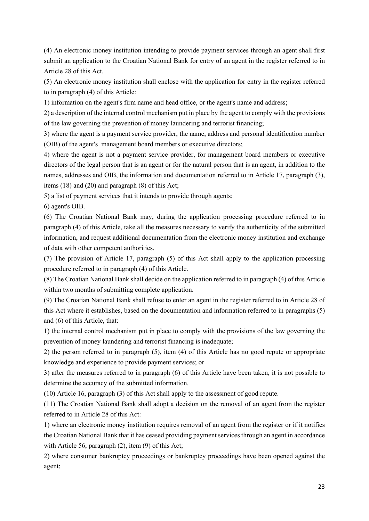(4) An electronic money institution intending to provide payment services through an agent shall first submit an application to the Croatian National Bank for entry of an agent in the register referred to in Article 28 of this Act.

(5) An electronic money institution shall enclose with the application for entry in the register referred to in paragraph (4) of this Article:

1) information on the agent's firm name and head office, or the agent's name and address;

2) a description of the internal control mechanism put in place by the agent to comply with the provisions of the law governing the prevention of money laundering and terrorist financing;

3) where the agent is a payment service provider, the name, address and personal identification number (OIB) of the agent's management board members or executive directors;

4) where the agent is not a payment service provider, for management board members or executive directors of the legal person that is an agent or for the natural person that is an agent, in addition to the names, addresses and OIB, the information and documentation referred to in Article 17, paragraph (3), items (18) and (20) and paragraph (8) of this Act;

5) a list of payment services that it intends to provide through agents;

6) agent's OIB.

(6) The Croatian National Bank may, during the application processing procedure referred to in paragraph (4) of this Article, take all the measures necessary to verify the authenticity of the submitted information, and request additional documentation from the electronic money institution and exchange of data with other competent authorities.

(7) The provision of Article 17, paragraph (5) of this Act shall apply to the application processing procedure referred to in paragraph (4) of this Article.

(8) The Croatian National Bank shall decide on the application referred to in paragraph (4) of this Article within two months of submitting complete application.

(9) The Croatian National Bank shall refuse to enter an agent in the register referred to in Article 28 of this Act where it establishes, based on the documentation and information referred to in paragraphs (5) and (6) of this Article, that:

1) the internal control mechanism put in place to comply with the provisions of the law governing the prevention of money laundering and terrorist financing is inadequate;

2) the person referred to in paragraph (5), item (4) of this Article has no good repute or appropriate knowledge and experience to provide payment services; or

3) after the measures referred to in paragraph (6) of this Article have been taken, it is not possible to determine the accuracy of the submitted information.

(10) Article 16, paragraph (3) of this Act shall apply to the assessment of good repute.

(11) The Croatian National Bank shall adopt a decision on the removal of an agent from the register referred to in Article 28 of this Act:

1) where an electronic money institution requires removal of an agent from the register or if it notifies the Croatian National Bank that it has ceased providing payment services through an agent in accordance with Article 56, paragraph (2), item (9) of this Act;

2) where consumer bankruptcy proceedings or bankruptcy proceedings have been opened against the agent;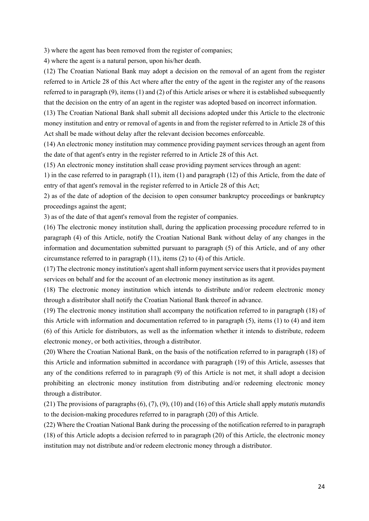3) where the agent has been removed from the register of companies;

4) where the agent is a natural person, upon his/her death.

(12) The Croatian National Bank may adopt a decision on the removal of an agent from the register referred to in Article 28 of this Act where after the entry of the agent in the register any of the reasons referred to in paragraph (9), items (1) and (2) of this Article arises or where it is established subsequently that the decision on the entry of an agent in the register was adopted based on incorrect information.

(13) The Croatian National Bank shall submit all decisions adopted under this Article to the electronic money institution and entry or removal of agents in and from the register referred to in Article 28 of this Act shall be made without delay after the relevant decision becomes enforceable.

(14) An electronic money institution may commence providing payment services through an agent from the date of that agent's entry in the register referred to in Article 28 of this Act.

(15) An electronic money institution shall cease providing payment services through an agent:

1) in the case referred to in paragraph (11), item (1) and paragraph (12) of this Article, from the date of entry of that agent's removal in the register referred to in Article 28 of this Act;

2) as of the date of adoption of the decision to open consumer bankruptcy proceedings or bankruptcy proceedings against the agent;

3) as of the date of that agent's removal from the register of companies.

(16) The electronic money institution shall, during the application processing procedure referred to in paragraph (4) of this Article, notify the Croatian National Bank without delay of any changes in the information and documentation submitted pursuant to paragraph (5) of this Article, and of any other circumstance referred to in paragraph (11), items (2) to (4) of this Article.

(17) The electronic money institution's agent shall inform payment service users that it provides payment services on behalf and for the account of an electronic money institution as its agent.

(18) The electronic money institution which intends to distribute and/or redeem electronic money through a distributor shall notify the Croatian National Bank thereof in advance.

(19) The electronic money institution shall accompany the notification referred to in paragraph (18) of this Article with information and documentation referred to in paragraph (5), items (1) to (4) and item (6) of this Article for distributors, as well as the information whether it intends to distribute, redeem electronic money, or both activities, through a distributor.

(20) Where the Croatian National Bank, on the basis of the notification referred to in paragraph (18) of this Article and information submitted in accordance with paragraph (19) of this Article, assesses that any of the conditions referred to in paragraph (9) of this Article is not met, it shall adopt a decision prohibiting an electronic money institution from distributing and/or redeeming electronic money through a distributor.

(21) The provisions of paragraphs (6), (7), (9), (10) and (16) of this Article shall apply *mutatis mutandis* to the decision-making procedures referred to in paragraph (20) of this Article.

(22) Where the Croatian National Bank during the processing of the notification referred to in paragraph (18) of this Article adopts a decision referred to in paragraph (20) of this Article, the electronic money institution may not distribute and/or redeem electronic money through a distributor.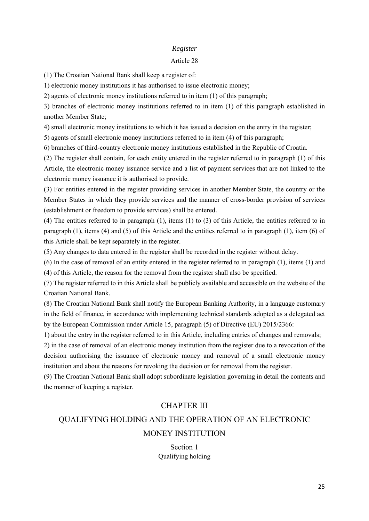# *Register*

### Article 28

(1) The Croatian National Bank shall keep a register of:

1) electronic money institutions it has authorised to issue electronic money;

2) agents of electronic money institutions referred to in item (1) of this paragraph;

3) branches of electronic money institutions referred to in item (1) of this paragraph established in another Member State;

4) small electronic money institutions to which it has issued a decision on the entry in the register;

5) agents of small electronic money institutions referred to in item (4) of this paragraph;

6) branches of third-country electronic money institutions established in the Republic of Croatia.

(2) The register shall contain, for each entity entered in the register referred to in paragraph (1) of this Article, the electronic money issuance service and a list of payment services that are not linked to the electronic money issuance it is authorised to provide.

(3) For entities entered in the register providing services in another Member State, the country or the Member States in which they provide services and the manner of cross-border provision of services (establishment or freedom to provide services) shall be entered.

(4) The entities referred to in paragraph (1), items (1) to (3) of this Article, the entities referred to in paragraph (1), items (4) and (5) of this Article and the entities referred to in paragraph (1), item (6) of this Article shall be kept separately in the register.

(5) Any changes to data entered in the register shall be recorded in the register without delay.

(6) In the case of removal of an entity entered in the register referred to in paragraph (1), items (1) and (4) of this Article, the reason for the removal from the register shall also be specified.

(7) The register referred to in this Article shall be publicly available and accessible on the website of the Croatian National Bank.

(8) The Croatian National Bank shall notify the European Banking Authority, in a language customary in the field of finance, in accordance with implementing technical standards adopted as a delegated act by the European Commission under Article 15, paragraph (5) of Directive (EU) 2015/2366:

1) about the entry in the register referred to in this Article, including entries of changes and removals;

2) in the case of removal of an electronic money institution from the register due to a revocation of the decision authorising the issuance of electronic money and removal of a small electronic money institution and about the reasons for revoking the decision or for removal from the register.

(9) The Croatian National Bank shall adopt subordinate legislation governing in detail the contents and the manner of keeping a register.

# CHAPTER III

# QUALIFYING HOLDING AND THE OPERATION OF AN ELECTRONIC

# MONEY INSTITUTION

Section 1 Qualifying holding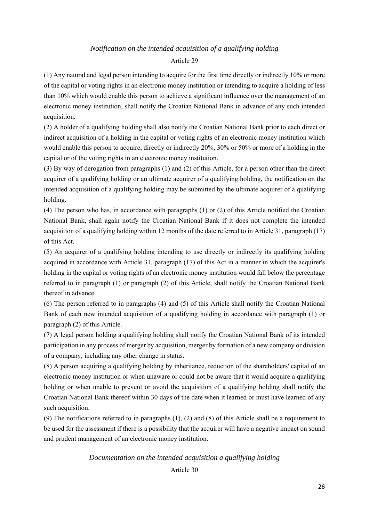# *Notification on the intended acquisition of a qualifying holding*

### Article 29

(1) Any natural and legal person intending to acquire for the first time directly or indirectly 10% or more of the capital or voting rights in an electronic money institution or intending to acquire a holding of less than 10% which would enable this person to achieve a significant influence over the management of an electronic money institution, shall notify the Croatian National Bank in advance of any such intended acquisition.

(2) A holder of a qualifying holding shall also notify the Croatian National Bank prior to each direct or indirect acquisition of a holding in the capital or voting rights of an electronic money institution which would enable this person to acquire, directly or indirectly 20%, 30% or 50% or more of a holding in the capital or of the voting rights in an electronic money institution.

(3) By way of derogation from paragraphs (1) and (2) of this Article, for a person other than the direct acquirer of a qualifying holding or an ultimate acquirer of a qualifying holding, the notification on the intended acquisition of a qualifying holding may be submitted by the ultimate acquirer of a qualifying holding.

(4) The person who has, in accordance with paragraphs (1) or (2) of this Article notified the Croatian National Bank, shall again notify the Croatian National Bank if it does not complete the intended acquisition of a qualifying holding within 12 months of the date referred to in Article 31, paragraph (17) of this Act.

(5) An acquirer of a qualifying holding intending to use directly or indirectly its qualifying holding acquired in accordance with Article 31, paragraph (17) of this Act in a manner in which the acquirer's holding in the capital or voting rights of an electronic money institution would fall below the percentage referred to in paragraph (1) or paragraph (2) of this Article, shall notify the Croatian National Bank thereof in advance.

(6) The person referred to in paragraphs (4) and (5) of this Article shall notify the Croatian National Bank of each new intended acquisition of a qualifying holding in accordance with paragraph (1) or paragraph (2) of this Article.

(7) A legal person holding a qualifying holding shall notify the Croatian National Bank of its intended participation in any process of merger by acquisition, merger by formation of a new company or division of a company, including any other change in status.

(8) A person acquiring a qualifying holding by inheritance, reduction of the shareholders' capital of an electronic money institution or when unaware or could not be aware that it would acquire a qualifying holding or when unable to prevent or avoid the acquisition of a qualifying holding shall notify the Croatian National Bank thereof within 30 days of the date when it learned or must have learned of any such acquisition.

(9) The notifications referred to in paragraphs (1), (2) and (8) of this Article shall be a requirement to be used for the assessment if there is a possibility that the acquirer will have a negative impact on sound and prudent management of an electronic money institution.

#### *Documentation on the intended acquisition a qualifying holding*

Article 30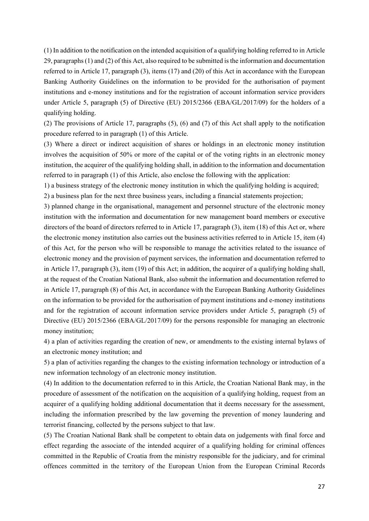(1) In addition to the notification on the intended acquisition of a qualifying holding referred to in Article 29, paragraphs (1) and (2) of this Act, also required to be submitted is the information and documentation referred to in Article 17, paragraph (3), items (17) and (20) of this Act in accordance with the European Banking Authority Guidelines on the information to be provided for the authorisation of payment institutions and e-money institutions and for the registration of account information service providers under Article 5, paragraph (5) of Directive (EU) 2015/2366 (EBA/GL/2017/09) for the holders of a qualifying holding.

(2) The provisions of Article 17, paragraphs (5), (6) and (7) of this Act shall apply to the notification procedure referred to in paragraph (1) of this Article.

(3) Where a direct or indirect acquisition of shares or holdings in an electronic money institution involves the acquisition of 50% or more of the capital or of the voting rights in an electronic money institution, the acquirer of the qualifying holding shall, in addition to the information and documentation referred to in paragraph (1) of this Article, also enclose the following with the application:

1) a business strategy of the electronic money institution in which the qualifying holding is acquired;

2) a business plan for the next three business years, including a financial statements projection;

3) planned change in the organisational, management and personnel structure of the electronic money institution with the information and documentation for new management board members or executive directors of the board of directors referred to in Article 17, paragraph (3), item (18) of this Act or, where the electronic money institution also carries out the business activities referred to in Article 15, item (4) of this Act, for the person who will be responsible to manage the activities related to the issuance of electronic money and the provision of payment services, the information and documentation referred to in Article 17, paragraph (3), item (19) of this Act; in addition, the acquirer of a qualifying holding shall, at the request of the Croatian National Bank, also submit the information and documentation referred to in Article 17, paragraph (8) of this Act, in accordance with the European Banking Authority Guidelines on the information to be provided for the authorisation of payment institutions and e-money institutions and for the registration of account information service providers under Article 5, paragraph (5) of Directive (EU) 2015/2366 (EBA/GL/2017/09) for the persons responsible for managing an electronic money institution;

4) a plan of activities regarding the creation of new, or amendments to the existing internal bylaws of an electronic money institution; and

5) a plan of activities regarding the changes to the existing information technology or introduction of a new information technology of an electronic money institution.

(4) In addition to the documentation referred to in this Article, the Croatian National Bank may, in the procedure of assessment of the notification on the acquisition of a qualifying holding, request from an acquirer of a qualifying holding additional documentation that it deems necessary for the assessment, including the information prescribed by the law governing the prevention of money laundering and terrorist financing, collected by the persons subject to that law.

(5) The Croatian National Bank shall be competent to obtain data on judgements with final force and effect regarding the associate of the intended acquirer of a qualifying holding for criminal offences committed in the Republic of Croatia from the ministry responsible for the judiciary, and for criminal offences committed in the territory of the European Union from the European Criminal Records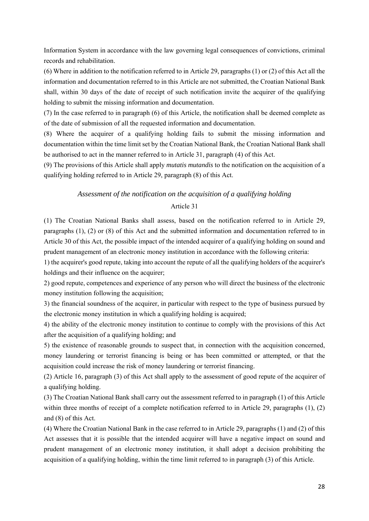Information System in accordance with the law governing legal consequences of convictions, criminal records and rehabilitation.

(6) Where in addition to the notification referred to in Article 29, paragraphs (1) or (2) of this Act all the information and documentation referred to in this Article are not submitted, the Croatian National Bank shall, within 30 days of the date of receipt of such notification invite the acquirer of the qualifying holding to submit the missing information and documentation.

(7) In the case referred to in paragraph (6) of this Article, the notification shall be deemed complete as of the date of submission of all the requested information and documentation.

(8) Where the acquirer of a qualifying holding fails to submit the missing information and documentation within the time limit set by the Croatian National Bank, the Croatian National Bank shall be authorised to act in the manner referred to in Article 31, paragraph (4) of this Act.

(9) The provisions of this Article shall apply *mutatis mutandis* to the notification on the acquisition of a qualifying holding referred to in Article 29, paragraph (8) of this Act.

# *Assessment of the notification on the acquisition of a qualifying holding*

# Article 31

(1) The Croatian National Banks shall assess, based on the notification referred to in Article 29, paragraphs (1), (2) or (8) of this Act and the submitted information and documentation referred to in Article 30 of this Act, the possible impact of the intended acquirer of a qualifying holding on sound and prudent management of an electronic money institution in accordance with the following criteria:

1) the acquirer's good repute, taking into account the repute of all the qualifying holders of the acquirer's holdings and their influence on the acquirer;

2) good repute, competences and experience of any person who will direct the business of the electronic money institution following the acquisition;

3) the financial soundness of the acquirer, in particular with respect to the type of business pursued by the electronic money institution in which a qualifying holding is acquired;

4) the ability of the electronic money institution to continue to comply with the provisions of this Act after the acquisition of a qualifying holding; and

5) the existence of reasonable grounds to suspect that, in connection with the acquisition concerned, money laundering or terrorist financing is being or has been committed or attempted, or that the acquisition could increase the risk of money laundering or terrorist financing.

(2) Article 16, paragraph (3) of this Act shall apply to the assessment of good repute of the acquirer of a qualifying holding.

(3) The Croatian National Bank shall carry out the assessment referred to in paragraph (1) of this Article within three months of receipt of a complete notification referred to in Article 29, paragraphs (1), (2) and (8) of this Act.

(4) Where the Croatian National Bank in the case referred to in Article 29, paragraphs (1) and (2) of this Act assesses that it is possible that the intended acquirer will have a negative impact on sound and prudent management of an electronic money institution, it shall adopt a decision prohibiting the acquisition of a qualifying holding, within the time limit referred to in paragraph (3) of this Article.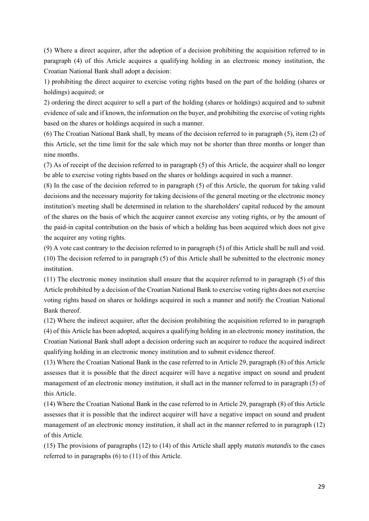(5) Where a direct acquirer, after the adoption of a decision prohibiting the acquisition referred to in paragraph (4) of this Article acquires a qualifying holding in an electronic money institution, the Croatian National Bank shall adopt a decision:

1) prohibiting the direct acquirer to exercise voting rights based on the part of the holding (shares or holdings) acquired; or

2) ordering the direct acquirer to sell a part of the holding (shares or holdings) acquired and to submit evidence of sale and if known, the information on the buyer, and prohibiting the exercise of voting rights based on the shares or holdings acquired in such a manner.

(6) The Croatian National Bank shall, by means of the decision referred to in paragraph (5), item (2) of this Article, set the time limit for the sale which may not be shorter than three months or longer than nine months.

(7) As of receipt of the decision referred to in paragraph (5) of this Article, the acquirer shall no longer be able to exercise voting rights based on the shares or holdings acquired in such a manner.

(8) In the case of the decision referred to in paragraph (5) of this Article, the quorum for taking valid decisions and the necessary majority for taking decisions of the general meeting or the electronic money institution's meeting shall be determined in relation to the shareholders' capital reduced by the amount of the shares on the basis of which the acquirer cannot exercise any voting rights, or by the amount of the paid-in capital contribution on the basis of which a holding has been acquired which does not give the acquirer any voting rights.

(9) A vote cast contrary to the decision referred to in paragraph (5) of this Article shall be null and void. (10) The decision referred to in paragraph (5) of this Article shall be submitted to the electronic money institution.

(11) The electronic money institution shall ensure that the acquirer referred to in paragraph (5) of this Article prohibited by a decision of the Croatian National Bank to exercise voting rights does not exercise voting rights based on shares or holdings acquired in such a manner and notify the Croatian National Bank thereof.

(12) Where the indirect acquirer, after the decision prohibiting the acquisition referred to in paragraph (4) of this Article has been adopted, acquires a qualifying holding in an electronic money institution, the Croatian National Bank shall adopt a decision ordering such an acquirer to reduce the acquired indirect qualifying holding in an electronic money institution and to submit evidence thereof.

(13) Where the Croatian National Bank in the case referred to in Article 29, paragraph (8) of this Article assesses that it is possible that the direct acquirer will have a negative impact on sound and prudent management of an electronic money institution, it shall act in the manner referred to in paragraph (5) of this Article.

(14) Where the Croatian National Bank in the case referred to in Article 29, paragraph (8) of this Article assesses that it is possible that the indirect acquirer will have a negative impact on sound and prudent management of an electronic money institution, it shall act in the manner referred to in paragraph (12) of this Article.

(15) The provisions of paragraphs (12) to (14) of this Article shall apply *mutatis mutandis* to the cases referred to in paragraphs (6) to (11) of this Article.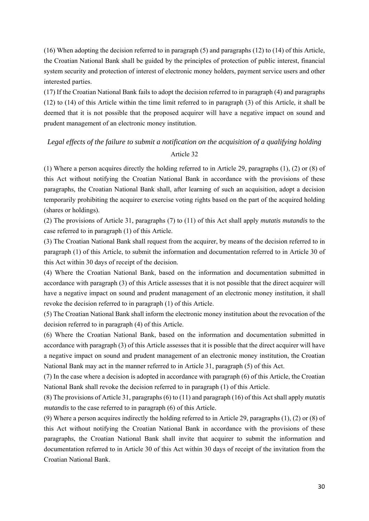(16) When adopting the decision referred to in paragraph (5) and paragraphs (12) to (14) of this Article, the Croatian National Bank shall be guided by the principles of protection of public interest, financial system security and protection of interest of electronic money holders, payment service users and other interested parties.

(17) If the Croatian National Bank fails to adopt the decision referred to in paragraph (4) and paragraphs (12) to (14) of this Article within the time limit referred to in paragraph (3) of this Article, it shall be deemed that it is not possible that the proposed acquirer will have a negative impact on sound and prudent management of an electronic money institution.

# *Legal effects of the failure to submit a notification on the acquisition of a qualifying holding*  Article 32

(1) Where a person acquires directly the holding referred to in Article 29, paragraphs (1), (2) or (8) of this Act without notifying the Croatian National Bank in accordance with the provisions of these paragraphs, the Croatian National Bank shall, after learning of such an acquisition, adopt a decision temporarily prohibiting the acquirer to exercise voting rights based on the part of the acquired holding (shares or holdings).

(2) The provisions of Article 31, paragraphs (7) to (11) of this Act shall apply *mutatis mutandis* to the case referred to in paragraph (1) of this Article.

(3) The Croatian National Bank shall request from the acquirer, by means of the decision referred to in paragraph (1) of this Article, to submit the information and documentation referred to in Article 30 of this Act within 30 days of receipt of the decision.

(4) Where the Croatian National Bank, based on the information and documentation submitted in accordance with paragraph (3) of this Article assesses that it is not possible that the direct acquirer will have a negative impact on sound and prudent management of an electronic money institution, it shall revoke the decision referred to in paragraph (1) of this Article.

(5) The Croatian National Bank shall inform the electronic money institution about the revocation of the decision referred to in paragraph (4) of this Article.

(6) Where the Croatian National Bank, based on the information and documentation submitted in accordance with paragraph (3) of this Article assesses that it is possible that the direct acquirer will have a negative impact on sound and prudent management of an electronic money institution, the Croatian National Bank may act in the manner referred to in Article 31, paragraph (5) of this Act.

(7) In the case where a decision is adopted in accordance with paragraph (6) of this Article, the Croatian National Bank shall revoke the decision referred to in paragraph (1) of this Article.

(8) The provisions of Article 31, paragraphs (6) to (11) and paragraph (16) of this Act shall apply *mutatis mutandis* to the case referred to in paragraph (6) of this Article.

(9) Where a person acquires indirectly the holding referred to in Article 29, paragraphs (1), (2) or (8) of this Act without notifying the Croatian National Bank in accordance with the provisions of these paragraphs, the Croatian National Bank shall invite that acquirer to submit the information and documentation referred to in Article 30 of this Act within 30 days of receipt of the invitation from the Croatian National Bank.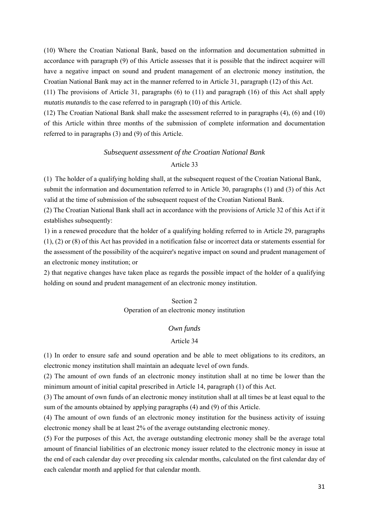(10) Where the Croatian National Bank, based on the information and documentation submitted in accordance with paragraph (9) of this Article assesses that it is possible that the indirect acquirer will have a negative impact on sound and prudent management of an electronic money institution, the Croatian National Bank may act in the manner referred to in Article 31, paragraph (12) of this Act.

(11) The provisions of Article 31, paragraphs (6) to (11) and paragraph (16) of this Act shall apply *mutatis mutandis* to the case referred to in paragraph (10) of this Article.

(12) The Croatian National Bank shall make the assessment referred to in paragraphs (4), (6) and (10) of this Article within three months of the submission of complete information and documentation referred to in paragraphs (3) and (9) of this Article.

#### *Subsequent assessment of the Croatian National Bank*

#### Article 33

(1) The holder of a qualifying holding shall, at the subsequent request of the Croatian National Bank, submit the information and documentation referred to in Article 30, paragraphs (1) and (3) of this Act valid at the time of submission of the subsequent request of the Croatian National Bank.

(2) The Croatian National Bank shall act in accordance with the provisions of Article 32 of this Act if it establishes subsequently:

1) in a renewed procedure that the holder of a qualifying holding referred to in Article 29, paragraphs (1), (2) or (8) of this Act has provided in a notification false or incorrect data or statements essential for the assessment of the possibility of the acquirer's negative impact on sound and prudent management of an electronic money institution; or

2) that negative changes have taken place as regards the possible impact of the holder of a qualifying holding on sound and prudent management of an electronic money institution.

# Section 2 Operation of an electronic money institution

# *Own funds*

#### Article 34

(1) In order to ensure safe and sound operation and be able to meet obligations to its creditors, an electronic money institution shall maintain an adequate level of own funds.

(2) The amount of own funds of an electronic money institution shall at no time be lower than the minimum amount of initial capital prescribed in Article 14, paragraph (1) of this Act.

(3) The amount of own funds of an electronic money institution shall at all times be at least equal to the sum of the amounts obtained by applying paragraphs (4) and (9) of this Article.

(4) The amount of own funds of an electronic money institution for the business activity of issuing electronic money shall be at least 2% of the average outstanding electronic money.

(5) For the purposes of this Act, the average outstanding electronic money shall be the average total amount of financial liabilities of an electronic money issuer related to the electronic money in issue at the end of each calendar day over preceding six calendar months, calculated on the first calendar day of each calendar month and applied for that calendar month.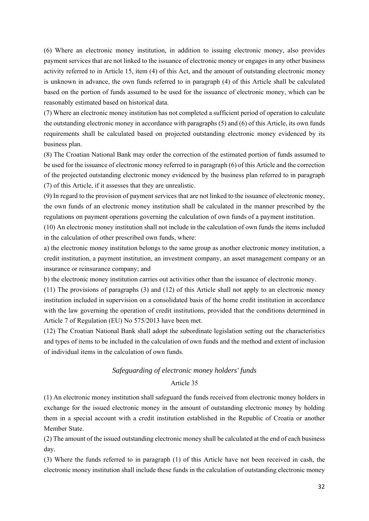(6) Where an electronic money institution, in addition to issuing electronic money, also provides payment services that are not linked to the issuance of electronic money or engages in any other business activity referred to in Article 15, item (4) of this Act, and the amount of outstanding electronic money is unknown in advance, the own funds referred to in paragraph (4) of this Article shall be calculated based on the portion of funds assumed to be used for the issuance of electronic money, which can be reasonably estimated based on historical data.

(7) Where an electronic money institution has not completed a sufficient period of operation to calculate the outstanding electronic money in accordance with paragraphs (5) and (6) of this Article, its own funds requirements shall be calculated based on projected outstanding electronic money evidenced by its business plan.

(8) The Croatian National Bank may order the correction of the estimated portion of funds assumed to be used for the issuance of electronic money referred to in paragraph (6) of this Article and the correction of the projected outstanding electronic money evidenced by the business plan referred to in paragraph (7) of this Article, if it assesses that they are unrealistic.

(9) In regard to the provision of payment services that are not linked to the issuance of electronic money, the own funds of an electronic money institution shall be calculated in the manner prescribed by the regulations on payment operations governing the calculation of own funds of a payment institution.

(10) An electronic money institution shall not include in the calculation of own funds the items included in the calculation of other prescribed own funds, where:

a) the electronic money institution belongs to the same group as another electronic money institution, a credit institution, a payment institution, an investment company, an asset management company or an insurance or reinsurance company; and

b) the electronic money institution carries out activities other than the issuance of electronic money.

(11) The provisions of paragraphs (3) and (12) of this Article shall not apply to an electronic money institution included in supervision on a consolidated basis of the home credit institution in accordance with the law governing the operation of credit institutions, provided that the conditions determined in Article 7 of Regulation (EU) No 575/2013 have been met.

(12) The Croatian National Bank shall adopt the subordinate legislation setting out the characteristics and types of items to be included in the calculation of own funds and the method and extent of inclusion of individual items in the calculation of own funds.

# *Safeguarding of electronic money holders' funds*  Article 35

(1) An electronic money institution shall safeguard the funds received from electronic money holders in exchange for the issued electronic money in the amount of outstanding electronic money by holding them in a special account with a credit institution established in the Republic of Croatia or another Member State.

(2) The amount of the issued outstanding electronic money shall be calculated at the end of each business day.

(3) Where the funds referred to in paragraph (1) of this Article have not been received in cash, the electronic money institution shall include these funds in the calculation of outstanding electronic money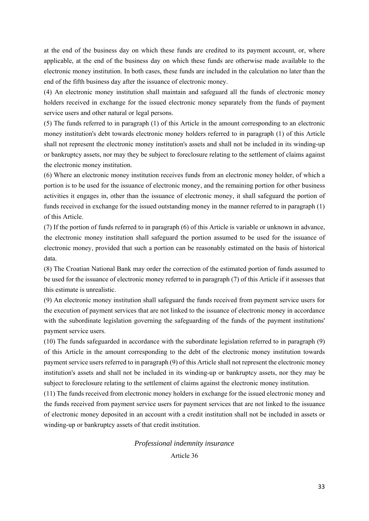at the end of the business day on which these funds are credited to its payment account, or, where applicable, at the end of the business day on which these funds are otherwise made available to the electronic money institution. In both cases, these funds are included in the calculation no later than the end of the fifth business day after the issuance of electronic money.

(4) An electronic money institution shall maintain and safeguard all the funds of electronic money holders received in exchange for the issued electronic money separately from the funds of payment service users and other natural or legal persons.

(5) The funds referred to in paragraph (1) of this Article in the amount corresponding to an electronic money institution's debt towards electronic money holders referred to in paragraph (1) of this Article shall not represent the electronic money institution's assets and shall not be included in its winding-up or bankruptcy assets, nor may they be subject to foreclosure relating to the settlement of claims against the electronic money institution.

(6) Where an electronic money institution receives funds from an electronic money holder, of which a portion is to be used for the issuance of electronic money, and the remaining portion for other business activities it engages in, other than the issuance of electronic money, it shall safeguard the portion of funds received in exchange for the issued outstanding money in the manner referred to in paragraph (1) of this Article.

(7) If the portion of funds referred to in paragraph (6) of this Article is variable or unknown in advance, the electronic money institution shall safeguard the portion assumed to be used for the issuance of electronic money, provided that such a portion can be reasonably estimated on the basis of historical data.

(8) The Croatian National Bank may order the correction of the estimated portion of funds assumed to be used for the issuance of electronic money referred to in paragraph (7) of this Article if it assesses that this estimate is unrealistic.

(9) An electronic money institution shall safeguard the funds received from payment service users for the execution of payment services that are not linked to the issuance of electronic money in accordance with the subordinate legislation governing the safeguarding of the funds of the payment institutions' payment service users.

(10) The funds safeguarded in accordance with the subordinate legislation referred to in paragraph (9) of this Article in the amount corresponding to the debt of the electronic money institution towards payment service users referred to in paragraph (9) of this Article shall not represent the electronic money institution's assets and shall not be included in its winding-up or bankruptcy assets, nor they may be subject to foreclosure relating to the settlement of claims against the electronic money institution.

(11) The funds received from electronic money holders in exchange for the issued electronic money and the funds received from payment service users for payment services that are not linked to the issuance of electronic money deposited in an account with a credit institution shall not be included in assets or winding-up or bankruptcy assets of that credit institution.

# *Professional indemnity insurance*  Article 36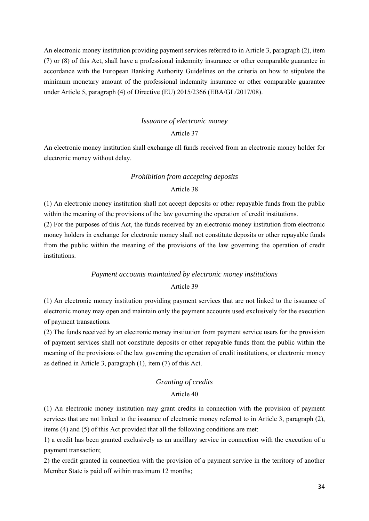An electronic money institution providing payment services referred to in Article 3, paragraph (2), item (7) or (8) of this Act, shall have a professional indemnity insurance or other comparable guarantee in accordance with the European Banking Authority Guidelines on the criteria on how to stipulate the minimum monetary amount of the professional indemnity insurance or other comparable guarantee under Article 5, paragraph (4) of Directive (EU) 2015/2366 (EBA/GL/2017/08).

# *Issuance of electronic money*

# Article 37

An electronic money institution shall exchange all funds received from an electronic money holder for electronic money without delay.

#### *Prohibition from accepting deposits*

# Article 38

(1) An electronic money institution shall not accept deposits or other repayable funds from the public within the meaning of the provisions of the law governing the operation of credit institutions.

(2) For the purposes of this Act, the funds received by an electronic money institution from electronic money holders in exchange for electronic money shall not constitute deposits or other repayable funds from the public within the meaning of the provisions of the law governing the operation of credit institutions.

# *Payment accounts maintained by electronic money institutions*  Article 39

(1) An electronic money institution providing payment services that are not linked to the issuance of electronic money may open and maintain only the payment accounts used exclusively for the execution of payment transactions.

(2) The funds received by an electronic money institution from payment service users for the provision of payment services shall not constitute deposits or other repayable funds from the public within the meaning of the provisions of the law governing the operation of credit institutions, or electronic money as defined in Article 3, paragraph (1), item (7) of this Act.

# *Granting of credits*

# Article 40

(1) An electronic money institution may grant credits in connection with the provision of payment services that are not linked to the issuance of electronic money referred to in Article 3, paragraph (2), items (4) and (5) of this Act provided that all the following conditions are met:

1) a credit has been granted exclusively as an ancillary service in connection with the execution of a payment transaction;

2) the credit granted in connection with the provision of a payment service in the territory of another Member State is paid off within maximum 12 months;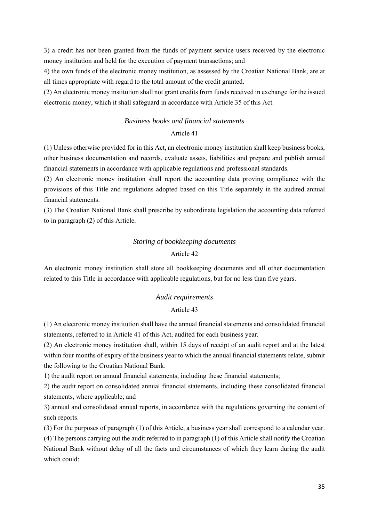3) a credit has not been granted from the funds of payment service users received by the electronic money institution and held for the execution of payment transactions; and

4) the own funds of the electronic money institution, as assessed by the Croatian National Bank, are at all times appropriate with regard to the total amount of the credit granted.

(2) An electronic money institution shall not grant credits from funds received in exchange for the issued electronic money, which it shall safeguard in accordance with Article 35 of this Act.

# *Business books and financial statements*

# Article 41

(1) Unless otherwise provided for in this Act, an electronic money institution shall keep business books, other business documentation and records, evaluate assets, liabilities and prepare and publish annual financial statements in accordance with applicable regulations and professional standards.

(2) An electronic money institution shall report the accounting data proving compliance with the provisions of this Title and regulations adopted based on this Title separately in the audited annual financial statements.

(3) The Croatian National Bank shall prescribe by subordinate legislation the accounting data referred to in paragraph (2) of this Article.

# *Storing of bookkeeping documents*

# Article 42

An electronic money institution shall store all bookkeeping documents and all other documentation related to this Title in accordance with applicable regulations, but for no less than five years.

#### *Audit requirements*

### Article 43

(1) An electronic money institution shall have the annual financial statements and consolidated financial statements, referred to in Article 41 of this Act, audited for each business year.

(2) An electronic money institution shall, within 15 days of receipt of an audit report and at the latest within four months of expiry of the business year to which the annual financial statements relate, submit the following to the Croatian National Bank:

1) the audit report on annual financial statements, including these financial statements;

2) the audit report on consolidated annual financial statements, including these consolidated financial statements, where applicable; and

3) annual and consolidated annual reports, in accordance with the regulations governing the content of such reports.

(3) For the purposes of paragraph (1) of this Article, a business year shall correspond to a calendar year.

(4) The persons carrying out the audit referred to in paragraph (1) of this Article shall notify the Croatian National Bank without delay of all the facts and circumstances of which they learn during the audit which could: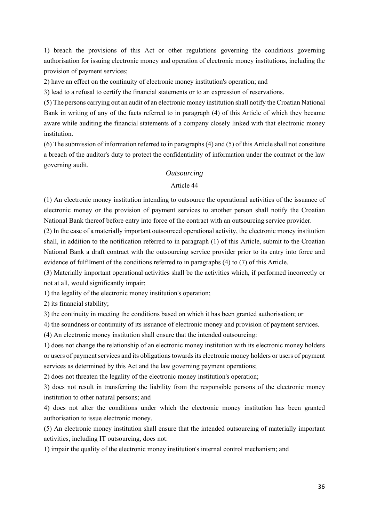1) breach the provisions of this Act or other regulations governing the conditions governing authorisation for issuing electronic money and operation of electronic money institutions, including the provision of payment services;

2) have an effect on the continuity of electronic money institution's operation; and

3) lead to a refusal to certify the financial statements or to an expression of reservations.

(5) The persons carrying out an audit of an electronic money institution shall notify the Croatian National Bank in writing of any of the facts referred to in paragraph (4) of this Article of which they became aware while auditing the financial statements of a company closely linked with that electronic money institution.

(6) The submission of information referred to in paragraphs (4) and (5) of this Article shall not constitute a breach of the auditor's duty to protect the confidentiality of information under the contract or the law governing audit.

### *Outsourcing*

#### Article 44

(1) An electronic money institution intending to outsource the operational activities of the issuance of electronic money or the provision of payment services to another person shall notify the Croatian National Bank thereof before entry into force of the contract with an outsourcing service provider.

(2) In the case of a materially important outsourced operational activity, the electronic money institution shall, in addition to the notification referred to in paragraph (1) of this Article, submit to the Croatian National Bank a draft contract with the outsourcing service provider prior to its entry into force and evidence of fulfilment of the conditions referred to in paragraphs (4) to (7) of this Article.

(3) Materially important operational activities shall be the activities which, if performed incorrectly or not at all, would significantly impair:

1) the legality of the electronic money institution's operation;

2) its financial stability;

3) the continuity in meeting the conditions based on which it has been granted authorisation; or

4) the soundness or continuity of its issuance of electronic money and provision of payment services.

(4) An electronic money institution shall ensure that the intended outsourcing:

1) does not change the relationship of an electronic money institution with its electronic money holders or users of payment services and its obligations towards its electronic money holders or users of payment services as determined by this Act and the law governing payment operations;

2) does not threaten the legality of the electronic money institution's operation;

3) does not result in transferring the liability from the responsible persons of the electronic money institution to other natural persons; and

4) does not alter the conditions under which the electronic money institution has been granted authorisation to issue electronic money.

(5) An electronic money institution shall ensure that the intended outsourcing of materially important activities, including IT outsourcing, does not:

1) impair the quality of the electronic money institution's internal control mechanism; and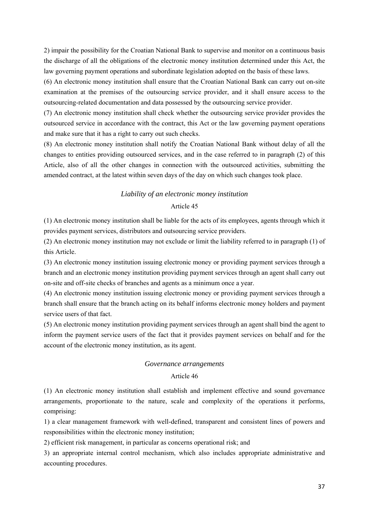2) impair the possibility for the Croatian National Bank to supervise and monitor on a continuous basis the discharge of all the obligations of the electronic money institution determined under this Act, the law governing payment operations and subordinate legislation adopted on the basis of these laws.

(6) An electronic money institution shall ensure that the Croatian National Bank can carry out on-site examination at the premises of the outsourcing service provider, and it shall ensure access to the outsourcing-related documentation and data possessed by the outsourcing service provider.

(7) An electronic money institution shall check whether the outsourcing service provider provides the outsourced service in accordance with the contract, this Act or the law governing payment operations and make sure that it has a right to carry out such checks.

(8) An electronic money institution shall notify the Croatian National Bank without delay of all the changes to entities providing outsourced services, and in the case referred to in paragraph (2) of this Article, also of all the other changes in connection with the outsourced activities, submitting the amended contract, at the latest within seven days of the day on which such changes took place.

### *Liability of an electronic money institution*

### Article 45

(1) An electronic money institution shall be liable for the acts of its employees, agents through which it provides payment services, distributors and outsourcing service providers.

(2) An electronic money institution may not exclude or limit the liability referred to in paragraph (1) of this Article.

(3) An electronic money institution issuing electronic money or providing payment services through a branch and an electronic money institution providing payment services through an agent shall carry out on-site and off-site checks of branches and agents as a minimum once a year.

(4) An electronic money institution issuing electronic money or providing payment services through a branch shall ensure that the branch acting on its behalf informs electronic money holders and payment service users of that fact.

(5) An electronic money institution providing payment services through an agent shall bind the agent to inform the payment service users of the fact that it provides payment services on behalf and for the account of the electronic money institution, as its agent.

#### *Governance arrangements*

#### Article 46

(1) An electronic money institution shall establish and implement effective and sound governance arrangements, proportionate to the nature, scale and complexity of the operations it performs, comprising:

1) a clear management framework with well-defined, transparent and consistent lines of powers and responsibilities within the electronic money institution;

2) efficient risk management, in particular as concerns operational risk; and

3) an appropriate internal control mechanism, which also includes appropriate administrative and accounting procedures.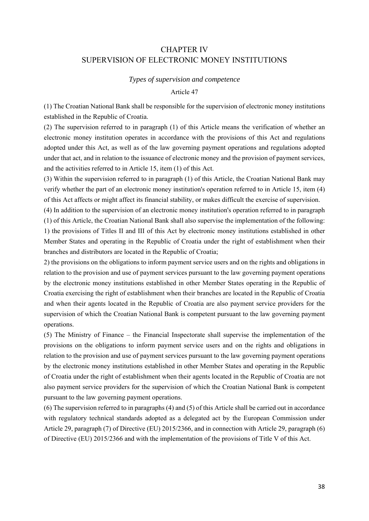# CHAPTER IV SUPERVISION OF ELECTRONIC MONEY INSTITUTIONS

#### *Types of supervision and competence*

#### Article 47

(1) The Croatian National Bank shall be responsible for the supervision of electronic money institutions established in the Republic of Croatia.

(2) The supervision referred to in paragraph (1) of this Article means the verification of whether an electronic money institution operates in accordance with the provisions of this Act and regulations adopted under this Act, as well as of the law governing payment operations and regulations adopted under that act, and in relation to the issuance of electronic money and the provision of payment services, and the activities referred to in Article 15, item (1) of this Act.

(3) Within the supervision referred to in paragraph (1) of this Article, the Croatian National Bank may verify whether the part of an electronic money institution's operation referred to in Article 15, item (4) of this Act affects or might affect its financial stability, or makes difficult the exercise of supervision.

(4) In addition to the supervision of an electronic money institution's operation referred to in paragraph (1) of this Article, the Croatian National Bank shall also supervise the implementation of the following: 1) the provisions of Titles II and III of this Act by electronic money institutions established in other Member States and operating in the Republic of Croatia under the right of establishment when their branches and distributors are located in the Republic of Croatia;

2) the provisions on the obligations to inform payment service users and on the rights and obligations in relation to the provision and use of payment services pursuant to the law governing payment operations by the electronic money institutions established in other Member States operating in the Republic of Croatia exercising the right of establishment when their branches are located in the Republic of Croatia and when their agents located in the Republic of Croatia are also payment service providers for the supervision of which the Croatian National Bank is competent pursuant to the law governing payment operations.

(5) The Ministry of Finance – the Financial Inspectorate shall supervise the implementation of the provisions on the obligations to inform payment service users and on the rights and obligations in relation to the provision and use of payment services pursuant to the law governing payment operations by the electronic money institutions established in other Member States and operating in the Republic of Croatia under the right of establishment when their agents located in the Republic of Croatia are not also payment service providers for the supervision of which the Croatian National Bank is competent pursuant to the law governing payment operations.

(6) The supervision referred to in paragraphs (4) and (5) of this Article shall be carried out in accordance with regulatory technical standards adopted as a delegated act by the European Commission under Article 29, paragraph (7) of Directive (EU) 2015/2366, and in connection with Article 29, paragraph (6) of Directive (EU) 2015/2366 and with the implementation of the provisions of Title V of this Act.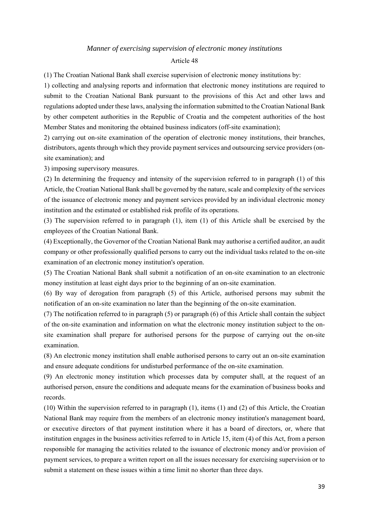### *Manner of exercising supervision of electronic money institutions*

#### Article 48

(1) The Croatian National Bank shall exercise supervision of electronic money institutions by:

1) collecting and analysing reports and information that electronic money institutions are required to submit to the Croatian National Bank pursuant to the provisions of this Act and other laws and regulations adopted under these laws, analysing the information submitted to the Croatian National Bank by other competent authorities in the Republic of Croatia and the competent authorities of the host Member States and monitoring the obtained business indicators (off-site examination);

2) carrying out on-site examination of the operation of electronic money institutions, their branches, distributors, agents through which they provide payment services and outsourcing service providers (onsite examination); and

3) imposing supervisory measures.

(2) In determining the frequency and intensity of the supervision referred to in paragraph (1) of this Article, the Croatian National Bank shall be governed by the nature, scale and complexity of the services of the issuance of electronic money and payment services provided by an individual electronic money institution and the estimated or established risk profile of its operations.

(3) The supervision referred to in paragraph (1), item (1) of this Article shall be exercised by the employees of the Croatian National Bank.

(4) Exceptionally, the Governor of the Croatian National Bank may authorise a certified auditor, an audit company or other professionally qualified persons to carry out the individual tasks related to the on-site examination of an electronic money institution's operation.

(5) The Croatian National Bank shall submit a notification of an on-site examination to an electronic money institution at least eight days prior to the beginning of an on-site examination.

(6) By way of derogation from paragraph (5) of this Article, authorised persons may submit the notification of an on-site examination no later than the beginning of the on-site examination.

(7) The notification referred to in paragraph (5) or paragraph (6) of this Article shall contain the subject of the on-site examination and information on what the electronic money institution subject to the onsite examination shall prepare for authorised persons for the purpose of carrying out the on-site examination.

(8) An electronic money institution shall enable authorised persons to carry out an on-site examination and ensure adequate conditions for undisturbed performance of the on-site examination.

(9) An electronic money institution which processes data by computer shall, at the request of an authorised person, ensure the conditions and adequate means for the examination of business books and records.

(10) Within the supervision referred to in paragraph (1), items (1) and (2) of this Article, the Croatian National Bank may require from the members of an electronic money institution's management board, or executive directors of that payment institution where it has a board of directors, or, where that institution engages in the business activities referred to in Article 15, item (4) of this Act, from a person responsible for managing the activities related to the issuance of electronic money and/or provision of payment services, to prepare a written report on all the issues necessary for exercising supervision or to submit a statement on these issues within a time limit no shorter than three days.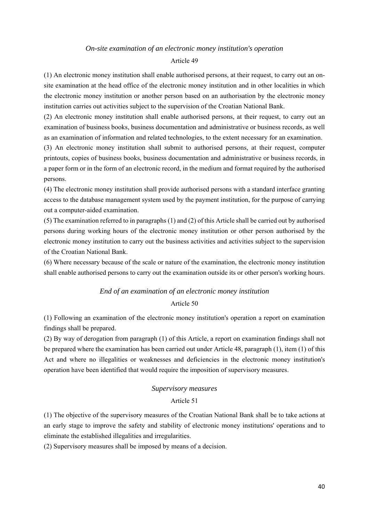#### *On-site examination of an electronic money institution's operation*

#### Article 49

(1) An electronic money institution shall enable authorised persons, at their request, to carry out an onsite examination at the head office of the electronic money institution and in other localities in which the electronic money institution or another person based on an authorisation by the electronic money institution carries out activities subject to the supervision of the Croatian National Bank.

(2) An electronic money institution shall enable authorised persons, at their request, to carry out an examination of business books, business documentation and administrative or business records, as well as an examination of information and related technologies, to the extent necessary for an examination.

(3) An electronic money institution shall submit to authorised persons, at their request, computer printouts, copies of business books, business documentation and administrative or business records, in a paper form or in the form of an electronic record, in the medium and format required by the authorised persons.

(4) The electronic money institution shall provide authorised persons with a standard interface granting access to the database management system used by the payment institution, for the purpose of carrying out a computer-aided examination.

(5) The examination referred to in paragraphs (1) and (2) of this Article shall be carried out by authorised persons during working hours of the electronic money institution or other person authorised by the electronic money institution to carry out the business activities and activities subject to the supervision of the Croatian National Bank.

(6) Where necessary because of the scale or nature of the examination, the electronic money institution shall enable authorised persons to carry out the examination outside its or other person's working hours.

### *End of an examination of an electronic money institution*

## Article 50

(1) Following an examination of the electronic money institution's operation a report on examination findings shall be prepared.

(2) By way of derogation from paragraph (1) of this Article, a report on examination findings shall not be prepared where the examination has been carried out under Article 48, paragraph (1), item (1) of this Act and where no illegalities or weaknesses and deficiencies in the electronic money institution's operation have been identified that would require the imposition of supervisory measures.

#### *Supervisory measures*

#### Article 51

(1) The objective of the supervisory measures of the Croatian National Bank shall be to take actions at an early stage to improve the safety and stability of electronic money institutions' operations and to eliminate the established illegalities and irregularities.

(2) Supervisory measures shall be imposed by means of a decision.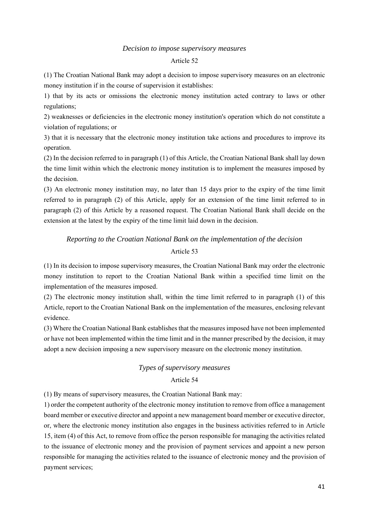#### *Decision to impose supervisory measures*

#### Article 52

(1) The Croatian National Bank may adopt a decision to impose supervisory measures on an electronic money institution if in the course of supervision it establishes:

1) that by its acts or omissions the electronic money institution acted contrary to laws or other regulations;

2) weaknesses or deficiencies in the electronic money institution's operation which do not constitute a violation of regulations; or

3) that it is necessary that the electronic money institution take actions and procedures to improve its operation.

(2) In the decision referred to in paragraph (1) of this Article, the Croatian National Bank shall lay down the time limit within which the electronic money institution is to implement the measures imposed by the decision.

(3) An electronic money institution may, no later than 15 days prior to the expiry of the time limit referred to in paragraph (2) of this Article, apply for an extension of the time limit referred to in paragraph (2) of this Article by a reasoned request. The Croatian National Bank shall decide on the extension at the latest by the expiry of the time limit laid down in the decision.

# *Reporting to the Croatian National Bank on the implementation of the decision*  Article 53

(1) In its decision to impose supervisory measures, the Croatian National Bank may order the electronic money institution to report to the Croatian National Bank within a specified time limit on the implementation of the measures imposed.

(2) The electronic money institution shall, within the time limit referred to in paragraph (1) of this Article, report to the Croatian National Bank on the implementation of the measures, enclosing relevant evidence.

(3) Where the Croatian National Bank establishes that the measures imposed have not been implemented or have not been implemented within the time limit and in the manner prescribed by the decision, it may adopt a new decision imposing a new supervisory measure on the electronic money institution.

# *Types of supervisory measures*

# Article 54

(1) By means of supervisory measures, the Croatian National Bank may:

1) order the competent authority of the electronic money institution to remove from office a management board member or executive director and appoint a new management board member or executive director, or, where the electronic money institution also engages in the business activities referred to in Article 15, item (4) of this Act, to remove from office the person responsible for managing the activities related to the issuance of electronic money and the provision of payment services and appoint a new person responsible for managing the activities related to the issuance of electronic money and the provision of payment services;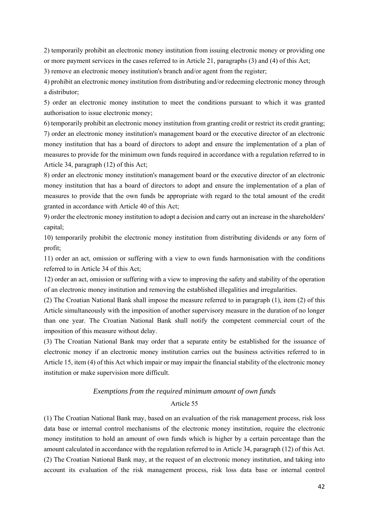2) temporarily prohibit an electronic money institution from issuing electronic money or providing one or more payment services in the cases referred to in Article 21, paragraphs (3) and (4) of this Act;

3) remove an electronic money institution's branch and/or agent from the register;

4) prohibit an electronic money institution from distributing and/or redeeming electronic money through a distributor;

5) order an electronic money institution to meet the conditions pursuant to which it was granted authorisation to issue electronic money;

6) temporarily prohibit an electronic money institution from granting credit or restrict its credit granting; 7) order an electronic money institution's management board or the executive director of an electronic money institution that has a board of directors to adopt and ensure the implementation of a plan of measures to provide for the minimum own funds required in accordance with a regulation referred to in Article 34, paragraph (12) of this Act;

8) order an electronic money institution's management board or the executive director of an electronic money institution that has a board of directors to adopt and ensure the implementation of a plan of measures to provide that the own funds be appropriate with regard to the total amount of the credit granted in accordance with Article 40 of this Act;

9) order the electronic money institution to adopt a decision and carry out an increase in the shareholders' capital;

10) temporarily prohibit the electronic money institution from distributing dividends or any form of profit;

11) order an act, omission or suffering with a view to own funds harmonisation with the conditions referred to in Article 34 of this Act;

12) order an act, omission or suffering with a view to improving the safety and stability of the operation of an electronic money institution and removing the established illegalities and irregularities.

(2) The Croatian National Bank shall impose the measure referred to in paragraph (1), item (2) of this Article simultaneously with the imposition of another supervisory measure in the duration of no longer than one year. The Croatian National Bank shall notify the competent commercial court of the imposition of this measure without delay.

(3) The Croatian National Bank may order that a separate entity be established for the issuance of electronic money if an electronic money institution carries out the business activities referred to in Article 15, item (4) of this Act which impair or may impair the financial stability of the electronic money institution or make supervision more difficult.

# *Exemptions from the required minimum amount of own funds*  Article 55

(1) The Croatian National Bank may, based on an evaluation of the risk management process, risk loss data base or internal control mechanisms of the electronic money institution, require the electronic money institution to hold an amount of own funds which is higher by a certain percentage than the amount calculated in accordance with the regulation referred to in Article 34, paragraph (12) of this Act. (2) The Croatian National Bank may, at the request of an electronic money institution, and taking into account its evaluation of the risk management process, risk loss data base or internal control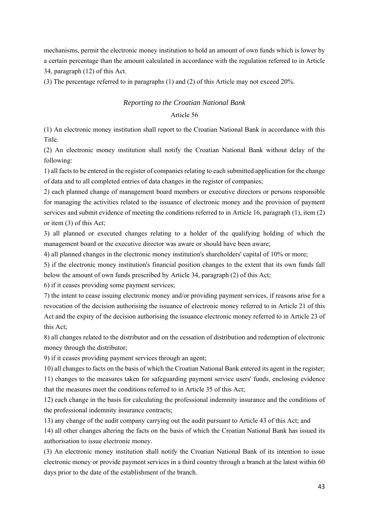mechanisms, permit the electronic money institution to hold an amount of own funds which is lower by a certain percentage than the amount calculated in accordance with the regulation referred to in Article 34, paragraph (12) of this Act.

(3) The percentage referred to in paragraphs (1) and (2) of this Article may not exceed 20%.

# *Reporting to the Croatian National Bank*

## Article 56

(1) An electronic money institution shall report to the Croatian National Bank in accordance with this Title.

(2) An electronic money institution shall notify the Croatian National Bank without delay of the following:

1) all facts to be entered in the register of companies relating to each submitted application for the change of data and to all completed entries of data changes in the register of companies;

2) each planned change of management board members or executive directors or persons responsible for managing the activities related to the issuance of electronic money and the provision of payment services and submit evidence of meeting the conditions referred to in Article 16, paragraph (1), item (2) or item (3) of this Act;

3) all planned or executed changes relating to a holder of the qualifying holding of which the management board or the executive director was aware or should have been aware;

4) all planned changes in the electronic money institution's shareholders' capital of 10% or more;

5) if the electronic money institution's financial position changes to the extent that its own funds fall below the amount of own funds prescribed by Article 34, paragraph (2) of this Act;

6) if it ceases providing some payment services;

7) the intent to cease issuing electronic money and/or providing payment services, if reasons arise for a revocation of the decision authorising the issuance of electronic money referred to in Article 21 of this Act and the expiry of the decision authorising the issuance electronic money referred to in Article 23 of this Act;

8) all changes related to the distributor and on the cessation of distribution and redemption of electronic money through the distributor;

9) if it ceases providing payment services through an agent;

10) all changes to facts on the basis of which the Croatian National Bank entered its agent in the register;

11) changes to the measures taken for safeguarding payment service users' funds, enclosing evidence that the measures meet the conditions referred to in Article 35 of this Act;

12) each change in the basis for calculating the professional indemnity insurance and the conditions of the professional indemnity insurance contracts;

13) any change of the audit company carrying out the audit pursuant to Article 43 of this Act; and

14) all other changes altering the facts on the basis of which the Croatian National Bank has issued its authorisation to issue electronic money.

(3) An electronic money institution shall notify the Croatian National Bank of its intention to issue electronic money or provide payment services in a third country through a branch at the latest within 60 days prior to the date of the establishment of the branch.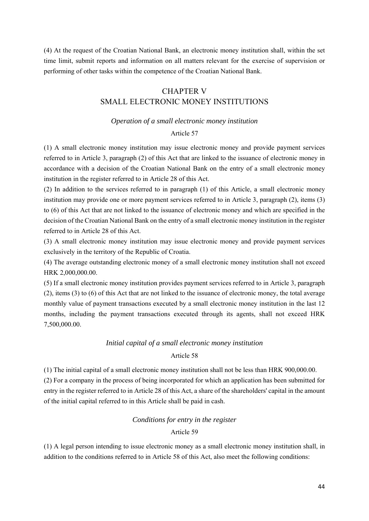(4) At the request of the Croatian National Bank, an electronic money institution shall, within the set time limit, submit reports and information on all matters relevant for the exercise of supervision or performing of other tasks within the competence of the Croatian National Bank.

# CHAPTER V

# SMALL ELECTRONIC MONEY INSTITUTIONS

# *Operation of a small electronic money institution*

# Article 57

(1) A small electronic money institution may issue electronic money and provide payment services referred to in Article 3, paragraph (2) of this Act that are linked to the issuance of electronic money in accordance with a decision of the Croatian National Bank on the entry of a small electronic money institution in the register referred to in Article 28 of this Act.

(2) In addition to the services referred to in paragraph (1) of this Article, a small electronic money institution may provide one or more payment services referred to in Article 3, paragraph (2), items (3) to (6) of this Act that are not linked to the issuance of electronic money and which are specified in the decision of the Croatian National Bank on the entry of a small electronic money institution in the register referred to in Article 28 of this Act.

(3) A small electronic money institution may issue electronic money and provide payment services exclusively in the territory of the Republic of Croatia.

(4) The average outstanding electronic money of a small electronic money institution shall not exceed HRK 2,000,000.00.

(5) If a small electronic money institution provides payment services referred to in Article 3, paragraph (2), items (3) to (6) of this Act that are not linked to the issuance of electronic money, the total average monthly value of payment transactions executed by a small electronic money institution in the last 12 months, including the payment transactions executed through its agents, shall not exceed HRK 7,500,000.00.

# *Initial capital of a small electronic money institution*

## Article 58

(1) The initial capital of a small electronic money institution shall not be less than HRK 900,000.00. (2) For a company in the process of being incorporated for which an application has been submitted for entry in the register referred to in Article 28 of this Act, a share of the shareholders' capital in the amount of the initial capital referred to in this Article shall be paid in cash.

# *Conditions for entry in the register*

# Article 59

(1) A legal person intending to issue electronic money as a small electronic money institution shall, in addition to the conditions referred to in Article 58 of this Act, also meet the following conditions: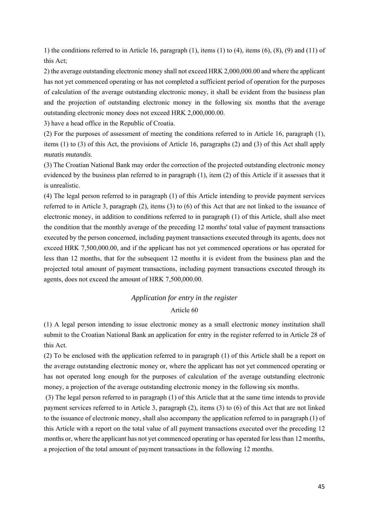1) the conditions referred to in Article 16, paragraph (1), items (1) to (4), items (6), (8), (9) and (11) of this Act;

2) the average outstanding electronic money shall not exceed HRK 2,000,000.00 and where the applicant has not yet commenced operating or has not completed a sufficient period of operation for the purposes of calculation of the average outstanding electronic money, it shall be evident from the business plan and the projection of outstanding electronic money in the following six months that the average outstanding electronic money does not exceed HRK 2,000,000.00.

3) have a head office in the Republic of Croatia.

(2) For the purposes of assessment of meeting the conditions referred to in Article 16, paragraph (1), items (1) to (3) of this Act, the provisions of Article 16, paragraphs (2) and (3) of this Act shall apply *mutatis mutandis*.

(3) The Croatian National Bank may order the correction of the projected outstanding electronic money evidenced by the business plan referred to in paragraph (1), item (2) of this Article if it assesses that it is unrealistic.

(4) The legal person referred to in paragraph (1) of this Article intending to provide payment services referred to in Article 3, paragraph (2), items (3) to (6) of this Act that are not linked to the issuance of electronic money, in addition to conditions referred to in paragraph (1) of this Article, shall also meet the condition that the monthly average of the preceding 12 months' total value of payment transactions executed by the person concerned, including payment transactions executed through its agents, does not exceed HRK 7,500,000.00, and if the applicant has not yet commenced operations or has operated for less than 12 months, that for the subsequent 12 months it is evident from the business plan and the projected total amount of payment transactions, including payment transactions executed through its agents, does not exceed the amount of HRK 7,500,000.00.

### *Application for entry in the register*

### Article 60

(1) A legal person intending to issue electronic money as a small electronic money institution shall submit to the Croatian National Bank an application for entry in the register referred to in Article 28 of this Act.

(2) To be enclosed with the application referred to in paragraph (1) of this Article shall be a report on the average outstanding electronic money or, where the applicant has not yet commenced operating or has not operated long enough for the purposes of calculation of the average outstanding electronic money, a projection of the average outstanding electronic money in the following six months.

 (3) The legal person referred to in paragraph (1) of this Article that at the same time intends to provide payment services referred to in Article 3, paragraph (2), items (3) to (6) of this Act that are not linked to the issuance of electronic money, shall also accompany the application referred to in paragraph (1) of this Article with a report on the total value of all payment transactions executed over the preceding 12 months or, where the applicant has not yet commenced operating or has operated for less than 12 months, a projection of the total amount of payment transactions in the following 12 months.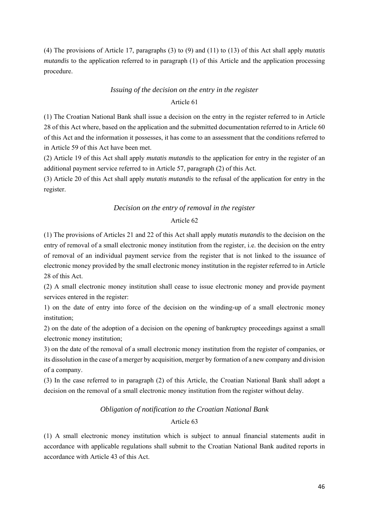(4) The provisions of Article 17, paragraphs (3) to (9) and (11) to (13) of this Act shall apply *mutatis mutandis* to the application referred to in paragraph (1) of this Article and the application processing procedure.

# *Issuing of the decision on the entry in the register*

# Article 61

(1) The Croatian National Bank shall issue a decision on the entry in the register referred to in Article 28 of this Act where, based on the application and the submitted documentation referred to in Article 60 of this Act and the information it possesses, it has come to an assessment that the conditions referred to in Article 59 of this Act have been met.

(2) Article 19 of this Act shall apply *mutatis mutandis* to the application for entry in the register of an additional payment service referred to in Article 57, paragraph (2) of this Act.

(3) Article 20 of this Act shall apply *mutatis mutandis* to the refusal of the application for entry in the register.

# *Decision on the entry of removal in the register*

# Article 62

(1) The provisions of Articles 21 and 22 of this Act shall apply *mutatis mutandis* to the decision on the entry of removal of a small electronic money institution from the register, i.e. the decision on the entry of removal of an individual payment service from the register that is not linked to the issuance of electronic money provided by the small electronic money institution in the register referred to in Article 28 of this Act.

(2) A small electronic money institution shall cease to issue electronic money and provide payment services entered in the register:

1) on the date of entry into force of the decision on the winding-up of a small electronic money institution;

2) on the date of the adoption of a decision on the opening of bankruptcy proceedings against a small electronic money institution;

3) on the date of the removal of a small electronic money institution from the register of companies, or its dissolution in the case of a merger by acquisition, merger by formation of a new company and division of a company.

(3) In the case referred to in paragraph (2) of this Article, the Croatian National Bank shall adopt a decision on the removal of a small electronic money institution from the register without delay.

# *Obligation of notification to the Croatian National Bank*

# Article 63

(1) A small electronic money institution which is subject to annual financial statements audit in accordance with applicable regulations shall submit to the Croatian National Bank audited reports in accordance with Article 43 of this Act.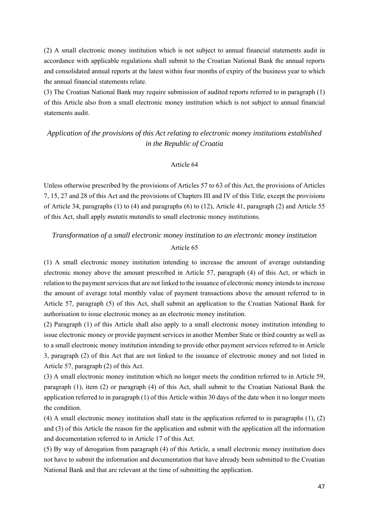(2) A small electronic money institution which is not subject to annual financial statements audit in accordance with applicable regulations shall submit to the Croatian National Bank the annual reports and consolidated annual reports at the latest within four months of expiry of the business year to which the annual financial statements relate.

(3) The Croatian National Bank may require submission of audited reports referred to in paragraph (1) of this Article also from a small electronic money institution which is not subject to annual financial statements audit.

# *Application of the provisions of this Act relating to electronic money institutions established in the Republic of Croatia*

#### Article 64

Unless otherwise prescribed by the provisions of Articles 57 to 63 of this Act, the provisions of Articles 7, 15, 27 and 28 of this Act and the provisions of Chapters III and IV of this Title, except the provisions of Article 34, paragraphs (1) to (4) and paragraphs (6) to (12), Article 41, paragraph (2) and Article 55 of this Act, shall apply *mutatis mutandis* to small electronic money institutions.

# *Transformation of a small electronic money institution to an electronic money institution*  Article 65

(1) A small electronic money institution intending to increase the amount of average outstanding electronic money above the amount prescribed in Article 57, paragraph (4) of this Act, or which in relation to the payment services that are not linked to the issuance of electronic money intends to increase the amount of average total monthly value of payment transactions above the amount referred to in Article 57, paragraph (5) of this Act, shall submit an application to the Croatian National Bank for authorisation to issue electronic money as an electronic money institution.

(2) Paragraph (1) of this Article shall also apply to a small electronic money institution intending to issue electronic money or provide payment services in another Member State or third country as well as to a small electronic money institution intending to provide other payment services referred to in Article 3, paragraph (2) of this Act that are not linked to the issuance of electronic money and not listed in Article 57, paragraph (2) of this Act.

(3) A small electronic money institution which no longer meets the condition referred to in Article 59, paragraph (1), item (2) or paragraph (4) of this Act, shall submit to the Croatian National Bank the application referred to in paragraph (1) of this Article within 30 days of the date when it no longer meets the condition.

(4) A small electronic money institution shall state in the application referred to in paragraphs (1), (2) and (3) of this Article the reason for the application and submit with the application all the information and documentation referred to in Article 17 of this Act.

(5) By way of derogation from paragraph (4) of this Article, a small electronic money institution does not have to submit the information and documentation that have already been submitted to the Croatian National Bank and that are relevant at the time of submitting the application.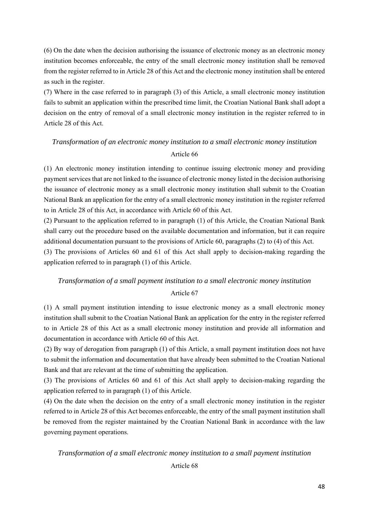(6) On the date when the decision authorising the issuance of electronic money as an electronic money institution becomes enforceable, the entry of the small electronic money institution shall be removed from the register referred to in Article 28 of this Act and the electronic money institution shall be entered as such in the register.

(7) Where in the case referred to in paragraph (3) of this Article, a small electronic money institution fails to submit an application within the prescribed time limit, the Croatian National Bank shall adopt a decision on the entry of removal of a small electronic money institution in the register referred to in Article 28 of this Act.

# *Transformation of an electronic money institution to a small electronic money institution*  Article 66

(1) An electronic money institution intending to continue issuing electronic money and providing payment services that are not linked to the issuance of electronic money listed in the decision authorising the issuance of electronic money as a small electronic money institution shall submit to the Croatian National Bank an application for the entry of a small electronic money institution in the register referred to in Article 28 of this Act, in accordance with Article 60 of this Act.

(2) Pursuant to the application referred to in paragraph (1) of this Article, the Croatian National Bank shall carry out the procedure based on the available documentation and information, but it can require additional documentation pursuant to the provisions of Article 60, paragraphs (2) to (4) of this Act.

(3) The provisions of Articles 60 and 61 of this Act shall apply to decision-making regarding the application referred to in paragraph (1) of this Article.

# *Transformation of a small payment institution to a small electronic money institution*

Article 67

(1) A small payment institution intending to issue electronic money as a small electronic money institution shall submit to the Croatian National Bank an application for the entry in the register referred to in Article 28 of this Act as a small electronic money institution and provide all information and documentation in accordance with Article 60 of this Act.

(2) By way of derogation from paragraph (1) of this Article, a small payment institution does not have to submit the information and documentation that have already been submitted to the Croatian National Bank and that are relevant at the time of submitting the application.

(3) The provisions of Articles 60 and 61 of this Act shall apply to decision-making regarding the application referred to in paragraph (1) of this Article.

(4) On the date when the decision on the entry of a small electronic money institution in the register referred to in Article 28 of this Act becomes enforceable, the entry of the small payment institution shall be removed from the register maintained by the Croatian National Bank in accordance with the law governing payment operations.

*Transformation of a small electronic money institution to a small payment institution* 

Article 68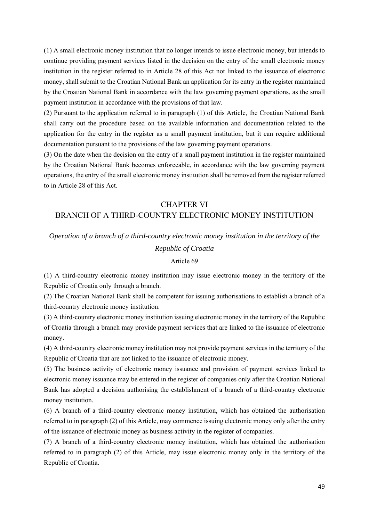(1) A small electronic money institution that no longer intends to issue electronic money, but intends to continue providing payment services listed in the decision on the entry of the small electronic money institution in the register referred to in Article 28 of this Act not linked to the issuance of electronic money, shall submit to the Croatian National Bank an application for its entry in the register maintained by the Croatian National Bank in accordance with the law governing payment operations, as the small payment institution in accordance with the provisions of that law.

(2) Pursuant to the application referred to in paragraph (1) of this Article, the Croatian National Bank shall carry out the procedure based on the available information and documentation related to the application for the entry in the register as a small payment institution, but it can require additional documentation pursuant to the provisions of the law governing payment operations.

(3) On the date when the decision on the entry of a small payment institution in the register maintained by the Croatian National Bank becomes enforceable, in accordance with the law governing payment operations, the entry of the small electronic money institution shall be removed from the register referred to in Article 28 of this Act.

# CHAPTER VI BRANCH OF A THIRD-COUNTRY ELECTRONIC MONEY INSTITUTION

# *Operation of a branch of a third-country electronic money institution in the territory of the*

# *Republic of Croatia*

# Article 69

(1) A third-country electronic money institution may issue electronic money in the territory of the Republic of Croatia only through a branch.

(2) The Croatian National Bank shall be competent for issuing authorisations to establish a branch of a third-country electronic money institution.

(3) A third-country electronic money institution issuing electronic money in the territory of the Republic of Croatia through a branch may provide payment services that are linked to the issuance of electronic money.

(4) A third-country electronic money institution may not provide payment services in the territory of the Republic of Croatia that are not linked to the issuance of electronic money.

(5) The business activity of electronic money issuance and provision of payment services linked to electronic money issuance may be entered in the register of companies only after the Croatian National Bank has adopted a decision authorising the establishment of a branch of a third-country electronic money institution.

(6) A branch of a third-country electronic money institution, which has obtained the authorisation referred to in paragraph (2) of this Article, may commence issuing electronic money only after the entry of the issuance of electronic money as business activity in the register of companies.

(7) A branch of a third-country electronic money institution, which has obtained the authorisation referred to in paragraph (2) of this Article, may issue electronic money only in the territory of the Republic of Croatia.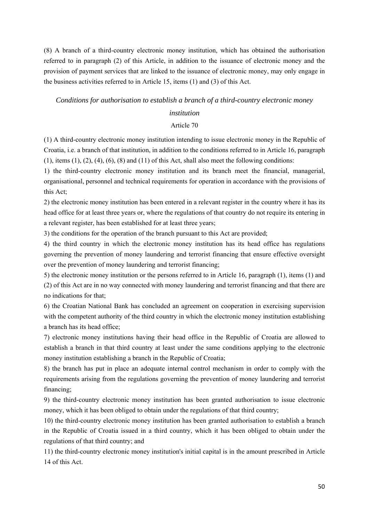(8) A branch of a third-country electronic money institution, which has obtained the authorisation referred to in paragraph (2) of this Article, in addition to the issuance of electronic money and the provision of payment services that are linked to the issuance of electronic money, may only engage in the business activities referred to in Article 15, items (1) and (3) of this Act.

#### *Conditions for authorisation to establish a branch of a third-country electronic money*

### *institution*

### Article 70

(1) A third-country electronic money institution intending to issue electronic money in the Republic of Croatia, i.e. a branch of that institution, in addition to the conditions referred to in Article 16, paragraph  $(1)$ , items  $(1)$ ,  $(2)$ ,  $(4)$ ,  $(6)$ ,  $(8)$  and  $(11)$  of this Act, shall also meet the following conditions:

1) the third-country electronic money institution and its branch meet the financial, managerial, organisational, personnel and technical requirements for operation in accordance with the provisions of this Act;

2) the electronic money institution has been entered in a relevant register in the country where it has its head office for at least three years or, where the regulations of that country do not require its entering in a relevant register, has been established for at least three years;

3) the conditions for the operation of the branch pursuant to this Act are provided;

4) the third country in which the electronic money institution has its head office has regulations governing the prevention of money laundering and terrorist financing that ensure effective oversight over the prevention of money laundering and terrorist financing;

5) the electronic money institution or the persons referred to in Article 16, paragraph (1), items (1) and (2) of this Act are in no way connected with money laundering and terrorist financing and that there are no indications for that;

6) the Croatian National Bank has concluded an agreement on cooperation in exercising supervision with the competent authority of the third country in which the electronic money institution establishing a branch has its head office;

7) electronic money institutions having their head office in the Republic of Croatia are allowed to establish a branch in that third country at least under the same conditions applying to the electronic money institution establishing a branch in the Republic of Croatia;

8) the branch has put in place an adequate internal control mechanism in order to comply with the requirements arising from the regulations governing the prevention of money laundering and terrorist financing;

9) the third-country electronic money institution has been granted authorisation to issue electronic money, which it has been obliged to obtain under the regulations of that third country;

10) the third-country electronic money institution has been granted authorisation to establish a branch in the Republic of Croatia issued in a third country, which it has been obliged to obtain under the regulations of that third country; and

11) the third-country electronic money institution's initial capital is in the amount prescribed in Article 14 of this Act.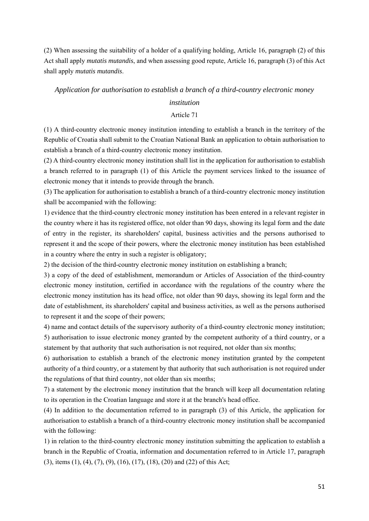(2) When assessing the suitability of a holder of a qualifying holding, Article 16, paragraph (2) of this Act shall apply *mutatis mutandis*, and when assessing good repute, Article 16, paragraph (3) of this Act shall apply *mutatis mutandis*.

### *Application for authorisation to establish a branch of a third-country electronic money*

### *institution*

### Article 71

(1) A third-country electronic money institution intending to establish a branch in the territory of the Republic of Croatia shall submit to the Croatian National Bank an application to obtain authorisation to establish a branch of a third-country electronic money institution.

(2) A third-country electronic money institution shall list in the application for authorisation to establish a branch referred to in paragraph (1) of this Article the payment services linked to the issuance of electronic money that it intends to provide through the branch.

(3) The application for authorisation to establish a branch of a third-country electronic money institution shall be accompanied with the following:

1) evidence that the third-country electronic money institution has been entered in a relevant register in the country where it has its registered office, not older than 90 days, showing its legal form and the date of entry in the register, its shareholders' capital, business activities and the persons authorised to represent it and the scope of their powers, where the electronic money institution has been established in a country where the entry in such a register is obligatory;

2) the decision of the third-country electronic money institution on establishing a branch;

3) a copy of the deed of establishment, memorandum or Articles of Association of the third-country electronic money institution, certified in accordance with the regulations of the country where the electronic money institution has its head office, not older than 90 days, showing its legal form and the date of establishment, its shareholders' capital and business activities, as well as the persons authorised to represent it and the scope of their powers;

4) name and contact details of the supervisory authority of a third-country electronic money institution;

5) authorisation to issue electronic money granted by the competent authority of a third country, or a statement by that authority that such authorisation is not required, not older than six months;

6) authorisation to establish a branch of the electronic money institution granted by the competent authority of a third country, or a statement by that authority that such authorisation is not required under the regulations of that third country, not older than six months;

7) a statement by the electronic money institution that the branch will keep all documentation relating to its operation in the Croatian language and store it at the branch's head office.

(4) In addition to the documentation referred to in paragraph (3) of this Article, the application for authorisation to establish a branch of a third-country electronic money institution shall be accompanied with the following:

1) in relation to the third-country electronic money institution submitting the application to establish a branch in the Republic of Croatia, information and documentation referred to in Article 17, paragraph (3), items (1), (4), (7), (9), (16), (17), (18), (20) and (22) of this Act;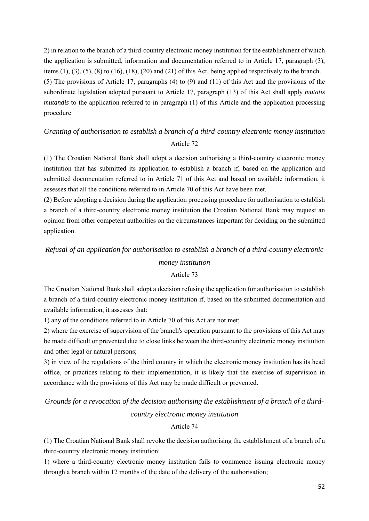2) in relation to the branch of a third-country electronic money institution for the establishment of which the application is submitted, information and documentation referred to in Article 17, paragraph (3), items  $(1)$ ,  $(3)$ ,  $(5)$ ,  $(8)$  to  $(16)$ ,  $(18)$ ,  $(20)$  and  $(21)$  of this Act, being applied respectively to the branch. (5) The provisions of Article 17, paragraphs (4) to (9) and (11) of this Act and the provisions of the subordinate legislation adopted pursuant to Article 17, paragraph (13) of this Act shall apply *mutatis mutandis* to the application referred to in paragraph (1) of this Article and the application processing procedure.

# *Granting of authorisation to establish a branch of a third-country electronic money institution*  Article 72

(1) The Croatian National Bank shall adopt a decision authorising a third-country electronic money institution that has submitted its application to establish a branch if, based on the application and submitted documentation referred to in Article 71 of this Act and based on available information, it assesses that all the conditions referred to in Article 70 of this Act have been met.

(2) Before adopting a decision during the application processing procedure for authorisation to establish a branch of a third-country electronic money institution the Croatian National Bank may request an opinion from other competent authorities on the circumstances important for deciding on the submitted application.

# *Refusal of an application for authorisation to establish a branch of a third-country electronic*

# *money institution*

## Article 73

The Croatian National Bank shall adopt a decision refusing the application for authorisation to establish a branch of a third-country electronic money institution if, based on the submitted documentation and available information, it assesses that:

1) any of the conditions referred to in Article 70 of this Act are not met;

2) where the exercise of supervision of the branch's operation pursuant to the provisions of this Act may be made difficult or prevented due to close links between the third-country electronic money institution and other legal or natural persons;

3) in view of the regulations of the third country in which the electronic money institution has its head office, or practices relating to their implementation, it is likely that the exercise of supervision in accordance with the provisions of this Act may be made difficult or prevented.

*Grounds for a revocation of the decision authorising the establishment of a branch of a third-*

*country electronic money institution* 

## Article 74

(1) The Croatian National Bank shall revoke the decision authorising the establishment of a branch of a third-country electronic money institution:

1) where a third-country electronic money institution fails to commence issuing electronic money through a branch within 12 months of the date of the delivery of the authorisation;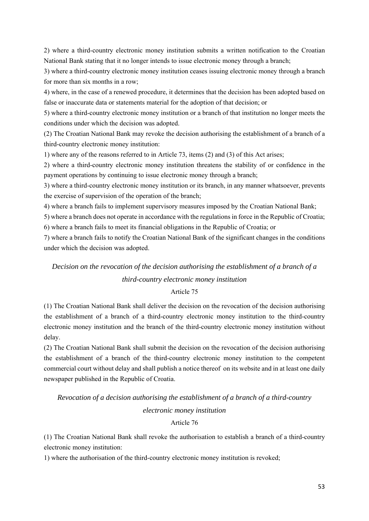2) where a third-country electronic money institution submits a written notification to the Croatian National Bank stating that it no longer intends to issue electronic money through a branch;

3) where a third-country electronic money institution ceases issuing electronic money through a branch for more than six months in a row;

4) where, in the case of a renewed procedure, it determines that the decision has been adopted based on false or inaccurate data or statements material for the adoption of that decision; or

5) where a third-country electronic money institution or a branch of that institution no longer meets the conditions under which the decision was adopted.

(2) The Croatian National Bank may revoke the decision authorising the establishment of a branch of a third-country electronic money institution:

1) where any of the reasons referred to in Article 73, items (2) and (3) of this Act arises;

2) where a third-country electronic money institution threatens the stability of or confidence in the payment operations by continuing to issue electronic money through a branch;

3) where a third-country electronic money institution or its branch, in any manner whatsoever, prevents the exercise of supervision of the operation of the branch;

4) where a branch fails to implement supervisory measures imposed by the Croatian National Bank;

5) where a branch does not operate in accordance with the regulations in force in the Republic of Croatia;

6) where a branch fails to meet its financial obligations in the Republic of Croatia; or

7) where a branch fails to notify the Croatian National Bank of the significant changes in the conditions under which the decision was adopted.

# *Decision on the revocation of the decision authorising the establishment of a branch of a third-country electronic money institution*

## Article 75

(1) The Croatian National Bank shall deliver the decision on the revocation of the decision authorising the establishment of a branch of a third-country electronic money institution to the third-country electronic money institution and the branch of the third-country electronic money institution without delay.

(2) The Croatian National Bank shall submit the decision on the revocation of the decision authorising the establishment of a branch of the third-country electronic money institution to the competent commercial court without delay and shall publish a notice thereof on its website and in at least one daily newspaper published in the Republic of Croatia.

*Revocation of a decision authorising the establishment of a branch of a third-country* 

## *electronic money institution*

# Article 76

(1) The Croatian National Bank shall revoke the authorisation to establish a branch of a third-country electronic money institution:

1) where the authorisation of the third-country electronic money institution is revoked;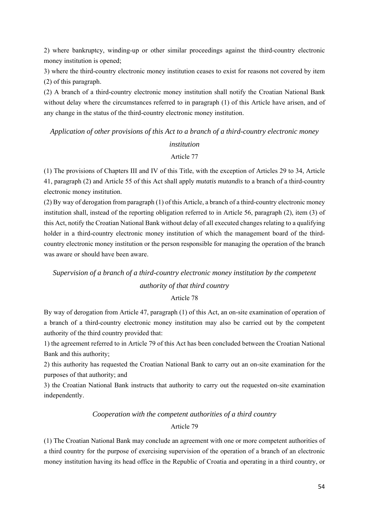2) where bankruptcy, winding-up or other similar proceedings against the third-country electronic money institution is opened;

3) where the third-country electronic money institution ceases to exist for reasons not covered by item (2) of this paragraph.

(2) A branch of a third-country electronic money institution shall notify the Croatian National Bank without delay where the circumstances referred to in paragraph (1) of this Article have arisen, and of any change in the status of the third-country electronic money institution.

*Application of other provisions of this Act to a branch of a third-country electronic money institution* 

#### Article 77

(1) The provisions of Chapters III and IV of this Title, with the exception of Articles 29 to 34, Article 41, paragraph (2) and Article 55 of this Act shall apply *mutatis mutandis* to a branch of a third-country electronic money institution.

(2) By way of derogation from paragraph (1) of this Article, a branch of a third-country electronic money institution shall, instead of the reporting obligation referred to in Article 56, paragraph (2), item (3) of this Act, notify the Croatian National Bank without delay of all executed changes relating to a qualifying holder in a third-country electronic money institution of which the management board of the thirdcountry electronic money institution or the person responsible for managing the operation of the branch was aware or should have been aware.

# *Supervision of a branch of a third-country electronic money institution by the competent authority of that third country*

Article 78

By way of derogation from Article 47, paragraph (1) of this Act, an on-site examination of operation of a branch of a third-country electronic money institution may also be carried out by the competent authority of the third country provided that:

1) the agreement referred to in Article 79 of this Act has been concluded between the Croatian National Bank and this authority;

2) this authority has requested the Croatian National Bank to carry out an on-site examination for the purposes of that authority; and

3) the Croatian National Bank instructs that authority to carry out the requested on-site examination independently.

## *Cooperation with the competent authorities of a third country*

### Article 79

(1) The Croatian National Bank may conclude an agreement with one or more competent authorities of a third country for the purpose of exercising supervision of the operation of a branch of an electronic money institution having its head office in the Republic of Croatia and operating in a third country, or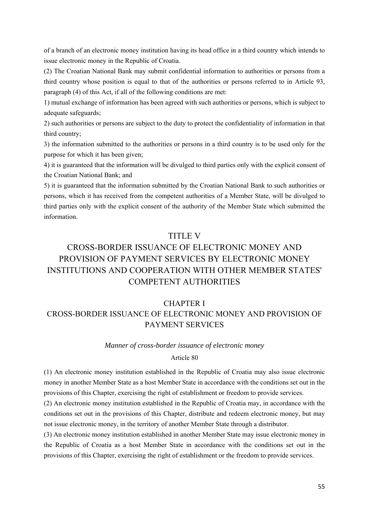of a branch of an electronic money institution having its head office in a third country which intends to issue electronic money in the Republic of Croatia.

(2) The Croatian National Bank may submit confidential information to authorities or persons from a third country whose position is equal to that of the authorities or persons referred to in Article 93, paragraph (4) of this Act, if all of the following conditions are met:

1) mutual exchange of information has been agreed with such authorities or persons, which is subject to adequate safeguards;

2) such authorities or persons are subject to the duty to protect the confidentiality of information in that third country;

3) the information submitted to the authorities or persons in a third country is to be used only for the purpose for which it has been given;

4) it is guaranteed that the information will be divulged to third parties only with the explicit consent of the Croatian National Bank; and

5) it is guaranteed that the information submitted by the Croatian National Bank to such authorities or persons, which it has received from the competent authorities of a Member State, will be divulged to third parties only with the explicit consent of the authority of the Member State which submitted the information.

# TITLE V

# CROSS-BORDER ISSUANCE OF ELECTRONIC MONEY AND PROVISION OF PAYMENT SERVICES BY ELECTRONIC MONEY INSTITUTIONS AND COOPERATION WITH OTHER MEMBER STATES' COMPETENT AUTHORITIES

# CHAPTER I

# CROSS-BORDER ISSUANCE OF ELECTRONIC MONEY AND PROVISION OF PAYMENT SERVICES

### *Manner of cross-border issuance of electronic money*

### Article 80

(1) An electronic money institution established in the Republic of Croatia may also issue electronic money in another Member State as a host Member State in accordance with the conditions set out in the provisions of this Chapter, exercising the right of establishment or freedom to provide services.

(2) An electronic money institution established in the Republic of Croatia may, in accordance with the conditions set out in the provisions of this Chapter, distribute and redeem electronic money, but may not issue electronic money, in the territory of another Member State through a distributor.

(3) An electronic money institution established in another Member State may issue electronic money in the Republic of Croatia as a host Member State in accordance with the conditions set out in the provisions of this Chapter, exercising the right of establishment or the freedom to provide services.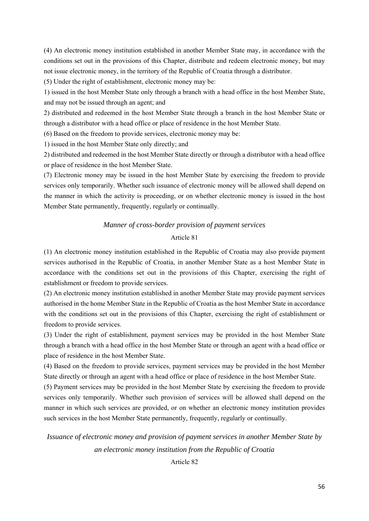(4) An electronic money institution established in another Member State may, in accordance with the conditions set out in the provisions of this Chapter, distribute and redeem electronic money, but may not issue electronic money, in the territory of the Republic of Croatia through a distributor.

(5) Under the right of establishment, electronic money may be:

1) issued in the host Member State only through a branch with a head office in the host Member State, and may not be issued through an agent; and

2) distributed and redeemed in the host Member State through a branch in the host Member State or through a distributor with a head office or place of residence in the host Member State.

(6) Based on the freedom to provide services, electronic money may be:

1) issued in the host Member State only directly; and

2) distributed and redeemed in the host Member State directly or through a distributor with a head office or place of residence in the host Member State.

(7) Electronic money may be issued in the host Member State by exercising the freedom to provide services only temporarily. Whether such issuance of electronic money will be allowed shall depend on the manner in which the activity is proceeding, or on whether electronic money is issued in the host Member State permanently, frequently, regularly or continually.

## *Manner of cross-border provision of payment services*

### Article 81

(1) An electronic money institution established in the Republic of Croatia may also provide payment services authorised in the Republic of Croatia, in another Member State as a host Member State in accordance with the conditions set out in the provisions of this Chapter, exercising the right of establishment or freedom to provide services.

(2) An electronic money institution established in another Member State may provide payment services authorised in the home Member State in the Republic of Croatia as the host Member State in accordance with the conditions set out in the provisions of this Chapter, exercising the right of establishment or freedom to provide services.

(3) Under the right of establishment, payment services may be provided in the host Member State through a branch with a head office in the host Member State or through an agent with a head office or place of residence in the host Member State.

(4) Based on the freedom to provide services, payment services may be provided in the host Member State directly or through an agent with a head office or place of residence in the host Member State.

(5) Payment services may be provided in the host Member State by exercising the freedom to provide services only temporarily. Whether such provision of services will be allowed shall depend on the manner in which such services are provided, or on whether an electronic money institution provides such services in the host Member State permanently, frequently, regularly or continually.

*Issuance of electronic money and provision of payment services in another Member State by an electronic money institution from the Republic of Croatia* 

### Article 82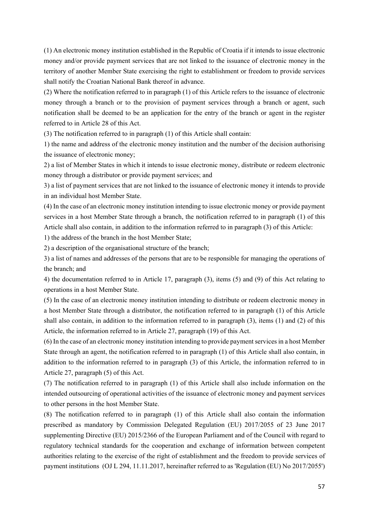(1) An electronic money institution established in the Republic of Croatia if it intends to issue electronic money and/or provide payment services that are not linked to the issuance of electronic money in the territory of another Member State exercising the right to establishment or freedom to provide services shall notify the Croatian National Bank thereof in advance.

(2) Where the notification referred to in paragraph (1) of this Article refers to the issuance of electronic money through a branch or to the provision of payment services through a branch or agent, such notification shall be deemed to be an application for the entry of the branch or agent in the register referred to in Article 28 of this Act.

(3) The notification referred to in paragraph (1) of this Article shall contain:

1) the name and address of the electronic money institution and the number of the decision authorising the issuance of electronic money;

2) a list of Member States in which it intends to issue electronic money, distribute or redeem electronic money through a distributor or provide payment services; and

3) a list of payment services that are not linked to the issuance of electronic money it intends to provide in an individual host Member State.

(4) In the case of an electronic money institution intending to issue electronic money or provide payment services in a host Member State through a branch, the notification referred to in paragraph (1) of this Article shall also contain, in addition to the information referred to in paragraph (3) of this Article:

1) the address of the branch in the host Member State;

2) a description of the organisational structure of the branch;

3) a list of names and addresses of the persons that are to be responsible for managing the operations of the branch; and

4) the documentation referred to in Article 17, paragraph (3), items (5) and (9) of this Act relating to operations in a host Member State.

(5) In the case of an electronic money institution intending to distribute or redeem electronic money in a host Member State through a distributor, the notification referred to in paragraph (1) of this Article shall also contain, in addition to the information referred to in paragraph (3), items (1) and (2) of this Article, the information referred to in Article 27, paragraph (19) of this Act.

(6) In the case of an electronic money institution intending to provide payment services in a host Member State through an agent, the notification referred to in paragraph (1) of this Article shall also contain, in addition to the information referred to in paragraph (3) of this Article, the information referred to in Article 27, paragraph (5) of this Act.

(7) The notification referred to in paragraph (1) of this Article shall also include information on the intended outsourcing of operational activities of the issuance of electronic money and payment services to other persons in the host Member State.

(8) The notification referred to in paragraph (1) of this Article shall also contain the information prescribed as mandatory by Commission Delegated Regulation (EU) 2017/2055 of 23 June 2017 supplementing Directive (EU) 2015/2366 of the European Parliament and of the Council with regard to regulatory technical standards for the cooperation and exchange of information between competent authorities relating to the exercise of the right of establishment and the freedom to provide services of payment institutions (OJ L 294, 11.11.2017, hereinafter referred to as 'Regulation (EU) No 2017/2055')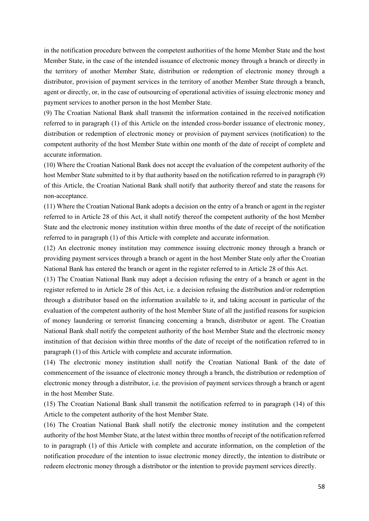in the notification procedure between the competent authorities of the home Member State and the host Member State, in the case of the intended issuance of electronic money through a branch or directly in the territory of another Member State, distribution or redemption of electronic money through a distributor, provision of payment services in the territory of another Member State through a branch, agent or directly, or, in the case of outsourcing of operational activities of issuing electronic money and payment services to another person in the host Member State.

(9) The Croatian National Bank shall transmit the information contained in the received notification referred to in paragraph (1) of this Article on the intended cross-border issuance of electronic money, distribution or redemption of electronic money or provision of payment services (notification) to the competent authority of the host Member State within one month of the date of receipt of complete and accurate information.

(10) Where the Croatian National Bank does not accept the evaluation of the competent authority of the host Member State submitted to it by that authority based on the notification referred to in paragraph (9) of this Article, the Croatian National Bank shall notify that authority thereof and state the reasons for non-acceptance.

(11) Where the Croatian National Bank adopts a decision on the entry of a branch or agent in the register referred to in Article 28 of this Act, it shall notify thereof the competent authority of the host Member State and the electronic money institution within three months of the date of receipt of the notification referred to in paragraph (1) of this Article with complete and accurate information.

(12) An electronic money institution may commence issuing electronic money through a branch or providing payment services through a branch or agent in the host Member State only after the Croatian National Bank has entered the branch or agent in the register referred to in Article 28 of this Act.

(13) The Croatian National Bank may adopt a decision refusing the entry of a branch or agent in the register referred to in Article 28 of this Act, i.e. a decision refusing the distribution and/or redemption through a distributor based on the information available to it, and taking account in particular of the evaluation of the competent authority of the host Member State of all the justified reasons for suspicion of money laundering or terrorist financing concerning a branch, distributor or agent. The Croatian National Bank shall notify the competent authority of the host Member State and the electronic money institution of that decision within three months of the date of receipt of the notification referred to in paragraph (1) of this Article with complete and accurate information.

(14) The electronic money institution shall notify the Croatian National Bank of the date of commencement of the issuance of electronic money through a branch, the distribution or redemption of electronic money through a distributor, i.e. the provision of payment services through a branch or agent in the host Member State.

(15) The Croatian National Bank shall transmit the notification referred to in paragraph (14) of this Article to the competent authority of the host Member State.

(16) The Croatian National Bank shall notify the electronic money institution and the competent authority of the host Member State, at the latest within three months of receipt of the notification referred to in paragraph (1) of this Article with complete and accurate information, on the completion of the notification procedure of the intention to issue electronic money directly, the intention to distribute or redeem electronic money through a distributor or the intention to provide payment services directly.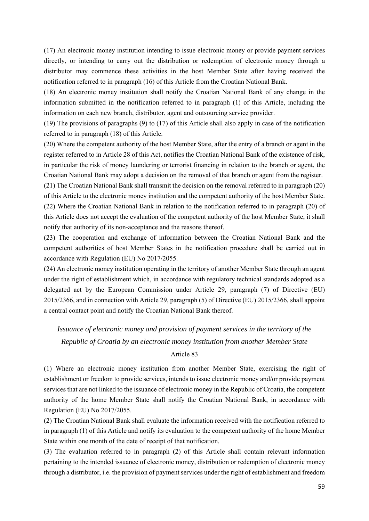(17) An electronic money institution intending to issue electronic money or provide payment services directly, or intending to carry out the distribution or redemption of electronic money through a distributor may commence these activities in the host Member State after having received the notification referred to in paragraph (16) of this Article from the Croatian National Bank.

(18) An electronic money institution shall notify the Croatian National Bank of any change in the information submitted in the notification referred to in paragraph (1) of this Article, including the information on each new branch, distributor, agent and outsourcing service provider.

(19) The provisions of paragraphs (9) to (17) of this Article shall also apply in case of the notification referred to in paragraph (18) of this Article.

(20) Where the competent authority of the host Member State, after the entry of a branch or agent in the register referred to in Article 28 of this Act, notifies the Croatian National Bank of the existence of risk, in particular the risk of money laundering or terrorist financing in relation to the branch or agent, the Croatian National Bank may adopt a decision on the removal of that branch or agent from the register.

(21) The Croatian National Bank shall transmit the decision on the removal referred to in paragraph (20) of this Article to the electronic money institution and the competent authority of the host Member State. (22) Where the Croatian National Bank in relation to the notification referred to in paragraph (20) of this Article does not accept the evaluation of the competent authority of the host Member State, it shall notify that authority of its non-acceptance and the reasons thereof.

(23) The cooperation and exchange of information between the Croatian National Bank and the competent authorities of host Member States in the notification procedure shall be carried out in accordance with Regulation (EU) No 2017/2055.

(24) An electronic money institution operating in the territory of another Member State through an agent under the right of establishment which, in accordance with regulatory technical standards adopted as a delegated act by the European Commission under Article 29, paragraph (7) of Directive (EU) 2015/2366, and in connection with Article 29, paragraph (5) of Directive (EU) 2015/2366, shall appoint a central contact point and notify the Croatian National Bank thereof.

# *Issuance of electronic money and provision of payment services in the territory of the Republic of Croatia by an electronic money institution from another Member State*

#### Article 83

(1) Where an electronic money institution from another Member State, exercising the right of establishment or freedom to provide services, intends to issue electronic money and/or provide payment services that are not linked to the issuance of electronic money in the Republic of Croatia, the competent authority of the home Member State shall notify the Croatian National Bank, in accordance with Regulation (EU) No 2017/2055.

(2) The Croatian National Bank shall evaluate the information received with the notification referred to in paragraph (1) of this Article and notify its evaluation to the competent authority of the home Member State within one month of the date of receipt of that notification.

(3) The evaluation referred to in paragraph (2) of this Article shall contain relevant information pertaining to the intended issuance of electronic money, distribution or redemption of electronic money through a distributor, i.e. the provision of payment services under the right of establishment and freedom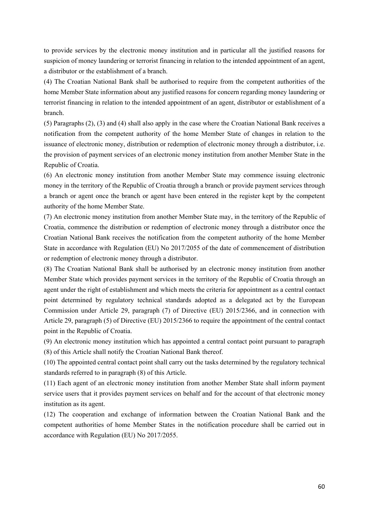to provide services by the electronic money institution and in particular all the justified reasons for suspicion of money laundering or terrorist financing in relation to the intended appointment of an agent, a distributor or the establishment of a branch.

(4) The Croatian National Bank shall be authorised to require from the competent authorities of the home Member State information about any justified reasons for concern regarding money laundering or terrorist financing in relation to the intended appointment of an agent, distributor or establishment of a branch.

(5) Paragraphs (2), (3) and (4) shall also apply in the case where the Croatian National Bank receives a notification from the competent authority of the home Member State of changes in relation to the issuance of electronic money, distribution or redemption of electronic money through a distributor, i.e. the provision of payment services of an electronic money institution from another Member State in the Republic of Croatia.

(6) An electronic money institution from another Member State may commence issuing electronic money in the territory of the Republic of Croatia through a branch or provide payment services through a branch or agent once the branch or agent have been entered in the register kept by the competent authority of the home Member State.

(7) An electronic money institution from another Member State may, in the territory of the Republic of Croatia, commence the distribution or redemption of electronic money through a distributor once the Croatian National Bank receives the notification from the competent authority of the home Member State in accordance with Regulation (EU) No 2017/2055 of the date of commencement of distribution or redemption of electronic money through a distributor.

(8) The Croatian National Bank shall be authorised by an electronic money institution from another Member State which provides payment services in the territory of the Republic of Croatia through an agent under the right of establishment and which meets the criteria for appointment as a central contact point determined by regulatory technical standards adopted as a delegated act by the European Commission under Article 29, paragraph (7) of Directive (EU) 2015/2366, and in connection with Article 29, paragraph (5) of Directive (EU) 2015/2366 to require the appointment of the central contact point in the Republic of Croatia.

(9) An electronic money institution which has appointed a central contact point pursuant to paragraph (8) of this Article shall notify the Croatian National Bank thereof.

(10) The appointed central contact point shall carry out the tasks determined by the regulatory technical standards referred to in paragraph (8) of this Article.

(11) Each agent of an electronic money institution from another Member State shall inform payment service users that it provides payment services on behalf and for the account of that electronic money institution as its agent.

(12) The cooperation and exchange of information between the Croatian National Bank and the competent authorities of home Member States in the notification procedure shall be carried out in accordance with Regulation (EU) No 2017/2055.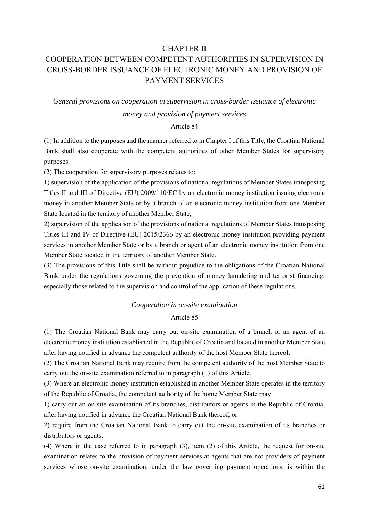## CHAPTER II

# COOPERATION BETWEEN COMPETENT AUTHORITIES IN SUPERVISION IN CROSS-BORDER ISSUANCE OF ELECTRONIC MONEY AND PROVISION OF PAYMENT SERVICES

### *General provisions on cooperation in supervision in cross-border issuance of electronic*

### *money and provision of payment services*

### Article 84

(1) In addition to the purposes and the manner referred to in Chapter I of this Title, the Croatian National Bank shall also cooperate with the competent authorities of other Member States for supervisory purposes.

(2) The cooperation for supervisory purposes relates to:

1) supervision of the application of the provisions of national regulations of Member States transposing Titles II and III of Directive (EU) 2009/110/EC by an electronic money institution issuing electronic money in another Member State or by a branch of an electronic money institution from one Member State located in the territory of another Member State;

2) supervision of the application of the provisions of national regulations of Member States transposing Titles III and IV of Directive (EU) 2015/2366 by an electronic money institution providing payment services in another Member State or by a branch or agent of an electronic money institution from one Member State located in the territory of another Member State.

(3) The provisions of this Title shall be without prejudice to the obligations of the Croatian National Bank under the regulations governing the prevention of money laundering and terrorist financing, especially those related to the supervision and control of the application of these regulations.

### *Cooperation in on-site examination*

### Article 85

(1) The Croatian National Bank may carry out on-site examination of a branch or an agent of an electronic money institution established in the Republic of Croatia and located in another Member State after having notified in advance the competent authority of the host Member State thereof.

(2) The Croatian National Bank may require from the competent authority of the host Member State to carry out the on-site examination referred to in paragraph (1) of this Article.

(3) Where an electronic money institution established in another Member State operates in the territory of the Republic of Croatia, the competent authority of the home Member State may:

1) carry out an on-site examination of its branches, distributors or agents in the Republic of Croatia, after having notified in advance the Croatian National Bank thereof; or

2) require from the Croatian National Bank to carry out the on-site examination of its branches or distributors or agents.

(4) Where in the case referred to in paragraph (3), item (2) of this Article, the request for on-site examination relates to the provision of payment services at agents that are not providers of payment services whose on-site examination, under the law governing payment operations, is within the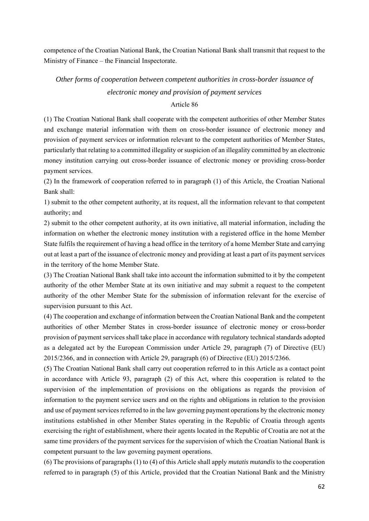competence of the Croatian National Bank, the Croatian National Bank shall transmit that request to the Ministry of Finance – the Financial Inspectorate.

*Other forms of cooperation between competent authorities in cross-border issuance of electronic money and provision of payment services* 

### Article 86

(1) The Croatian National Bank shall cooperate with the competent authorities of other Member States and exchange material information with them on cross-border issuance of electronic money and provision of payment services or information relevant to the competent authorities of Member States, particularly that relating to a committed illegality or suspicion of an illegality committed by an electronic money institution carrying out cross-border issuance of electronic money or providing cross-border payment services.

(2) In the framework of cooperation referred to in paragraph (1) of this Article, the Croatian National Bank shall:

1) submit to the other competent authority, at its request, all the information relevant to that competent authority; and

2) submit to the other competent authority, at its own initiative, all material information, including the information on whether the electronic money institution with a registered office in the home Member State fulfils the requirement of having a head office in the territory of a home Member State and carrying out at least a part of the issuance of electronic money and providing at least a part of its payment services in the territory of the home Member State.

(3) The Croatian National Bank shall take into account the information submitted to it by the competent authority of the other Member State at its own initiative and may submit a request to the competent authority of the other Member State for the submission of information relevant for the exercise of supervision pursuant to this Act.

(4) The cooperation and exchange of information between the Croatian National Bank and the competent authorities of other Member States in cross-border issuance of electronic money or cross-border provision of payment services shall take place in accordance with regulatory technical standards adopted as a delegated act by the European Commission under Article 29, paragraph (7) of Directive (EU) 2015/2366, and in connection with Article 29, paragraph (6) of Directive (EU) 2015/2366.

(5) The Croatian National Bank shall carry out cooperation referred to in this Article as a contact point in accordance with Article 93, paragraph (2) of this Act, where this cooperation is related to the supervision of the implementation of provisions on the obligations as regards the provision of information to the payment service users and on the rights and obligations in relation to the provision and use of payment services referred to in the law governing payment operations by the electronic money institutions established in other Member States operating in the Republic of Croatia through agents exercising the right of establishment, where their agents located in the Republic of Croatia are not at the same time providers of the payment services for the supervision of which the Croatian National Bank is competent pursuant to the law governing payment operations.

(6) The provisions of paragraphs (1) to (4) of this Article shall apply *mutatis mutandis* to the cooperation referred to in paragraph (5) of this Article, provided that the Croatian National Bank and the Ministry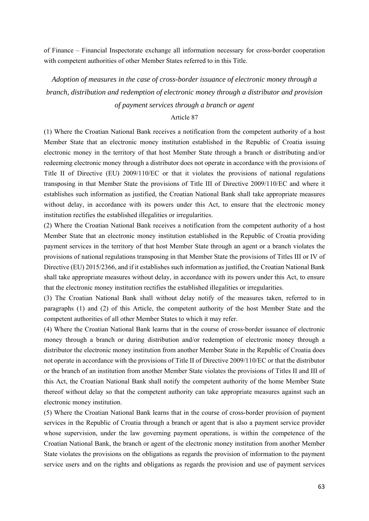of Finance – Financial Inspectorate exchange all information necessary for cross-border cooperation with competent authorities of other Member States referred to in this Title.

*Adoption of measures in the case of cross-border issuance of electronic money through a branch, distribution and redemption of electronic money through a distributor and provision* 

### *of payment services through a branch or agent*

#### Article 87

(1) Where the Croatian National Bank receives a notification from the competent authority of a host Member State that an electronic money institution established in the Republic of Croatia issuing electronic money in the territory of that host Member State through a branch or distributing and/or redeeming electronic money through a distributor does not operate in accordance with the provisions of Title II of Directive (EU) 2009/110/EC or that it violates the provisions of national regulations transposing in that Member State the provisions of Title III of Directive 2009/110/EC and where it establishes such information as justified, the Croatian National Bank shall take appropriate measures without delay, in accordance with its powers under this Act, to ensure that the electronic money institution rectifies the established illegalities or irregularities.

(2) Where the Croatian National Bank receives a notification from the competent authority of a host Member State that an electronic money institution established in the Republic of Croatia providing payment services in the territory of that host Member State through an agent or a branch violates the provisions of national regulations transposing in that Member State the provisions of Titles III or IV of Directive (EU) 2015/2366, and if it establishes such information as justified, the Croatian National Bank shall take appropriate measures without delay, in accordance with its powers under this Act, to ensure that the electronic money institution rectifies the established illegalities or irregularities.

(3) The Croatian National Bank shall without delay notify of the measures taken, referred to in paragraphs (1) and (2) of this Article, the competent authority of the host Member State and the competent authorities of all other Member States to which it may refer.

(4) Where the Croatian National Bank learns that in the course of cross-border issuance of electronic money through a branch or during distribution and/or redemption of electronic money through a distributor the electronic money institution from another Member State in the Republic of Croatia does not operate in accordance with the provisions of Title II of Directive 2009/110/EC or that the distributor or the branch of an institution from another Member State violates the provisions of Titles II and III of this Act, the Croatian National Bank shall notify the competent authority of the home Member State thereof without delay so that the competent authority can take appropriate measures against such an electronic money institution.

(5) Where the Croatian National Bank learns that in the course of cross-border provision of payment services in the Republic of Croatia through a branch or agent that is also a payment service provider whose supervision, under the law governing payment operations, is within the competence of the Croatian National Bank, the branch or agent of the electronic money institution from another Member State violates the provisions on the obligations as regards the provision of information to the payment service users and on the rights and obligations as regards the provision and use of payment services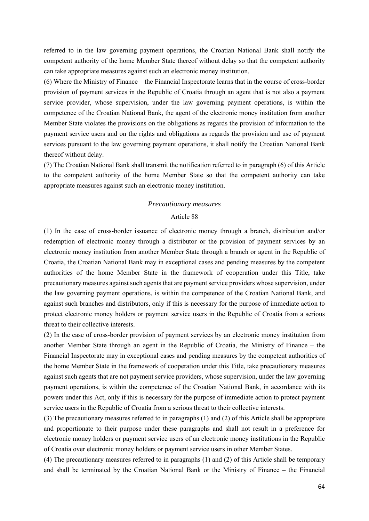referred to in the law governing payment operations, the Croatian National Bank shall notify the competent authority of the home Member State thereof without delay so that the competent authority can take appropriate measures against such an electronic money institution.

(6) Where the Ministry of Finance – the Financial Inspectorate learns that in the course of cross-border provision of payment services in the Republic of Croatia through an agent that is not also a payment service provider, whose supervision, under the law governing payment operations, is within the competence of the Croatian National Bank, the agent of the electronic money institution from another Member State violates the provisions on the obligations as regards the provision of information to the payment service users and on the rights and obligations as regards the provision and use of payment services pursuant to the law governing payment operations, it shall notify the Croatian National Bank thereof without delay.

(7) The Croatian National Bank shall transmit the notification referred to in paragraph (6) of this Article to the competent authority of the home Member State so that the competent authority can take appropriate measures against such an electronic money institution.

#### *Precautionary measures*

#### Article 88

(1) In the case of cross-border issuance of electronic money through a branch, distribution and/or redemption of electronic money through a distributor or the provision of payment services by an electronic money institution from another Member State through a branch or agent in the Republic of Croatia, the Croatian National Bank may in exceptional cases and pending measures by the competent authorities of the home Member State in the framework of cooperation under this Title, take precautionary measures against such agents that are payment service providers whose supervision, under the law governing payment operations, is within the competence of the Croatian National Bank, and against such branches and distributors, only if this is necessary for the purpose of immediate action to protect electronic money holders or payment service users in the Republic of Croatia from a serious threat to their collective interests.

(2) In the case of cross-border provision of payment services by an electronic money institution from another Member State through an agent in the Republic of Croatia, the Ministry of Finance – the Financial Inspectorate may in exceptional cases and pending measures by the competent authorities of the home Member State in the framework of cooperation under this Title, take precautionary measures against such agents that are not payment service providers, whose supervision, under the law governing payment operations, is within the competence of the Croatian National Bank, in accordance with its powers under this Act, only if this is necessary for the purpose of immediate action to protect payment service users in the Republic of Croatia from a serious threat to their collective interests.

(3) The precautionary measures referred to in paragraphs (1) and (2) of this Article shall be appropriate and proportionate to their purpose under these paragraphs and shall not result in a preference for electronic money holders or payment service users of an electronic money institutions in the Republic of Croatia over electronic money holders or payment service users in other Member States.

(4) The precautionary measures referred to in paragraphs (1) and (2) of this Article shall be temporary and shall be terminated by the Croatian National Bank or the Ministry of Finance – the Financial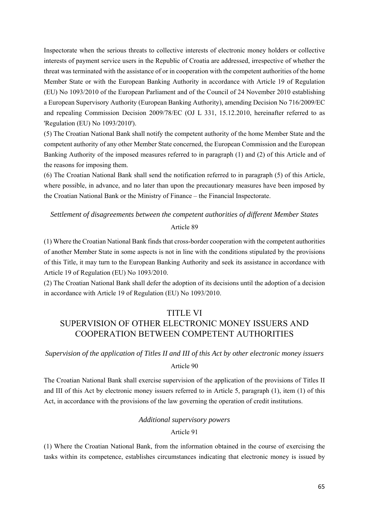Inspectorate when the serious threats to collective interests of electronic money holders or collective interests of payment service users in the Republic of Croatia are addressed, irrespective of whether the threat was terminated with the assistance of or in cooperation with the competent authorities of the home Member State or with the European Banking Authority in accordance with Article 19 of Regulation (EU) No 1093/2010 of the European Parliament and of the Council of 24 November 2010 establishing a European Supervisory Authority (European Banking Authority), amending Decision No 716/2009/EC and repealing Commission Decision 2009/78/EC (OJ L 331, 15.12.2010, hereinafter referred to as 'Regulation (EU) No 1093/2010').

(5) The Croatian National Bank shall notify the competent authority of the home Member State and the competent authority of any other Member State concerned, the European Commission and the European Banking Authority of the imposed measures referred to in paragraph (1) and (2) of this Article and of the reasons for imposing them.

(6) The Croatian National Bank shall send the notification referred to in paragraph (5) of this Article, where possible, in advance, and no later than upon the precautionary measures have been imposed by the Croatian National Bank or the Ministry of Finance – the Financial Inspectorate.

# *Settlement of disagreements between the competent authorities of different Member States*  Article 89

(1) Where the Croatian National Bank finds that cross-border cooperation with the competent authorities of another Member State in some aspects is not in line with the conditions stipulated by the provisions of this Title, it may turn to the European Banking Authority and seek its assistance in accordance with Article 19 of Regulation (EU) No 1093/2010.

(2) The Croatian National Bank shall defer the adoption of its decisions until the adoption of a decision in accordance with Article 19 of Regulation (EU) No 1093/2010.

# TITLE VI SUPERVISION OF OTHER ELECTRONIC MONEY ISSUERS AND COOPERATION BETWEEN COMPETENT AUTHORITIES

# *Supervision of the application of Titles II and III of this Act by other electronic money issuers*

### Article 90

The Croatian National Bank shall exercise supervision of the application of the provisions of Titles II and III of this Act by electronic money issuers referred to in Article 5, paragraph (1), item (1) of this Act, in accordance with the provisions of the law governing the operation of credit institutions.

## *Additional supervisory powers*

### Article 91

(1) Where the Croatian National Bank, from the information obtained in the course of exercising the tasks within its competence, establishes circumstances indicating that electronic money is issued by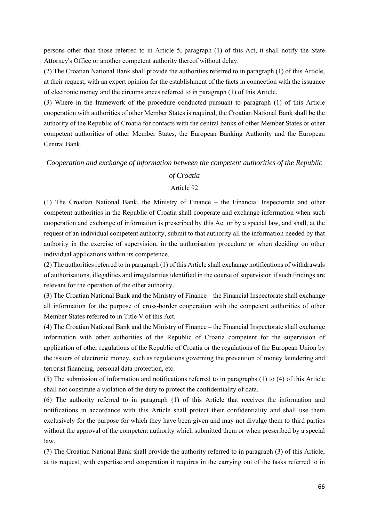persons other than those referred to in Article 5, paragraph (1) of this Act, it shall notify the State Attorney's Office or another competent authority thereof without delay.

(2) The Croatian National Bank shall provide the authorities referred to in paragraph (1) of this Article, at their request, with an expert opinion for the establishment of the facts in connection with the issuance of electronic money and the circumstances referred to in paragraph (1) of this Article.

(3) Where in the framework of the procedure conducted pursuant to paragraph (1) of this Article cooperation with authorities of other Member States is required, the Croatian National Bank shall be the authority of the Republic of Croatia for contacts with the central banks of other Member States or other competent authorities of other Member States, the European Banking Authority and the European Central Bank.

# *Cooperation and exchange of information between the competent authorities of the Republic*

### *of Croatia*

# Article 92

(1) The Croatian National Bank, the Ministry of Finance – the Financial Inspectorate and other competent authorities in the Republic of Croatia shall cooperate and exchange information when such cooperation and exchange of information is prescribed by this Act or by a special law, and shall, at the request of an individual competent authority, submit to that authority all the information needed by that authority in the exercise of supervision, in the authorisation procedure or when deciding on other individual applications within its competence.

(2) The authorities referred to in paragraph (1) of this Article shall exchange notifications of withdrawals of authorisations, illegalities and irregularities identified in the course of supervision if such findings are relevant for the operation of the other authority.

(3) The Croatian National Bank and the Ministry of Finance – the Financial Inspectorate shall exchange all information for the purpose of cross-border cooperation with the competent authorities of other Member States referred to in Title V of this Act.

(4) The Croatian National Bank and the Ministry of Finance – the Financial Inspectorate shall exchange information with other authorities of the Republic of Croatia competent for the supervision of application of other regulations of the Republic of Croatia or the regulations of the European Union by the issuers of electronic money, such as regulations governing the prevention of money laundering and terrorist financing, personal data protection, etc.

(5) The submission of information and notifications referred to in paragraphs (1) to (4) of this Article shall not constitute a violation of the duty to protect the confidentiality of data.

(6) The authority referred to in paragraph (1) of this Article that receives the information and notifications in accordance with this Article shall protect their confidentiality and shall use them exclusively for the purpose for which they have been given and may not divulge them to third parties without the approval of the competent authority which submitted them or when prescribed by a special law.

(7) The Croatian National Bank shall provide the authority referred to in paragraph (3) of this Article, at its request, with expertise and cooperation it requires in the carrying out of the tasks referred to in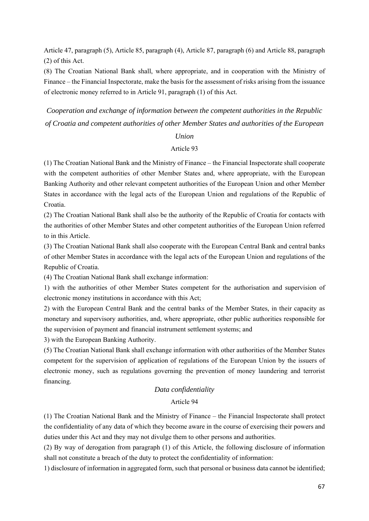Article 47, paragraph (5), Article 85, paragraph (4), Article 87, paragraph (6) and Article 88, paragraph (2) of this Act.

(8) The Croatian National Bank shall, where appropriate, and in cooperation with the Ministry of Finance – the Financial Inspectorate, make the basis for the assessment of risks arising from the issuance of electronic money referred to in Article 91, paragraph (1) of this Act.

*Cooperation and exchange of information between the competent authorities in the Republic of Croatia and competent authorities of other Member States and authorities of the European* 

### *Union*

### Article 93

(1) The Croatian National Bank and the Ministry of Finance – the Financial Inspectorate shall cooperate with the competent authorities of other Member States and, where appropriate, with the European Banking Authority and other relevant competent authorities of the European Union and other Member States in accordance with the legal acts of the European Union and regulations of the Republic of Croatia.

(2) The Croatian National Bank shall also be the authority of the Republic of Croatia for contacts with the authorities of other Member States and other competent authorities of the European Union referred to in this Article.

(3) The Croatian National Bank shall also cooperate with the European Central Bank and central banks of other Member States in accordance with the legal acts of the European Union and regulations of the Republic of Croatia.

(4) The Croatian National Bank shall exchange information:

1) with the authorities of other Member States competent for the authorisation and supervision of electronic money institutions in accordance with this Act;

2) with the European Central Bank and the central banks of the Member States, in their capacity as monetary and supervisory authorities, and, where appropriate, other public authorities responsible for the supervision of payment and financial instrument settlement systems; and

3) with the European Banking Authority.

(5) The Croatian National Bank shall exchange information with other authorities of the Member States competent for the supervision of application of regulations of the European Union by the issuers of electronic money, such as regulations governing the prevention of money laundering and terrorist financing.

### *Data confidentiality*

### Article 94

(1) The Croatian National Bank and the Ministry of Finance – the Financial Inspectorate shall protect the confidentiality of any data of which they become aware in the course of exercising their powers and duties under this Act and they may not divulge them to other persons and authorities.

(2) By way of derogation from paragraph (1) of this Article, the following disclosure of information shall not constitute a breach of the duty to protect the confidentiality of information:

1) disclosure of information in aggregated form, such that personal or business data cannot be identified;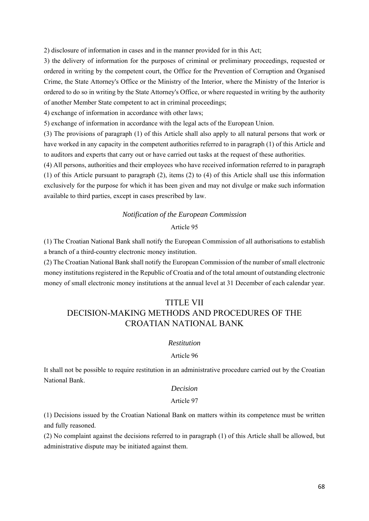2) disclosure of information in cases and in the manner provided for in this Act;

3) the delivery of information for the purposes of criminal or preliminary proceedings, requested or ordered in writing by the competent court, the Office for the Prevention of Corruption and Organised Crime, the State Attorney's Office or the Ministry of the Interior, where the Ministry of the Interior is ordered to do so in writing by the State Attorney's Office, or where requested in writing by the authority of another Member State competent to act in criminal proceedings;

4) exchange of information in accordance with other laws;

5) exchange of information in accordance with the legal acts of the European Union.

(3) The provisions of paragraph (1) of this Article shall also apply to all natural persons that work or have worked in any capacity in the competent authorities referred to in paragraph (1) of this Article and to auditors and experts that carry out or have carried out tasks at the request of these authorities.

(4) All persons, authorities and their employees who have received information referred to in paragraph (1) of this Article pursuant to paragraph (2), items (2) to (4) of this Article shall use this information exclusively for the purpose for which it has been given and may not divulge or make such information available to third parties, except in cases prescribed by law.

# *Notification of the European Commission*

# Article 95

(1) The Croatian National Bank shall notify the European Commission of all authorisations to establish a branch of a third-country electronic money institution.

(2) The Croatian National Bank shall notify the European Commission of the number of small electronic money institutions registered in the Republic of Croatia and of the total amount of outstanding electronic money of small electronic money institutions at the annual level at 31 December of each calendar year.

# TITLE VII DECISION-MAKING METHODS AND PROCEDURES OF THE CROATIAN NATIONAL BANK

## *Restitution*

### Article 96

It shall not be possible to require restitution in an administrative procedure carried out by the Croatian National Bank.

### *Decision*

#### Article 97

(1) Decisions issued by the Croatian National Bank on matters within its competence must be written and fully reasoned.

(2) No complaint against the decisions referred to in paragraph (1) of this Article shall be allowed, but administrative dispute may be initiated against them.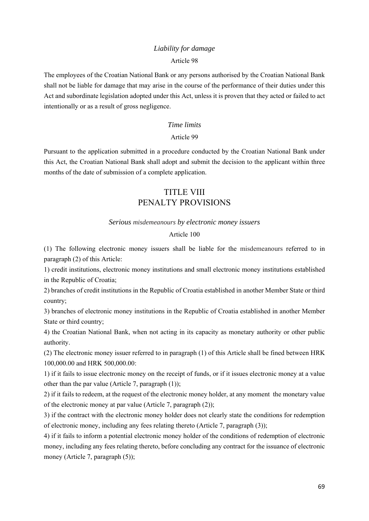# *Liability for damage*

### Article 98

The employees of the Croatian National Bank or any persons authorised by the Croatian National Bank shall not be liable for damage that may arise in the course of the performance of their duties under this Act and subordinate legislation adopted under this Act, unless it is proven that they acted or failed to act intentionally or as a result of gross negligence.

### *Time limits*

### Article 99

Pursuant to the application submitted in a procedure conducted by the Croatian National Bank under this Act, the Croatian National Bank shall adopt and submit the decision to the applicant within three months of the date of submission of a complete application.

# TITLE VIII PENALTY PROVISIONS

#### *Serious misdemeanours by electronic money issuers*

### Article 100

(1) The following electronic money issuers shall be liable for the misdemeanours referred to in paragraph (2) of this Article:

1) credit institutions, electronic money institutions and small electronic money institutions established in the Republic of Croatia;

2) branches of credit institutions in the Republic of Croatia established in another Member State or third country;

3) branches of electronic money institutions in the Republic of Croatia established in another Member State or third country;

4) the Croatian National Bank, when not acting in its capacity as monetary authority or other public authority.

(2) The electronic money issuer referred to in paragraph (1) of this Article shall be fined between HRK 100,000.00 and HRK 500,000.00:

1) if it fails to issue electronic money on the receipt of funds, or if it issues electronic money at a value other than the par value (Article 7, paragraph (1));

2) if it fails to redeem, at the request of the electronic money holder, at any moment the monetary value of the electronic money at par value (Article 7, paragraph (2));

3) if the contract with the electronic money holder does not clearly state the conditions for redemption of electronic money, including any fees relating thereto (Article 7, paragraph (3));

4) if it fails to inform a potential electronic money holder of the conditions of redemption of electronic money, including any fees relating thereto, before concluding any contract for the issuance of electronic money (Article 7, paragraph  $(5)$ );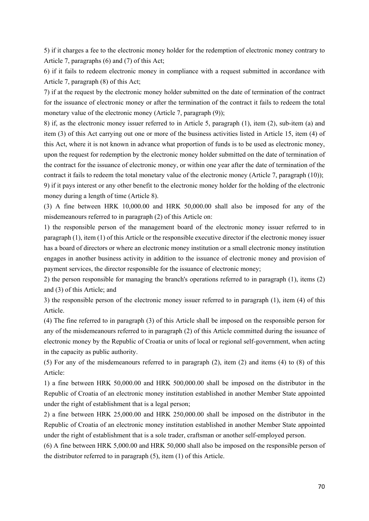5) if it charges a fee to the electronic money holder for the redemption of electronic money contrary to Article 7, paragraphs (6) and (7) of this Act;

6) if it fails to redeem electronic money in compliance with a request submitted in accordance with Article 7, paragraph (8) of this Act;

7) if at the request by the electronic money holder submitted on the date of termination of the contract for the issuance of electronic money or after the termination of the contract it fails to redeem the total monetary value of the electronic money (Article 7, paragraph (9));

8) if, as the electronic money issuer referred to in Article 5, paragraph (1), item (2), sub-item (a) and item (3) of this Act carrying out one or more of the business activities listed in Article 15, item (4) of this Act, where it is not known in advance what proportion of funds is to be used as electronic money, upon the request for redemption by the electronic money holder submitted on the date of termination of the contract for the issuance of electronic money, or within one year after the date of termination of the contract it fails to redeem the total monetary value of the electronic money (Article 7, paragraph (10)); 9) if it pays interest or any other benefit to the electronic money holder for the holding of the electronic money during a length of time (Article 8).

(3) A fine between HRK 10,000.00 and HRK 50,000.00 shall also be imposed for any of the misdemeanours referred to in paragraph (2) of this Article on:

1) the responsible person of the management board of the electronic money issuer referred to in paragraph (1), item (1) of this Article or the responsible executive director if the electronic money issuer has a board of directors or where an electronic money institution or a small electronic money institution engages in another business activity in addition to the issuance of electronic money and provision of payment services, the director responsible for the issuance of electronic money;

2) the person responsible for managing the branch's operations referred to in paragraph (1), items (2) and (3) of this Article; and

3) the responsible person of the electronic money issuer referred to in paragraph (1), item (4) of this Article.

(4) The fine referred to in paragraph (3) of this Article shall be imposed on the responsible person for any of the misdemeanours referred to in paragraph (2) of this Article committed during the issuance of electronic money by the Republic of Croatia or units of local or regional self-government, when acting in the capacity as public authority.

(5) For any of the misdemeanours referred to in paragraph (2), item (2) and items (4) to (8) of this Article:

1) a fine between HRK 50,000.00 and HRK 500,000.00 shall be imposed on the distributor in the Republic of Croatia of an electronic money institution established in another Member State appointed under the right of establishment that is a legal person;

2) a fine between HRK 25,000.00 and HRK 250,000.00 shall be imposed on the distributor in the Republic of Croatia of an electronic money institution established in another Member State appointed under the right of establishment that is a sole trader, craftsman or another self-employed person.

(6) A fine between HRK 5,000.00 and HRK 50,000 shall also be imposed on the responsible person of the distributor referred to in paragraph (5), item (1) of this Article.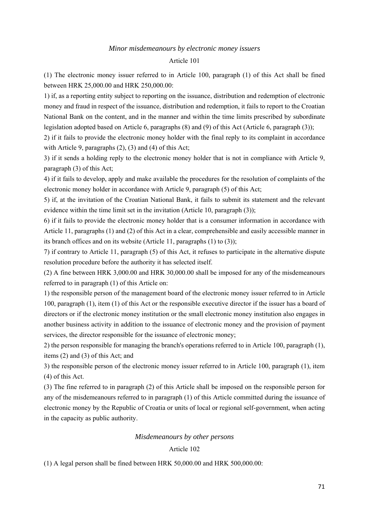#### *Minor misdemeanours by electronic money issuers*

#### Article 101

(1) The electronic money issuer referred to in Article 100, paragraph (1) of this Act shall be fined between HRK 25,000.00 and HRK 250,000.00:

1) if, as a reporting entity subject to reporting on the issuance, distribution and redemption of electronic money and fraud in respect of the issuance, distribution and redemption, it fails to report to the Croatian National Bank on the content, and in the manner and within the time limits prescribed by subordinate legislation adopted based on Article 6, paragraphs (8) and (9) of this Act (Article 6, paragraph (3));

2) if it fails to provide the electronic money holder with the final reply to its complaint in accordance with Article 9, paragraphs (2), (3) and (4) of this Act;

3) if it sends a holding reply to the electronic money holder that is not in compliance with Article 9, paragraph (3) of this Act;

4) if it fails to develop, apply and make available the procedures for the resolution of complaints of the electronic money holder in accordance with Article 9, paragraph (5) of this Act;

5) if, at the invitation of the Croatian National Bank, it fails to submit its statement and the relevant evidence within the time limit set in the invitation (Article 10, paragraph (3));

6) if it fails to provide the electronic money holder that is a consumer information in accordance with Article 11, paragraphs (1) and (2) of this Act in a clear, comprehensible and easily accessible manner in its branch offices and on its website (Article 11, paragraphs (1) to (3));

7) if contrary to Article 11, paragraph (5) of this Act, it refuses to participate in the alternative dispute resolution procedure before the authority it has selected itself.

(2) A fine between HRK 3,000.00 and HRK 30,000.00 shall be imposed for any of the misdemeanours referred to in paragraph (1) of this Article on:

1) the responsible person of the management board of the electronic money issuer referred to in Article 100, paragraph (1), item (1) of this Act or the responsible executive director if the issuer has a board of directors or if the electronic money institution or the small electronic money institution also engages in another business activity in addition to the issuance of electronic money and the provision of payment services, the director responsible for the issuance of electronic money;

2) the person responsible for managing the branch's operations referred to in Article 100, paragraph (1), items (2) and (3) of this Act; and

3) the responsible person of the electronic money issuer referred to in Article 100, paragraph (1), item (4) of this Act.

(3) The fine referred to in paragraph (2) of this Article shall be imposed on the responsible person for any of the misdemeanours referred to in paragraph (1) of this Article committed during the issuance of electronic money by the Republic of Croatia or units of local or regional self-government, when acting in the capacity as public authority.

### *Misdemeanours by other persons*

# Article 102

(1) A legal person shall be fined between HRK 50,000.00 and HRK 500,000.00: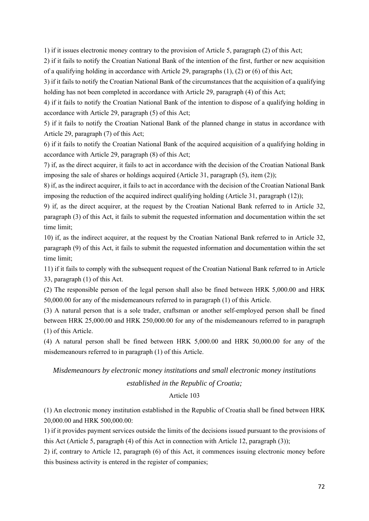1) if it issues electronic money contrary to the provision of Article 5, paragraph (2) of this Act;

2) if it fails to notify the Croatian National Bank of the intention of the first, further or new acquisition of a qualifying holding in accordance with Article 29, paragraphs (1), (2) or (6) of this Act;

3) if it fails to notify the Croatian National Bank of the circumstances that the acquisition of a qualifying holding has not been completed in accordance with Article 29, paragraph (4) of this Act;

4) if it fails to notify the Croatian National Bank of the intention to dispose of a qualifying holding in accordance with Article 29, paragraph (5) of this Act;

5) if it fails to notify the Croatian National Bank of the planned change in status in accordance with Article 29, paragraph (7) of this Act;

6) if it fails to notify the Croatian National Bank of the acquired acquisition of a qualifying holding in accordance with Article 29, paragraph (8) of this Act;

7) if, as the direct acquirer, it fails to act in accordance with the decision of the Croatian National Bank imposing the sale of shares or holdings acquired (Article 31, paragraph (5), item (2));

8) if, as the indirect acquirer, it fails to act in accordance with the decision of the Croatian National Bank imposing the reduction of the acquired indirect qualifying holding (Article 31, paragraph (12));

9) if, as the direct acquirer, at the request by the Croatian National Bank referred to in Article 32, paragraph (3) of this Act, it fails to submit the requested information and documentation within the set time limit;

10) if, as the indirect acquirer, at the request by the Croatian National Bank referred to in Article 32, paragraph (9) of this Act, it fails to submit the requested information and documentation within the set time limit;

11) if it fails to comply with the subsequent request of the Croatian National Bank referred to in Article 33, paragraph (1) of this Act.

(2) The responsible person of the legal person shall also be fined between HRK 5,000.00 and HRK 50,000.00 for any of the misdemeanours referred to in paragraph (1) of this Article.

(3) A natural person that is a sole trader, craftsman or another self-employed person shall be fined between HRK 25,000.00 and HRK 250,000.00 for any of the misdemeanours referred to in paragraph (1) of this Article.

(4) A natural person shall be fined between HRK 5,000.00 and HRK 50,000.00 for any of the misdemeanours referred to in paragraph (1) of this Article.

# *Misdemeanours by electronic money institutions and small electronic money institutions established in the Republic of Croatia;*

### Article 103

(1) An electronic money institution established in the Republic of Croatia shall be fined between HRK 20,000.00 and HRK 500,000.00:

1) if it provides payment services outside the limits of the decisions issued pursuant to the provisions of this Act (Article 5, paragraph (4) of this Act in connection with Article 12, paragraph (3));

2) if, contrary to Article 12, paragraph (6) of this Act, it commences issuing electronic money before this business activity is entered in the register of companies;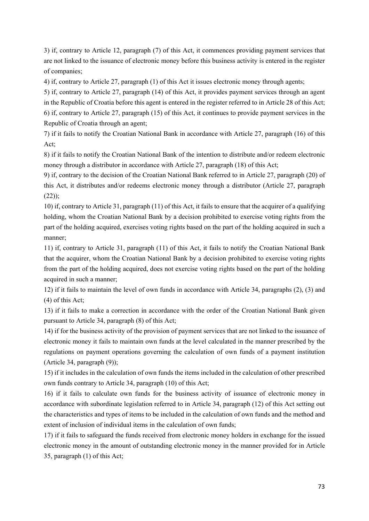3) if, contrary to Article 12, paragraph (7) of this Act, it commences providing payment services that are not linked to the issuance of electronic money before this business activity is entered in the register of companies;

4) if, contrary to Article 27, paragraph (1) of this Act it issues electronic money through agents;

5) if, contrary to Article 27, paragraph (14) of this Act, it provides payment services through an agent in the Republic of Croatia before this agent is entered in the register referred to in Article 28 of this Act; 6) if, contrary to Article 27, paragraph (15) of this Act, it continues to provide payment services in the Republic of Croatia through an agent;

7) if it fails to notify the Croatian National Bank in accordance with Article 27, paragraph (16) of this Act;

8) if it fails to notify the Croatian National Bank of the intention to distribute and/or redeem electronic money through a distributor in accordance with Article 27, paragraph (18) of this Act;

9) if, contrary to the decision of the Croatian National Bank referred to in Article 27, paragraph (20) of this Act, it distributes and/or redeems electronic money through a distributor (Article 27, paragraph  $(22)$ ;

10) if, contrary to Article 31, paragraph (11) of this Act, it fails to ensure that the acquirer of a qualifying holding, whom the Croatian National Bank by a decision prohibited to exercise voting rights from the part of the holding acquired, exercises voting rights based on the part of the holding acquired in such a manner;

11) if, contrary to Article 31, paragraph (11) of this Act, it fails to notify the Croatian National Bank that the acquirer, whom the Croatian National Bank by a decision prohibited to exercise voting rights from the part of the holding acquired, does not exercise voting rights based on the part of the holding acquired in such a manner;

12) if it fails to maintain the level of own funds in accordance with Article 34, paragraphs (2), (3) and (4) of this Act;

13) if it fails to make a correction in accordance with the order of the Croatian National Bank given pursuant to Article 34, paragraph (8) of this Act;

14) if for the business activity of the provision of payment services that are not linked to the issuance of electronic money it fails to maintain own funds at the level calculated in the manner prescribed by the regulations on payment operations governing the calculation of own funds of a payment institution (Article 34, paragraph (9));

15) if it includes in the calculation of own funds the items included in the calculation of other prescribed own funds contrary to Article 34, paragraph (10) of this Act;

16) if it fails to calculate own funds for the business activity of issuance of electronic money in accordance with subordinate legislation referred to in Article 34, paragraph (12) of this Act setting out the characteristics and types of items to be included in the calculation of own funds and the method and extent of inclusion of individual items in the calculation of own funds;

17) if it fails to safeguard the funds received from electronic money holders in exchange for the issued electronic money in the amount of outstanding electronic money in the manner provided for in Article 35, paragraph (1) of this Act;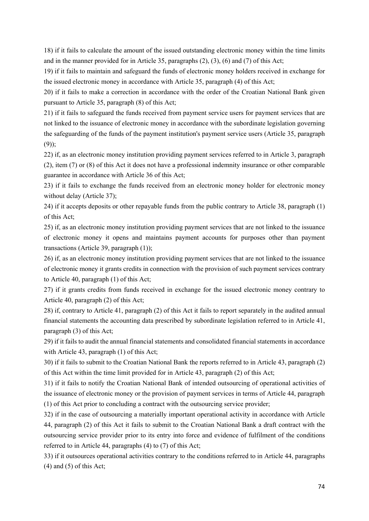18) if it fails to calculate the amount of the issued outstanding electronic money within the time limits and in the manner provided for in Article 35, paragraphs (2), (3), (6) and (7) of this Act;

19) if it fails to maintain and safeguard the funds of electronic money holders received in exchange for the issued electronic money in accordance with Article 35, paragraph (4) of this Act;

20) if it fails to make a correction in accordance with the order of the Croatian National Bank given pursuant to Article 35, paragraph (8) of this Act;

21) if it fails to safeguard the funds received from payment service users for payment services that are not linked to the issuance of electronic money in accordance with the subordinate legislation governing the safeguarding of the funds of the payment institution's payment service users (Article 35, paragraph (9));

22) if, as an electronic money institution providing payment services referred to in Article 3, paragraph (2), item (7) or (8) of this Act it does not have a professional indemnity insurance or other comparable guarantee in accordance with Article 36 of this Act;

23) if it fails to exchange the funds received from an electronic money holder for electronic money without delay (Article 37);

24) if it accepts deposits or other repayable funds from the public contrary to Article 38, paragraph (1) of this Act;

25) if, as an electronic money institution providing payment services that are not linked to the issuance of electronic money it opens and maintains payment accounts for purposes other than payment transactions (Article 39, paragraph (1));

26) if, as an electronic money institution providing payment services that are not linked to the issuance of electronic money it grants credits in connection with the provision of such payment services contrary to Article 40, paragraph (1) of this Act;

27) if it grants credits from funds received in exchange for the issued electronic money contrary to Article 40, paragraph (2) of this Act;

28) if, contrary to Article 41, paragraph (2) of this Act it fails to report separately in the audited annual financial statements the accounting data prescribed by subordinate legislation referred to in Article 41, paragraph (3) of this Act;

29) if it fails to audit the annual financial statements and consolidated financial statements in accordance with Article 43, paragraph (1) of this Act;

30) if it fails to submit to the Croatian National Bank the reports referred to in Article 43, paragraph (2) of this Act within the time limit provided for in Article 43, paragraph (2) of this Act;

31) if it fails to notify the Croatian National Bank of intended outsourcing of operational activities of the issuance of electronic money or the provision of payment services in terms of Article 44, paragraph (1) of this Act prior to concluding a contract with the outsourcing service provider;

32) if in the case of outsourcing a materially important operational activity in accordance with Article 44, paragraph (2) of this Act it fails to submit to the Croatian National Bank a draft contract with the outsourcing service provider prior to its entry into force and evidence of fulfilment of the conditions referred to in Article 44, paragraphs (4) to (7) of this Act;

33) if it outsources operational activities contrary to the conditions referred to in Article 44, paragraphs  $(4)$  and  $(5)$  of this Act;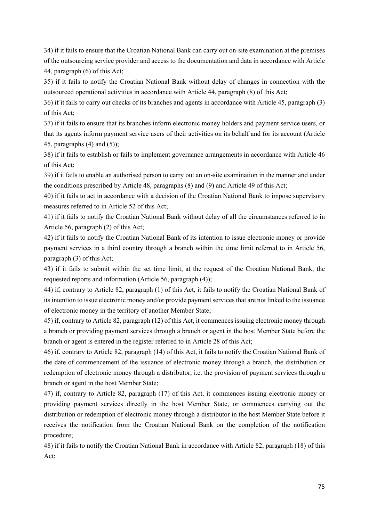34) if it fails to ensure that the Croatian National Bank can carry out on-site examination at the premises of the outsourcing service provider and access to the documentation and data in accordance with Article 44, paragraph (6) of this Act;

35) if it fails to notify the Croatian National Bank without delay of changes in connection with the outsourced operational activities in accordance with Article 44, paragraph (8) of this Act;

36) if it fails to carry out checks of its branches and agents in accordance with Article 45, paragraph (3) of this Act;

37) if it fails to ensure that its branches inform electronic money holders and payment service users, or that its agents inform payment service users of their activities on its behalf and for its account (Article 45, paragraphs  $(4)$  and  $(5)$ ;

38) if it fails to establish or fails to implement governance arrangements in accordance with Article 46 of this Act;

39) if it fails to enable an authorised person to carry out an on-site examination in the manner and under the conditions prescribed by Article 48, paragraphs (8) and (9) and Article 49 of this Act;

40) if it fails to act in accordance with a decision of the Croatian National Bank to impose supervisory measures referred to in Article 52 of this Act;

41) if it fails to notify the Croatian National Bank without delay of all the circumstances referred to in Article 56, paragraph (2) of this Act;

42) if it fails to notify the Croatian National Bank of its intention to issue electronic money or provide payment services in a third country through a branch within the time limit referred to in Article 56, paragraph (3) of this Act;

43) if it fails to submit within the set time limit, at the request of the Croatian National Bank, the requested reports and information (Article 56, paragraph (4));

44) if, contrary to Article 82, paragraph (1) of this Act, it fails to notify the Croatian National Bank of its intention to issue electronic money and/or provide payment services that are not linked to the issuance of electronic money in the territory of another Member State;

45) if, contrary to Article 82, paragraph (12) of this Act, it commences issuing electronic money through a branch or providing payment services through a branch or agent in the host Member State before the branch or agent is entered in the register referred to in Article 28 of this Act;

46) if, contrary to Article 82, paragraph (14) of this Act, it fails to notify the Croatian National Bank of the date of commencement of the issuance of electronic money through a branch, the distribution or redemption of electronic money through a distributor, i.e. the provision of payment services through a branch or agent in the host Member State;

47) if, contrary to Article 82, paragraph (17) of this Act, it commences issuing electronic money or providing payment services directly in the host Member State, or commences carrying out the distribution or redemption of electronic money through a distributor in the host Member State before it receives the notification from the Croatian National Bank on the completion of the notification procedure;

48) if it fails to notify the Croatian National Bank in accordance with Article 82, paragraph (18) of this Act;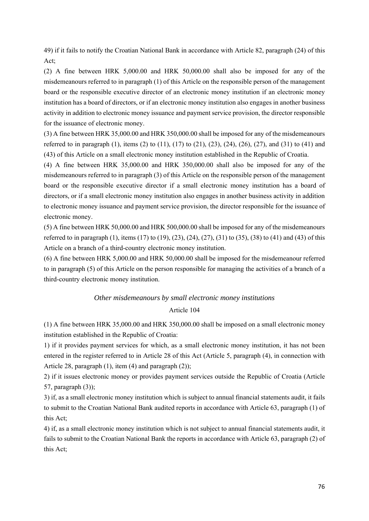49) if it fails to notify the Croatian National Bank in accordance with Article 82, paragraph (24) of this Act;

(2) A fine between HRK 5,000.00 and HRK 50,000.00 shall also be imposed for any of the misdemeanours referred to in paragraph (1) of this Article on the responsible person of the management board or the responsible executive director of an electronic money institution if an electronic money institution has a board of directors, or if an electronic money institution also engages in another business activity in addition to electronic money issuance and payment service provision, the director responsible for the issuance of electronic money.

(3) A fine between HRK 35,000.00 and HRK 350,000.00 shall be imposed for any of the misdemeanours referred to in paragraph (1), items (2) to (11), (17) to (21), (23), (24), (26), (27), and (31) to (41) and (43) of this Article on a small electronic money institution established in the Republic of Croatia.

(4) A fine between HRK 35,000.00 and HRK 350,000.00 shall also be imposed for any of the misdemeanours referred to in paragraph (3) of this Article on the responsible person of the management board or the responsible executive director if a small electronic money institution has a board of directors, or if a small electronic money institution also engages in another business activity in addition to electronic money issuance and payment service provision, the director responsible for the issuance of electronic money.

(5) A fine between HRK 50,000.00 and HRK 500,000.00 shall be imposed for any of the misdemeanours referred to in paragraph (1), items (17) to (19), (23), (24), (27), (31) to (35), (38) to (41) and (43) of this Article on a branch of a third-country electronic money institution.

(6) A fine between HRK 5,000.00 and HRK 50,000.00 shall be imposed for the misdemeanour referred to in paragraph (5) of this Article on the person responsible for managing the activities of a branch of a third-country electronic money institution.

## *Other misdemeanours by small electronic money institutions*

### Article 104

(1) A fine between HRK 35,000.00 and HRK 350,000.00 shall be imposed on a small electronic money institution established in the Republic of Croatia:

1) if it provides payment services for which, as a small electronic money institution, it has not been entered in the register referred to in Article 28 of this Act (Article 5, paragraph (4), in connection with Article 28, paragraph  $(1)$ , item  $(4)$  and paragraph  $(2)$ );

2) if it issues electronic money or provides payment services outside the Republic of Croatia (Article 57, paragraph (3));

3) if, as a small electronic money institution which is subject to annual financial statements audit, it fails to submit to the Croatian National Bank audited reports in accordance with Article 63, paragraph (1) of this Act;

4) if, as a small electronic money institution which is not subject to annual financial statements audit, it fails to submit to the Croatian National Bank the reports in accordance with Article 63, paragraph (2) of this Act;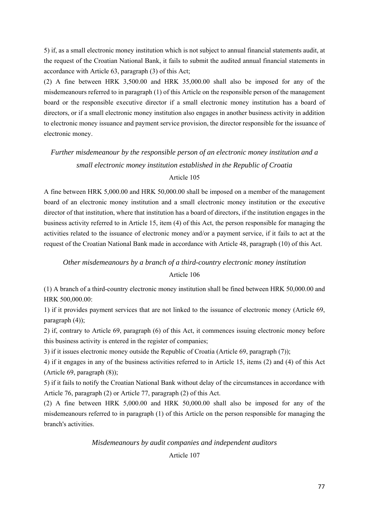5) if, as a small electronic money institution which is not subject to annual financial statements audit, at the request of the Croatian National Bank, it fails to submit the audited annual financial statements in accordance with Article 63, paragraph (3) of this Act;

(2) A fine between HRK 3,500.00 and HRK 35,000.00 shall also be imposed for any of the misdemeanours referred to in paragraph (1) of this Article on the responsible person of the management board or the responsible executive director if a small electronic money institution has a board of directors, or if a small electronic money institution also engages in another business activity in addition to electronic money issuance and payment service provision, the director responsible for the issuance of electronic money.

# *Further misdemeanour by the responsible person of an electronic money institution and a small electronic money institution established in the Republic of Croatia*

## Article 105

A fine between HRK 5,000.00 and HRK 50,000.00 shall be imposed on a member of the management board of an electronic money institution and a small electronic money institution or the executive director of that institution, where that institution has a board of directors, if the institution engages in the business activity referred to in Article 15, item (4) of this Act, the person responsible for managing the activities related to the issuance of electronic money and/or a payment service, if it fails to act at the request of the Croatian National Bank made in accordance with Article 48, paragraph (10) of this Act.

## *Other misdemeanours by a branch of a third-country electronic money institution*  Article 106

(1) A branch of a third-country electronic money institution shall be fined between HRK 50,000.00 and HRK 500,000.00:

1) if it provides payment services that are not linked to the issuance of electronic money (Article 69, paragraph (4));

2) if, contrary to Article 69, paragraph (6) of this Act, it commences issuing electronic money before this business activity is entered in the register of companies;

3) if it issues electronic money outside the Republic of Croatia (Article 69, paragraph (7));

4) if it engages in any of the business activities referred to in Article 15, items (2) and (4) of this Act (Article 69, paragraph (8));

5) if it fails to notify the Croatian National Bank without delay of the circumstances in accordance with Article 76, paragraph (2) or Article 77, paragraph (2) of this Act.

(2) A fine between HRK 5,000.00 and HRK 50,000.00 shall also be imposed for any of the misdemeanours referred to in paragraph (1) of this Article on the person responsible for managing the branch's activities.

## *Misdemeanours by audit companies and independent auditors*

## Article 107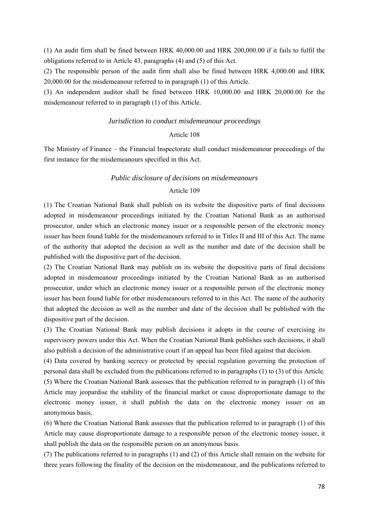(1) An audit firm shall be fined between HRK 40,000.00 and HRK 200,000.00 if it fails to fulfil the obligations referred to in Article 43, paragraphs (4) and (5) of this Act.

(2) The responsible person of the audit firm shall also be fined between HRK 4,000.00 and HRK 20,000.00 for the misdemeanour referred to in paragraph (1) of this Article.

(3) An independent auditor shall be fined between HRK 10,000.00 and HRK 20,000.00 for the misdemeanour referred to in paragraph (1) of this Article.

#### *Jurisdiction to conduct misdemeanour proceedings*

#### Article 108

The Ministry of Finance – the Financial Inspectorate shall conduct misdemeanour proceedings of the first instance for the misdemeanours specified in this Act.

#### *Public disclosure of decisions on misdemeanours*

#### Article 109

(1) The Croatian National Bank shall publish on its website the dispositive parts of final decisions adopted in misdemeanour proceedings initiated by the Croatian National Bank as an authorised prosecutor, under which an electronic money issuer or a responsible person of the electronic money issuer has been found liable for the misdemeanours referred to in Titles II and III of this Act. The name of the authority that adopted the decision as well as the number and date of the decision shall be published with the dispositive part of the decision.

(2) The Croatian National Bank may publish on its website the dispositive parts of final decisions adopted in misdemeanour proceedings initiated by the Croatian National Bank as an authorised prosecutor, under which an electronic money issuer or a responsible person of the electronic money issuer has been found liable for other misdemeanours referred to in this Act. The name of the authority that adopted the decision as well as the number and date of the decision shall be published with the dispositive part of the decision.

(3) The Croatian National Bank may publish decisions it adopts in the course of exercising its supervisory powers under this Act. When the Croatian National Bank publishes such decisions, it shall also publish a decision of the administrative court if an appeal has been filed against that decision.

(4) Data covered by banking secrecy or protected by special regulation governing the protection of personal data shall be excluded from the publications referred to in paragraphs (1) to (3) of this Article. (5) Where the Croatian National Bank assesses that the publication referred to in paragraph (1) of this Article may jeopardise the stability of the financial market or cause disproportionate damage to the electronic money issuer, it shall publish the data on the electronic money issuer on an anonymous basis.

(6) Where the Croatian National Bank assesses that the publication referred to in paragraph (1) of this Article may cause disproportionate damage to a responsible person of the electronic money issuer, it shall publish the data on the responsible person on an anonymous basis.

(7) The publications referred to in paragraphs (1) and (2) of this Article shall remain on the website for three years following the finality of the decision on the misdemeanour, and the publications referred to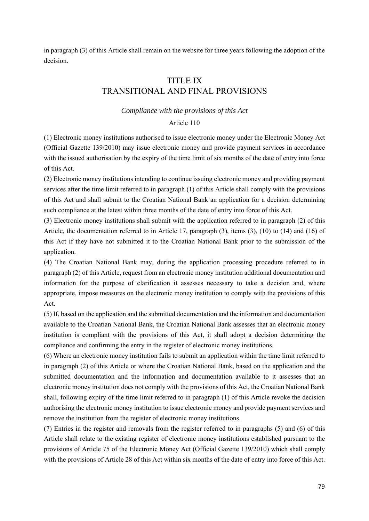in paragraph (3) of this Article shall remain on the website for three years following the adoption of the decision.

## TITLE IX TRANSITIONAL AND FINAL PROVISIONS

#### *Compliance with the provisions of this Act*

#### Article 110

(1) Electronic money institutions authorised to issue electronic money under the Electronic Money Act (Official Gazette 139/2010) may issue electronic money and provide payment services in accordance with the issued authorisation by the expiry of the time limit of six months of the date of entry into force of this Act.

(2) Electronic money institutions intending to continue issuing electronic money and providing payment services after the time limit referred to in paragraph (1) of this Article shall comply with the provisions of this Act and shall submit to the Croatian National Bank an application for a decision determining such compliance at the latest within three months of the date of entry into force of this Act.

(3) Electronic money institutions shall submit with the application referred to in paragraph (2) of this Article, the documentation referred to in Article 17, paragraph (3), items (3), (10) to (14) and (16) of this Act if they have not submitted it to the Croatian National Bank prior to the submission of the application.

(4) The Croatian National Bank may, during the application processing procedure referred to in paragraph (2) of this Article, request from an electronic money institution additional documentation and information for the purpose of clarification it assesses necessary to take a decision and, where appropriate, impose measures on the electronic money institution to comply with the provisions of this Act.

(5) If, based on the application and the submitted documentation and the information and documentation available to the Croatian National Bank, the Croatian National Bank assesses that an electronic money institution is compliant with the provisions of this Act, it shall adopt a decision determining the compliance and confirming the entry in the register of electronic money institutions.

(6) Where an electronic money institution fails to submit an application within the time limit referred to in paragraph (2) of this Article or where the Croatian National Bank, based on the application and the submitted documentation and the information and documentation available to it assesses that an electronic money institution does not comply with the provisions of this Act, the Croatian National Bank shall, following expiry of the time limit referred to in paragraph (1) of this Article revoke the decision authorising the electronic money institution to issue electronic money and provide payment services and remove the institution from the register of electronic money institutions.

(7) Entries in the register and removals from the register referred to in paragraphs (5) and (6) of this Article shall relate to the existing register of electronic money institutions established pursuant to the provisions of Article 75 of the Electronic Money Act (Official Gazette 139/2010) which shall comply with the provisions of Article 28 of this Act within six months of the date of entry into force of this Act.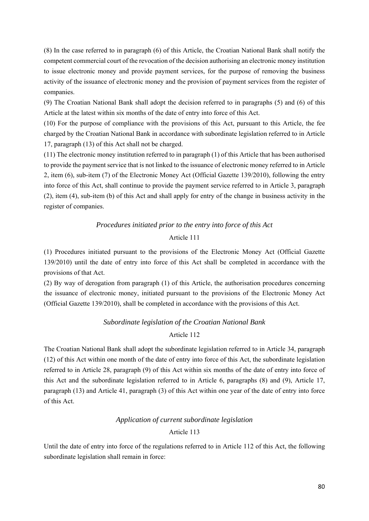(8) In the case referred to in paragraph (6) of this Article, the Croatian National Bank shall notify the competent commercial court of the revocation of the decision authorising an electronic money institution to issue electronic money and provide payment services, for the purpose of removing the business activity of the issuance of electronic money and the provision of payment services from the register of companies.

(9) The Croatian National Bank shall adopt the decision referred to in paragraphs (5) and (6) of this Article at the latest within six months of the date of entry into force of this Act.

(10) For the purpose of compliance with the provisions of this Act, pursuant to this Article, the fee charged by the Croatian National Bank in accordance with subordinate legislation referred to in Article 17, paragraph (13) of this Act shall not be charged.

(11) The electronic money institution referred to in paragraph (1) of this Article that has been authorised to provide the payment service that is not linked to the issuance of electronic money referred to in Article 2, item (6), sub-item (7) of the Electronic Money Act (Official Gazette 139/2010), following the entry into force of this Act, shall continue to provide the payment service referred to in Article 3, paragraph (2), item (4), sub-item (b) of this Act and shall apply for entry of the change in business activity in the register of companies.

## *Procedures initiated prior to the entry into force of this Act*

## Article 111

(1) Procedures initiated pursuant to the provisions of the Electronic Money Act (Official Gazette 139/2010) until the date of entry into force of this Act shall be completed in accordance with the provisions of that Act.

(2) By way of derogation from paragraph (1) of this Article, the authorisation procedures concerning the issuance of electronic money, initiated pursuant to the provisions of the Electronic Money Act (Official Gazette 139/2010), shall be completed in accordance with the provisions of this Act.

## *Subordinate legislation of the Croatian National Bank*

## Article 112

The Croatian National Bank shall adopt the subordinate legislation referred to in Article 34, paragraph (12) of this Act within one month of the date of entry into force of this Act, the subordinate legislation referred to in Article 28, paragraph (9) of this Act within six months of the date of entry into force of this Act and the subordinate legislation referred to in Article 6, paragraphs (8) and (9), Article 17, paragraph (13) and Article 41, paragraph (3) of this Act within one year of the date of entry into force of this Act.

## *Application of current subordinate legislation*

## Article 113

Until the date of entry into force of the regulations referred to in Article 112 of this Act, the following subordinate legislation shall remain in force: